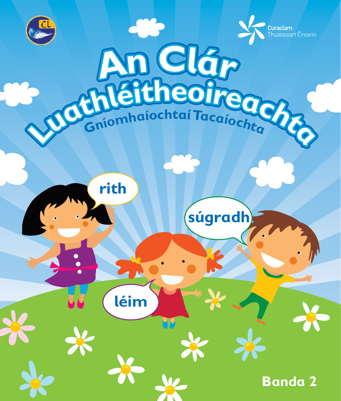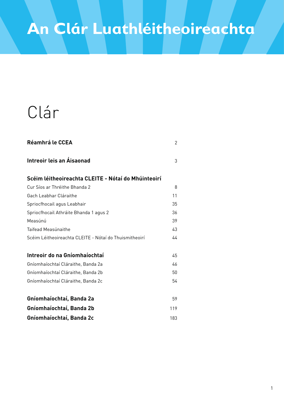# Clár

| <b>Réamhrá le CCEA</b>                                 | $\overline{2}$ |
|--------------------------------------------------------|----------------|
| Intreoir leis an Áisaonad                              | 3              |
| Scéim léitheoireachta CLEITE - Nótaí do Mhúinteoirí    |                |
| Cur Síos ar Thréithe Bhanda 2                          | 8              |
| Gach Leabhar Cláraithe                                 | 11             |
| Spriocfhocail agus Leabhair                            | 35             |
| Spriocfhocail Athráite Bhanda 1 agus 2                 | 36             |
| Measúnú                                                | 39             |
| Taifead Measúnaithe                                    | 43             |
| Scéim Léitheoireachta CLEITE - Nótaí do Thuismitheoirí | 44             |
| Intreoir do na Gníomhaíochtaí                          | 45             |
| Gníomhaíochtaí Cláraithe, Banda 2a                     | 46             |
| Gníomhaíochtaí Cláraithe, Banda 2b                     | 50             |
| Gníomhaíochtaí Cláraithe, Banda 2c                     | 54             |
| Gníomhaíochtaí, Banda 2a                               | 59             |
| Gníomhaíochtaí, Banda 2b                               | 119            |
| Gníomhaíochtaí, Banda 2c                               | 183            |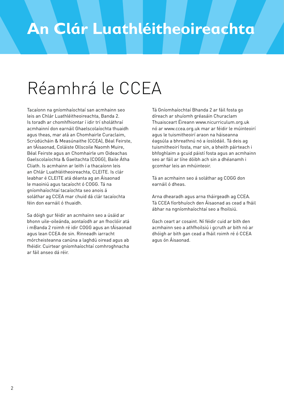# Réamhrá le CCEA

Tacaíonn na gníomhaíochtaí san acmhainn seo leis an Chlár Luathléitheoireachta, Banda 2. Is toradh ar chomhfhiontar í idir trí sholáthraí acmhainní don earnáil Ghaelscolaíochta thuaidh agus theas, mar atá an Chomhairle Curaclaim, Scrúdúcháin & Measúnaithe (CCEA), Béal Feirste, an tÁisaonad, Coláiste Ollscoile Naomh Muire, Béal Feirste agus an Chomhairle um Oideachas Gaelscolaíochta & Gaeltachta (COGG), Baile Átha Cliath. Is acmhainn ar leith í a thacaíonn leis an Chlár Luathléitheoireachta, CLEITE. Is clár leabhar é CLEITE atá déanta ag an Áisaonad le maoiniú agus tacaíocht ó COGG. Tá na gníomhaíochtaí tacaíochta seo anois á soláthar ag CCEA mar chuid dá clár tacaíochta féin don earnáil ó thuaidh.

Sa dóigh gur féidir an acmhainn seo a úsáid ar bhonn uile-oileánda, aontaíodh ar an fhoclóir atá i mBanda 2 roimh ré idir COGG agus an tÁisaonad agus lean CCEA de sin. Rinneadh iarracht mórcheisteanna canúna a laghdú oiread agus ab fhéidir. Cuirtear gníomhaíochtaí comhroghnacha ar fáil anseo dá réir.

Tá Gníomhaíochtaí Bhanda 2 ar fáil fosta go díreach ar shuíomh gréasáin Churaclam Thuaisceart Éireann www.nicurriculum.org.uk nó ar www.ccea.org.uk mar ar féidir le múinteoirí agus le tuismitheoirí araon na háiseanna éagsúla a bhreathnú nó a íoslódáil. Tá deis ag tuismitheoirí fosta, mar sin, a bheith páirteach i bhfoghlaim a gcuid páistí fosta agus an acmhainn seo ar fáil ar líne dóibh ach sin a dhéanamh i gcomhar leis an mhúinteoir.

Tá an acmhainn seo á soláthar ag COGG don earnáil ó dheas.

Arna dhearadh agus arna tháirgeadh ag CCEA. Tá CCEA fíorbhuíoch den Áisaonad as cead a fháil ábhar na ngníomhaíochtaí seo a fhoilsiú.

Gach ceart ar cosaint. Ní féidir cuid ar bith den acmhainn seo a athfhoilsiú i gcruth ar bith nó ar dhóigh ar bith gan cead a fháil roimh ré ó CCEA agus ón Áisaonad.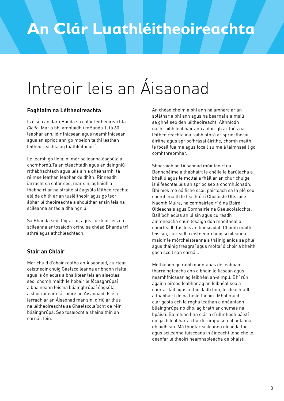# Intreoir leis an Áisaonad

#### **Foghlaim na Léitheoireachta**

Is é seo an dara Banda sa chlár léitheoireachta *Cleite.* Mar a bhí amhlaidh i mBanda 1, tá 60 leabhar ann, idir fhicsean agus neamhfhicsean agus an sprioc ann go mbeidh taithí leathan léitheoireachta ag luathléitheoirí.

Le léamh go líofa, ní mór scileanna éagsúla a chomhordú.Tá an cleachtadh agus an daingniú ríthábhachtach agus leis sin a dhéanamh, tá réimse leathan leabhar de dhíth. Rinneadh iarracht sa chlár seo, mar sin, aghaidh a thabhairt ar na straitéisí éagsúla léitheoireachta atá de dhíth ar an túsléitheoir agus go leor ábhar léitheoireachta a sholáthar ansin leis na scileanna ar fad a dhaingniú.

Sa Bhanda seo, tógtar ar, agus cuirtear leis na scileanna ar tosaíodh orthu sa chéad Bhanda trí athrá agus athchleachtadh.

#### **Stair an Chláir**

Mar chuid d'obair reatha an Áisaonaid, cuirtear ceistneoir chuig Gaelscoileanna ar bhonn rialta agus is ón eolas a bhailítear leis an aiseolas seo, chomh maith le hobair le fócasghrúpaí a bhaineann leis na bliainghrúpaí éagsúla, a shocraítear clár oibre an Áisaonaid. Is é a iarradh ar an Áisaonad mar sin, díriú ar thús na léitheoireachta sa Ghaelscolaíocht de réir bliainghrúpa. Seo tosaíocht a shainaithin an earnáil féin.

An chéad chéim a bhí ann ná amharc ar an soláthar a bhí ann agus na bearnaí a aimsiú sa ghné seo den léitheoireacht. Aithníodh nach raibh leabhair ann a dhírigh ar thús na léitheoireachta ina raibh athrá ar spriocfhocail áirithe agus spriocfhrásaí áirithe, chomh maith le focail fuaime agus focail suime á láimhseáil go comhthreomhar.

Shocraigh an tÁisaonad múinteoirí na Bonnchéime a thabhairt le chéile le barúlacha a bhailiú agus le moltaí a fháil ar an chur chuige is éifeachtaí leis an sprioc seo a chomhlíonadh. Bhí níos mó ná fiche scoil páirteach sa lá plé seo chomh maith le léachtóirí Choláiste Ollscoile Naomh Muire, na comhairleoirí ó na Boird Oideachais agus Comhairle na Gaelscolaíochta. Bailíodh eolas an lá sin agus cuireadh ainmneacha chun tosaigh don mheitheal a chuirfeadh tús leis an tionscadal. Chomh maith leis sin, cuireadh ceistneoir chuig scoileanna maidir le mórcheisteanna a tháinig aníos sa phlé agus tháinig freagraí agus moltaí ó chóir a bheith gach scoil san earnáil.

Mothaíodh go raibh ganntanas de leabhair tharraingteacha ann a bhain le ficsean agus neamhfhicsean ag leibhéal an-simplí. Bhí rún againn oiread leabhar ag an leibhéal seo a chur ar fáil agus a thiocfadh linn, le cleachtadh a thabhairt do na túsléitheoirí. Mhol muid clár gasta ach le rogha leathan a dhéanfadh bliainghrúpa nó dhó, ag brath ar chumas na bpáistí. Ba mhian linn clár a d'ullmhódh páistí do gach leabhar a chuirfí rompu sna blianta ina dhiaidh sin. Má thugtar scileanna díchódaithe agus scileanna tuisceana in éineacht lena chéile, déanfar léitheoirí neamhspleácha de pháistí.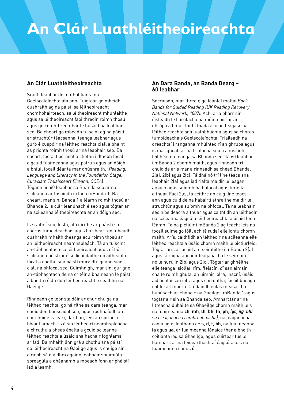#### **An Clár Luathléitheoireachta**

Sraith leabhar do luathbhlianta na Gaelscolaíochta atá ann. Tuigtear go mbeidh dúshraith ag na páistí sa léitheoireacht chomhpháirteach, sa léitheoireacht mhúnlaithe agus sa léitheoireacht faoi threoir, roimh thosú agus go comhthreomhar le húsáid na leabhar seo. Ba cheart go mbeadh tuiscint ag na páistí ar struchtúr téacsanna, teanga leabhar agus gurb é cuspóir na léitheoireachta ciall a bhaint as prionta roimh thosú ar na leabhair seo. Ba cheart, fosta, fiosracht a chothú i dtaobh focal, a gcuid fuaimeanna agus patrún agus an dóigh a bhfuil focail déanta mar dhúshraith. (*Reading, Language and Literacy in the Foundation Stage, Curaclam Thuaisceart Éireann, CCEA*). Tógann an 60 leabhar sa Bhanda seo ar na scileanna ar tosaíodh orthu i mBanda 1. Ba cheart, mar sin, Banda 1 a léamh roimh thosú ar Bhanda 2. Is clár leanúnach é seo agus tógtar ar na scileanna léitheoireachta ar an dóigh seo.

Is sraith í seo, fosta, atá dírithe ar pháistí sa chóras tumoideachais agus ba cheart go mbeadh dúshraith mhaith theanga acu roimh thosú ar an léitheoireacht neamhspleách. Tá an tuiscint an-tábhachtach sa léitheoireacht agus ní fiú scileanna nó straitéisí díchódaithe nó aitheanta focal a chothú sna páistí mura dtuigeann siad ciall na bhfocal seo. Cuimhnigh, mar sin, gur gné an-tábhachtach de na critéir a bhaineann le páistí a bheith réidh don léitheoireacht é sealbhú na Gaeilge.

Rinneadh go leor staidéir ar chur chuige na léitheoireachta, go háirithe sa dara teanga, mar chuid den tionscadal seo, agus roghnaíodh an cur chuige is fearr, dar linn, leis an sprioc a bhaint amach. Is é sin léitheoirí neamhspleácha a chruthú a bheas ábalta a gcuid scileanna léitheoireachta a úsáid sna hachair foghlama ar fad. Ba mhaith linn grá a chothú sna páistí do léitheoireacht na Gaeilge agus is chuige sin a raibh sé d'aidhm againn leabhair shuimiúla spreagúla a dhéanamh a mbeadh fonn ar pháistí iad a léamh.

#### **An Dara Banda, an Banda Dearg – 60 leabhar**

Socraíodh, mar threoir, go leanfaí moltaí *Book Bands for Guided Reading (UK Reading Recovery National Network, 2007).* Ach, ar a bharr sin, éisteadh le barúlacha na múinteoirí ar an ghrúpa a bhfuil taithí fhada acu ag teagasc na léitheoireachta sna luathbhlianta agus sa chóras tumoideachais Gaelscolaíochta. Triaileadh na dréachtaí i ranganna mhúinteoirí an ghrúpa agus is mar gheall ar na trialacha seo a aimsíodh leibhéal na teanga sa Bhanda seo. Tá 60 leabhar i mBanda 2 chomh maith, agus rinneadh trí chuid de arís mar a rinneadh sa chéad Bhanda, 2(a), 2(b) agus 2(c). Tá dhá nó trí líne téacs sna leabhair 2(a) agus iad rialta maidir le leagan amach agus suíomh na bhfocal agus furasta a thuar. Faoi 2(c), tá ceithre nó cúig líne téacs ann agus cuid de na habairtí athraithe maidir le struchtúr agus suíomh na bhfocal. Tá na leabhair seo níos deacra a thuar agus caithfidh an léitheoir na scileanna éagsúla léitheoireachta a úsáid lena léamh. Tá na pictiúir i mBanda 2 ag teacht leis na focail suime go fóill ach tá rudaí eile iontu chomh maith. Arís, caithfidh an léitheoir na scileanna eile léitheoireachta a úsáid chomh maith le pictiúrleid. Tógtar arís ar úsáid an tséimhithe i mBanda 2(a) agus tá rogha ann idir leaganacha le séimhiú nó le hurú in 2(b) agus 2(c). Tógtar ar ghnéithe eile teanga; siollaí, rím, fleiscín, *d'* san aimsir chaite roimh ghuta, an uimhir iolra, inscní, úsáid aidiachtaí san iolra agus san uatha, focail bheaga i bhfocail mhóra. Clúdaíodh eolas measartha bunúsach ar Fhónaic na Gaeilge i mBanda 1 agus tógtar air sin sa Bhanda seo. Amharctar ar na litreacha dúbailte sa Ghaeilge chomh maith leis na fuaimeanna **ch**, **mh**, **th**, **bh**, **fh**, **ph**, *(gc, ng, bhf sna leaganacha comhroghnacha),* na leaganacha caola agus leathana de **s**, **d**, **t**, **bh**, na fuaimeanna **ia** agus **ua**, ar fuaimeanna fónaice thar a bheith coitianta iad sa Ghaeilge, agus cuirtear tús le hamharc ar na féidearthachtaí éagsúla leis na fuaimeanna **í** agus **ú**.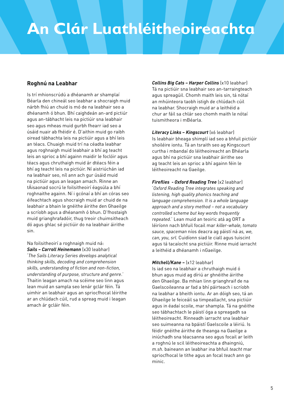#### **Roghnú na Leabhar**

Is trí mhionscrúdú a dhéanamh ar shamplaí Béarla den chineál seo leabhar a shocraigh muid nárbh fhiú an chuid is mó de na leabhair seo a dhéanamh ó bhun. Bhí caighdeán an-ard pictiúr agus an-tábhacht leis na pictiúir sna leabhair seo agus mheas muid gurbh fhearr iad seo a úsáid nuair ab fhéidir é. D'aithin muid go raibh oiread tábhachta leis na pictiúir agus a bhí leis an téacs. Chuaigh muid trí na céadta leabhar agus roghnaigh muid leabhair a bhí ag teacht leis an sprioc a bhí againn maidir le foclóir agus téacs agus chruthaigh muid ár dtéacs féin a bhí ag teacht leis na pictiúir. Ní aistriúchán iad na leabhair seo, níl ann ach gur úsáid muid na pictiúir agus an leagan amach. Rinne an tÁisaonad socrú le foilsitheoirí éagsúla a bhí roghnaithe againn. Ní i gcónaí a bhí an córas seo éifeachtach agus shocraigh muid ar chuid de na leabhair a bhain le gnéithe áirithe den Ghaeilge a scríobh agus a dhéanamh ó bhun. D'fhostaigh muid grianghrafadóir, thug treoir chuimsitheach dó agus ghlac sé pictiúir do na leabhair áirithe sin.

Na foilsitheoirí a roghnaigh muid ná: *Sails – Carroll Heinemann* (x30 leabhar) '*The Sails Literacy Series develops analytical thinking skills, decoding and comprehension skills, understanding of fiction and non-fiction, understanding of purpose, structure and genre*.' Thaitin leagan amach na scéime seo linn agus lean muid an sampla seo lenár gclár féin. Tá uimhir an leabhair agus an spriocfhocal léirithe ar an chlúdach cúil, rud a spreag muid i leagan amach ár gcláir féin.

*Collins Big Cats – Harper Collins* (x10 leabhar) Tá na pictiúir sna leabhair seo an-tarraingteach agus spreagúil. Chomh maith leis sin, tá nótaí an mhúinteora taobh istigh de chlúdach cúil na leabhar. Shocraigh muid ar a leithéid a chur ar fáil sa chlár seo chomh maith le nótaí tuismitheora i mBéarla.

*Literacy Links – Kingscourt* (x6 leabhar) Is leabhair bheaga shimplí iad seo a bhfuil pictiúir shoiléire iontu. Tá an tsraith seo ag Kingscourt curtha i mbandaí do léitheoireacht an Bhéarla agus bhí na pictiúir sna leabhair áirithe seo ag teacht leis an sprioc a bhí againn féin le léitheoireacht na Gaeilge.

*Fireflies - Oxford Reading Tree* (x2 leabhar) '*Oxford Reading Tree integrates speaking and listening, high quality phonics teaching and language comprehension. It is a whole language approach and a story method – not a vocabulary controlled scheme but key words frequently repeated*.' Lean muid an teoiric atá ag ORT a léiríonn nach bhfuil focail mar *killer-whale, tomato sauce, spaceman* níos deacra ag páistí ná *as, we, can, you, srl.* Cuidíonn siad le ciall agus tuiscint agus tá tacaíocht sna pictiúir. Rinne muid iarracht a leithéid a dhéanamh i nGaeilge.

#### *Mitchell/Kane –* (x12 leabhar)

Is iad seo na leabhair a chruthaigh muid ó bhun agus muid ag díriú ar ghnéithe áirithe den Ghaeilge. Ba mhian linn grianghraif de na Gaelscoileanna ar fad a bhí páirteach i scríobh na leabhar a bheith iontu. Ar an dóigh seo, tá an Ghaeilge le feiceáil sa timpeallacht, sna pictiúir agus in éadaí scoile, mar shampla. Tá na gnéithe seo tábhachtach le páistí óga a spreagadh sa léitheoireacht. Rinneadh iarracht sna leabhair seo suimeanna na bpáistí Gaelscoile a léiriú. Is féidir gnéithe áirithe de theanga na Gaeilge a iniúchadh sna téacsanna seo agus focail ar leith a roghnú le scil léitheoireachta a dhaingniú, *m.sh.* baineann an leabhar ina bhfuil *teacht* mar spriocfhocal le tithe agus an focal *teach* ann go minic.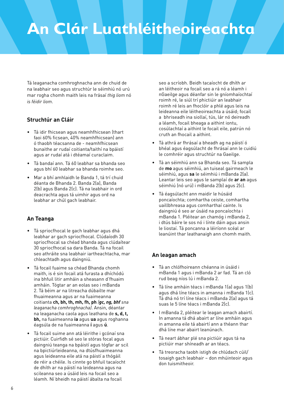Tá leaganacha comhroghnacha ann de chuid de na leabhair seo agus struchtúr le séimhiú nó urú mar rogha chomh maith leis na frásaí *thig liom* nó *is féidir liom*.

#### **Struchtúr an Cláir**

- Tá idir fhicsean agus neamhfhicsean (thart faoi 60% ficsean, 40% neamhfhicsean) ann ó thaobh téacsanna de - neamhfhicsean bunaithe ar rudaí coitianta/taithí na bpáistí agus ar rudaí atá i dtéamaí curaclaim.
- Tá bandaí ann. Tá 60 leabhar sa bhanda seo agus bhí 60 leabhar sa bhanda roimhe seo.
- Mar a bhí amhlaidh le Banda 1, tá trí chuid déanta de Bhanda 2. Banda 2(a), Banda 2(b) agus Banda 2(c). Tá na leabhair in ord deacrachta agus tá uimhir agus ord na leabhar ar chúl gach leabhair.

#### **An Teanga**

- Tá spriocfhocal le gach leabhar agus dhá leabhar ar gach spriocfhocal. Clúdaíodh 30 spriocfhocal sa chéad bhanda agus clúdaítear 30 spriocfhocal sa dara Banda. Tá na focail seo athráite sna leabhair iartheachtacha, mar chleachtadh agus daingniú.
- Tá focail fuaime sa chéad Bhanda chomh maith, is é sin focail atá furasta a dhíchódú ina bhfuil litir amháin a sheasann d'fhuaim amháin. Tógtar ar an eolas seo i mBanda 2. Tá béim ar na litreacha dúbailte mar fhuaimeanna agus ar na fuaimeanna coitianta **ch, bh, th, mh, fh, ph** *(gc, ng, bhf sna leaganacha comhroghnacha)*. Ansin, déantar na leaganacha caola agus leathana de **s, d, t, bh,** na fuaimeanna **ia** agus **ua** agus roghanna éagsúla de na fuaimeanna **í** agus **ú**.
- · Tá focail suime ann atá léirithe i gcónaí sna pictiúir. Cuirfidh sé seo le stóras focal agus daingniú teanga na bpáistí agus tógfar ar scil na bpictiúrleideanna, na dtúsfhuaimeanna agus leideanna eile atá na páistí a thógáil de réir a chéile. Is cinnte go bhfuil tacaíocht de dhíth ar na páistí na leideanna agus na scileanna seo a úsáid leis na focail seo a léamh. Ní bheidh na páistí ábalta na focail

seo a scríobh. Beidh tacaíocht de dhíth ar an léitheoir na focail seo a rá nó a léamh i nGaeilge agus déanfar sin le gníomhaíochtaí roimh ré, le siúl trí phictiúir an leabhair roimh ré leis an fhoclóir a phlé agus leis na leideanna eile léitheoireachta a úsáid; focail a bhriseadh ina siollaí, tús, lár nó deireadh a léamh, focail bheaga a aithint iontu, cosúlachtaí a aithint le focail eile, patrún nó cruth an fhocail a aithint.

- ǧ Tá athrá ar fhrásaí a bheadh ag na páistí ó bhéal agus éagsúlacht de fhrásaí ann le cuidiú le comhréir agus struchtúr na Gaeilge.
- Tá an séimhiú ann sa Bhanda seo. Tá sampla de **mo** agus séimhiú, an tuiseal gairmeach le séimhiú, agus **sa** le séimhiú i mBanda 2(a). Leantar leis seo agus le samplaí de **ar an** agus séimhiú (nó urú) i mBanda 2(b) agus 2(c).
- · Tá éagsúlacht ann maidir le húsáid poncaíochta; comhartha ceiste, comhartha uaillbhreasa agus comharthaí cainte. Is daingniú é seo ar úsáid na poncaíochta i mBanda 1. Pléitear an chamóg i mBanda 2, i dtús báire le sos nó i línte dáin agus ansin le liostaí. Tá poncanna a léiríonn scéal ar leanúint thar leathanaigh ann chomh maith.

#### **An leagan amach**

- Tá an chlófhoireann chéanna in úsáid i mBanda 1 agus i mBanda 2 ar fad. Tá an cló rud beag níos lú i mBanda 2.
- Tá líne amháin téacs i mBanda 1(a) agus 1(b) agus dhá líne téacs in amanna i mBanda 1(c). Tá dhá nó trí líne téacs i mBanda 2(a) agus tá suas le 5 líne téacs i mBanda 2(c).
- · I mBanda 2, pléitear le leagan amach abairtí. In amanna tá dhá abairt ar líne amháin agus in amanna eile tá abairtí ann a théann thar dhá líne mar abairt leanúnach.
- Tá neart ábhar plé sna pictiúir agus tá na pictiúir mar shíneadh ar an téacs.
- Tá treoracha taobh istigh de chlúdach cúil/ tosaigh gach leabhair – don mhúinteoir agus don tuismitheoir.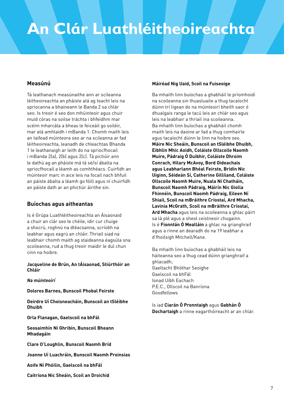#### **Measúnú**

Tá leathanach measúnaithe ann ar scileanna léitheoireachta an pháiste atá ag teacht leis na spriocanna a bhaineann le Banda 2 sa chlár seo. Is treoir é seo don mhúinteoir agus chuir muid córas na soilse tráchta i bhfeidhm mar scéim mharcála a bheas le feiceáil go soiléir, mar atá amhlaidh i mBanda 1. Chomh maith leis an taifead múinteora seo ar na scileanna ar fad léitheoireachta, leanadh de chleachtas Bhanda 1 le leathanaigh ar leith do na spriocfhocail i mBanda 2(a), 2(b) agus 2(c). Tá pictiúir ann le dathú ag an pháiste má tá sé/sí ábalta na spriocfhocail a léamh as comhthéacs. Cuirfidh an múinteoir marc in aice leis na focail nach bhfuil an páiste ábalta a léamh go fóill agus ní chuirfidh an páiste dath ar an phictiúr áirithe sin.

#### **Buíochas agus aitheantas**

Is é Grúpa Luathléitheoireachta an Áisaonaid a chuir an clár seo le chéile, idir cur chuige a shocrú, roghnú na dtéacsanna, scríobh na leabhar agus eagrú an chláir. Thriail siad na leabhair chomh maith ag staideanna éagsúla sna scoileanna, rud a thug treoir maidir le dul chun cinn na hoibre.

**Jacqueline de Brún, An tÁisaonad, Stiúrthóir an Chláir**

*Na múinteoirí*

**Dolores Barnes, Bunscoil Phobal Feirste**

**Deirdre Uí Choisneacháin, Bunscoil an tSléibhe Dhuibh**

**Orla Flanagan, Gaelscoil na bhFál**

**Seosaimhín Ní Ghribín, Bunscoil Bheann Mhadagáin**

**Clare O'Loughlin, Bunscoil Naomh Bríd**

**Joanne Uí Luachráin, Bunscoil Naomh Proinsias**

**Aoife Ní Phóilin, Gaelscoil na bhFál**

**Caitríona Nic Sheáin, Scoil an Droichid**

#### **Máiréad Nig Uaid, Scoil na Fuiseoige**

Ba mhaith linn buíochas a ghabháil le príomhoidí na scoileanna sin thuasluaite a thug tacaíocht dúinn trí ligean do na múinteoirí bheith saor ó dhualgais ranga le tacú leis an chlár seo agus leis na leabhair a thriail ina scoileanna. Ba mhaith linn buíochas a ghabháil chomh maith leis na daoine ar fad a thug comhairle agus tacaíocht dúinn le linn na hoibre seo. **Máire Nic Sheáin, Bunscoil an tSléibhe Dhuibh, Eibhlín Mhic Aoidh, Coláiste Ollscoile Naomh Muire, Pádraig Ó Duibhir, Coláiste Dhroim Conrach, Hilary McAvoy, Bord Oideachais agus Leabharlann Bhéal Feirste, Brídín Nic Uiginn, Séideán Sí, Catherine Gilliland, Coláiste Ollscoile Naomh Muire, Nuala Ní Chatháin, Bunscoil Naomh Pádraig, Máirín Nic Giolla Fhinnéin, Bunscoil Naomh Pádraig, Eileen Ní Shiail, Scoil na mBráithre Críostaí, Ard Mhacha, Lavinia McGrath, Scoil na mBráithre Críostaí, Ard Mhacha** agus leis na scoileanna a ghlac páirt sa lá plé agus a sheol ceistneoir chugainn. Is é **Fionntán Ó Mealláin** a ghlac na grianghraif agus a rinne an dearadh do na 19 leabhar a d'fhoilsigh Mitchell/Kane.

Ba mhaith linn buíochas a ghabháil leis na háiteanna seo a thug cead dúinn grianghraif a ghlacadh; Gaeltacht Bhóthar Seoighe Gaelscoil na bhFál Ionad Uíbh Eachach P.E.C., Ollscoil na Banríona Goodfellows

Is iad **Ciarán Ó Pronntaigh** agus **Gabhán Ó Dochartaigh** a rinne eagarthóireacht ar an chlár.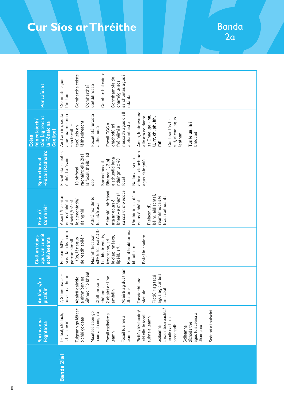## **Cur Síos ar Thréithe**

Banda  $2a$ 

|            | Spriocanna<br><b>Foghlama</b>                              | An téacs/na<br>pictiúir                                    | agus an cineál<br>Ciall an téacs<br>scéil/seánra                          | Comhréir<br>Frásaí/                                    | -Focail Radhairc<br>Spriocthocail                       | Cód lag teacht<br>fóineolaíoch/<br>le Fónaic na<br>Gaeilge)<br><b>Eolas</b>         | Poncaíocht                        |
|------------|------------------------------------------------------------|------------------------------------------------------------|---------------------------------------------------------------------------|--------------------------------------------------------|---------------------------------------------------------|-------------------------------------------------------------------------------------|-----------------------------------|
| Banda 2(a) | Teideal, clúdach,<br>srl. a aimsiú                         | 2, 3 líne téacs -<br>furasta a thuar                       | scéalta a leanann<br>patrún simplí<br>Ficsean 60%,                        | Abairtí/frásaí ar<br>eolas ó bhéal<br>Abairtí/frásaí   | Focail atá ar eolas<br>ó bhéal a úsáid                  | Aird ar rím, siollaí<br>agus fuaimeanna<br>sna focail le                            | Ceannlitir agus<br>lánstad        |
|            | Tuigeann go léitear<br>ó chlé go deas                      | bhéal<br>Abairtí gairide<br>a aithníonn na<br>léitheoirí ó | deireadh soiléir<br>- tús, lár agus                                       | le cleachtadh/<br>daingniú                             | s focail theibí iad<br>radhairc eile 2(a)<br>10 bhfocal | éitheoireacht<br>tacú leis an                                                       | Comhartha ceiste<br>Comharthaí    |
|            | Meaitseáil aon go<br>haon a dhaingniú<br>Focail radhairc a | euj<br>Clófhoireann<br>2 abairt ar<br>chéanna              | 40% le téamaí ADTO<br>Neamhfhicsean<br>Leabhair eolais,<br>treoracha, srl | Séimhiú i bhfrásaí<br>Athrá maidir le<br>focail/frásaí | Bhanda 1, 2(a)<br>Spriocfhocail<br>seo                  | Focail atá furasta<br>Focail CGC a<br>a dhíchódú                                    | Comharthaí cainte<br>uaillbhreasa |
|            | léamh                                                      | amháin                                                     | le clár, innéacs,<br>lipéid, srl.                                         | bhéal-a mhamaí,<br>atá ar eolas ó                      | a athúsáid lena<br>ndaingniú x 40                       | dhíchódú trí<br>fhóinéimí a                                                         | Corrshampla de<br>chamóg le sos,  |
|            | Focail fuaime a<br>léamh                                   | Abairtí ag dul thar<br>dhá líne                            | Roinnt leabhar ina<br>bhfuil rím                                          | Uimhir iolra atá ar<br>sa charr, mo phóca              | Na focail seo a<br>focal                                | nascadh agus ciall<br>a bhaint astu                                                 | sa chuntas agus i<br>ndánta       |
|            | Pictiúr/túsfhuaim/<br>leid eile le focail<br>suime a léamh | Pictiúir ag tacú<br>Tacaíocht sna<br>pictiúir              | Bolgáin chainte                                                           | béim, aidiachtaí,<br>eolas ó bhéal<br>Fleiscín, d',    | athrá - cleachtadh<br>agus daingniú                     | Ansin, fuaimeanna<br>sa Ghaeilge - nn,<br>eile atá coitianta<br>ll, rr, ch, ph, bh, |                                   |
|            | smaointeoireachta/<br>Scileanna                            | agus ag cur leis<br>an scéal                               |                                                                           | frásaí aitheanta<br>réamhfhocail le                    |                                                         | ء<br>E                                                                              |                                   |
|            | anailíseacha a<br>spreagadh                                |                                                            |                                                                           |                                                        |                                                         | s, t, d caol agus<br>Cuirtear tús le<br>leathan                                     |                                   |
|            | agus tuisceana a<br>díchódaithe<br>dhaingniú<br>Scileanna  |                                                            |                                                                           |                                                        |                                                         | Tús le ua, ia i<br>bhfocail                                                         |                                   |
|            | Seánraí a thuiscint                                        |                                                            |                                                                           |                                                        |                                                         |                                                                                     |                                   |
|            |                                                            |                                                            |                                                                           |                                                        |                                                         |                                                                                     |                                   |
|            |                                                            |                                                            |                                                                           |                                                        |                                                         |                                                                                     |                                   |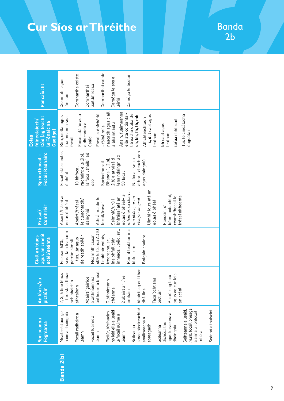## **Cur Síos ar Thréithe**

Banda<br>2b

|            | <b>Spriocanna</b><br><b>Foghlama</b>                                                                                                                                                                                                                                                                                                                                                                                | An téacs/na<br>pictiúir                                                                                                                                                                                                                                                                                                              | agus an cineál<br>Ciall an téacs<br>scéil/seánra                                                                                                                                                                                                                           | Comhréir<br>Frásaí/                                                                                                                                                                                                                                                                                                                                          | <b>Focail Radhairc</b><br>Spriocthocail-                                                                                                                                                                                                            | Cód (ag teacht<br>fóineolaíoch/<br>Le Fónaic na<br>Gaeilge)<br><b>Eolas</b>                                                                                                                                                                                                                                                                                                                          | Poncaiocht                                                                                                                                          |
|------------|---------------------------------------------------------------------------------------------------------------------------------------------------------------------------------------------------------------------------------------------------------------------------------------------------------------------------------------------------------------------------------------------------------------------|--------------------------------------------------------------------------------------------------------------------------------------------------------------------------------------------------------------------------------------------------------------------------------------------------------------------------------------|----------------------------------------------------------------------------------------------------------------------------------------------------------------------------------------------------------------------------------------------------------------------------|--------------------------------------------------------------------------------------------------------------------------------------------------------------------------------------------------------------------------------------------------------------------------------------------------------------------------------------------------------------|-----------------------------------------------------------------------------------------------------------------------------------------------------------------------------------------------------------------------------------------------------|------------------------------------------------------------------------------------------------------------------------------------------------------------------------------------------------------------------------------------------------------------------------------------------------------------------------------------------------------------------------------------------------------|-----------------------------------------------------------------------------------------------------------------------------------------------------|
| Banda 2(b) | smaointeoireachta/<br>m.sh. focail bheaga<br>Seánraí a thuiscint<br>Seifteanna a úsáid,<br>nó leid eile a úsáid<br>a aimsiú i bhfocail<br>Meaitseáil aon go<br>Pictiúr, túsfhuaim<br>haon a dhaingniú<br>agus tuisceana a<br>Focail radhairc a<br>le focail suime a<br>Focail fuaime a<br>ᡕᠣ<br>anailíseacha<br>díchódaithe<br>spreagadh<br>dhaingniú<br>Scileanna<br>Scileanna<br>mhóra<br>léamh<br>léamh<br>léamh | Abairtí ag dul thar<br>thuar<br>bhéal<br>2, 3, 4 líne téacs<br>agus ag cur leis<br>tacú<br>euj<br>Abairtí gairide<br>a aithníonn na<br>Tacaíocht sna<br>$\subseteq$<br>Clófhoirean<br>léitheoirí ó<br>ach abairtí<br>2 abairt ar<br>- furasta a<br>Pictiúir ag<br>athraíonn<br>chéanna<br>an scéal<br>dhá líne<br>amháin<br>pictiúir | 40% le téamaí ADTO<br>innéacs, lipéid, srl.<br>Roinnt leabhar ina<br>scéalta a leanann<br>Leabhair eolais,<br>Neamhfhicsean<br>Bolgáin chainte<br>deireadh soiléir<br>- tús, lár agus<br>ina bhfuil clár,<br>patrún simplí<br>treoracha, srl<br>Ficsean 60%.<br>bhfuil rím | Uimhir iolra atá ar<br>mhamaí, sa charr,<br>eolas ó bhéal-a<br>Abairtí/frásaí ar<br>béim, aidiachtaí<br>réamhfhocail le<br>frásaí aitheanta<br>mo phóca, ar an<br>Athrá maidir le<br>bhfrásaí atá ar<br>chat/ar an gcat<br>Séimhiú/urú i<br>le cleachtadh/<br>eolas ó bhéal<br>Abairtí/frásaí<br>eolas ó bhéal<br>focail/frásaí<br>Fleiscín, d',<br>daingniú | Focail atá ar eolas<br>athrá - cleachtadh<br>Is focail theibí iad<br>radhairc eile 2(b).<br>lena ndaingniú x<br>Bhanda 1, 2(a),<br>Na focail seo a<br>2(b) a athúsáid<br>agus daingniú<br>Spriocthocail<br>10 bhfocal<br>50 focal<br>ó bhéal<br>seo | Ansin, fuaimeanna<br>nascadh agus ciall<br>litreacha dúbailte,<br>eile atá coitianta -<br>Focail a dhíchódú<br>-s, d, t caol agus<br>Focail atá furasta<br>Tús le cineálacha<br>ch, bh, fh, th, mh<br>Rím, siollaí agus<br>fuaimeanna sna<br>Athchleachtadh<br>ia/ua i bhfocail<br>a bhaint astu<br>a dhíchódú a<br>bh caol agus<br>- fóinéimí a<br>èagsúla í<br>eathan<br>eathan<br>focail<br>úsáid | Comharthaí cainte<br>Comhartha ceiste<br>Camóga le liostaí<br>Camóga le sos a<br>Ceannlitir agus<br>uaillbhreasa<br>Comharthaí<br>lánstad<br>léiriú |
|            |                                                                                                                                                                                                                                                                                                                                                                                                                     |                                                                                                                                                                                                                                                                                                                                      |                                                                                                                                                                                                                                                                            |                                                                                                                                                                                                                                                                                                                                                              |                                                                                                                                                                                                                                                     |                                                                                                                                                                                                                                                                                                                                                                                                      |                                                                                                                                                     |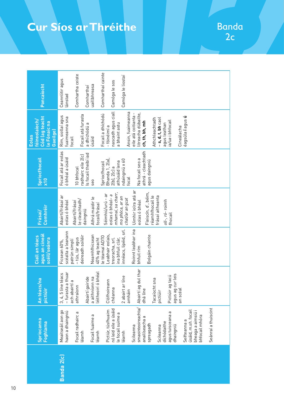## **Cur Síos ar Thréithe**

Banda  $2c$ 

| <b>Spriocanna</b><br>Foghlama                                                                                                                                                                                                                                                                                                                                                                                   | <b>na</b><br>An téacs/<br>pictiúir                                                                                                                                                                                                                                                                                                              | agus an cineál<br>Ciall an téacs<br>scéil/seánra                                                                                                                                                                                                                                         | Comhréir<br>Frásaí/                                                                                                                                                                                                                                                                                                                                                | <b>Spriocthocail</b><br>x10                                                                                                                                                                                                                                             | Cód (ag teacht<br>fóineolaíoch/<br>le Fónaic na<br>Gaeilge)<br>Eolas                                                                                                                                                                                                                                                                                                           | Poncaiocht                                                                                                                             |
|-----------------------------------------------------------------------------------------------------------------------------------------------------------------------------------------------------------------------------------------------------------------------------------------------------------------------------------------------------------------------------------------------------------------|-------------------------------------------------------------------------------------------------------------------------------------------------------------------------------------------------------------------------------------------------------------------------------------------------------------------------------------------------|------------------------------------------------------------------------------------------------------------------------------------------------------------------------------------------------------------------------------------------------------------------------------------------|--------------------------------------------------------------------------------------------------------------------------------------------------------------------------------------------------------------------------------------------------------------------------------------------------------------------------------------------------------------------|-------------------------------------------------------------------------------------------------------------------------------------------------------------------------------------------------------------------------------------------------------------------------|--------------------------------------------------------------------------------------------------------------------------------------------------------------------------------------------------------------------------------------------------------------------------------------------------------------------------------------------------------------------------------|----------------------------------------------------------------------------------------------------------------------------------------|
| smaointeoireachta/<br>Seánraí a thuiscint<br>nó leid eile a úsáid<br>úsáid, m.sh. focail<br>bheaga a aimsiú i<br>Pictiúr, túsfhuaim<br>Meaitseáil aon go<br>haon a dhaingniú<br>agus tuisceana a<br>Focail radhairc a<br>le focail suime a<br>Focail fuaime a<br>bhfocail mhóra<br>anailíseacha a<br>Seifteanna a<br>díchódaithe<br>spreagadh<br>Scileanna<br>Scileanna<br>dhaingniú<br>léamh<br>léamh<br>léamh | lul thar<br>- furasta a thuar<br>bhéal<br>téacs<br>r leis<br>tacú<br>Line<br>na<br>Abairtí gairide<br>Tacaíocht sna<br>Clófhoireann<br>$\sigma$<br>ach abairtí<br>a aithníonn<br>éitheoirí ó<br>Abairtí ag d<br>agus ag cur<br>an scéal<br>2 abairt ar<br>3, 4, 5 line<br>Pictiúir ag<br>athraíonn<br>chéanna<br>dhá líne<br>amháin<br>pictiúir | innéacs, lipéid, srl.<br>Roinnt leabhar ina<br>scéalta a leanann<br>Leabhair eolais,<br>Neamhfhicsean<br>deireadh soiléir<br>Bolgáin chainte<br>le téamaí ADTO<br>- tús, lár agus<br>treoracha, srl.<br>40% ag teacht<br>ina bhfuil clár,<br>patrún simplí<br>Ficsean 60%,<br>bhfuil rím | Uimhir iolra atá ar<br>Fleiscín, d', béim,<br>mhamaí, sa charr,<br>Séimhiú/urú - ar<br>eolas ó bhéal-a<br>Abairtí/frásaí ar<br>réamhfhocail le<br>frásaí aitheanta<br>mo phóca, ar an<br>Athrá maidir le<br>chat/ar an gcat<br>le cleachtadh/<br>$oll$ -, $ró$ - roimh<br>eolas ó bhéal<br>Abairtí/frásaí<br>eolas ó bhéal<br>focail/frásaí<br>daingniú<br>fhocail | athrá - cleachtadh<br>Focail atá ar eolas<br>s focail theibí iad<br>radhairc eile 2(c)<br>ó bhéal a úsáid<br>Bhanda 1, 2(a),<br>Na focail seo a<br>ndaingniú x 60<br>agus daingniú<br>athúsáid lena<br>Spriocfhocail<br>$2(b)$ , $2(c)$ a<br>10 bhfocal<br>focal<br>seo | nascadh agus ciall<br>Ansin, fuaimeanna<br>litreacha dúbailte,<br>eile atá coitianta -<br>Focail a dhíchódú<br>Focail atá furasta<br>Rím, siollaí agus<br>éagsúla í agus ú<br>fuaimeanna sna<br>Athchleachtadh<br>$-$ s, d, t, bh caol<br>ia/ua i bhfocail<br>ch, th, bh, mh<br>a bhaint astu<br>agus leathan<br>a dhíchódú a<br>- fóinéimí a<br>Cineálacha<br>úsáid<br>focail | Comharthaí cainte<br>Comhartha ceiste<br>Camóga le liostaí<br>Ceannlitir agus<br>Camóga le sos<br>uaillbhreasa<br>Comharthaí<br>ánstad |
|                                                                                                                                                                                                                                                                                                                                                                                                                 |                                                                                                                                                                                                                                                                                                                                                 |                                                                                                                                                                                                                                                                                          |                                                                                                                                                                                                                                                                                                                                                                    |                                                                                                                                                                                                                                                                         |                                                                                                                                                                                                                                                                                                                                                                                |                                                                                                                                        |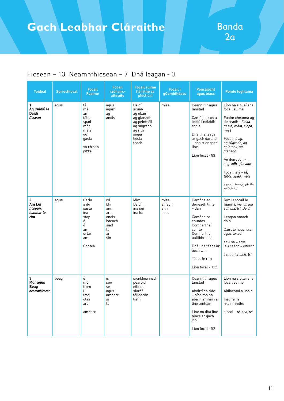| <b>Teideal</b>                                            | <b>Spriocfhocal</b> | <b>Focail</b><br><b>Fuaime</b>                                                       | <b>Focail</b><br>radhairc-<br>athráite                                   | <b>Focail suime</b><br>(léirithe sa<br>phictiúr)                                                              | <b>Focail i</b><br>gComhthéacs  | <b>Poncaíocht</b><br>agus téacs                                                                                                                                                          | <b>Pointe foghlama</b>                                                                                                                                                                                                                                                                                              |
|-----------------------------------------------------------|---------------------|--------------------------------------------------------------------------------------|--------------------------------------------------------------------------|---------------------------------------------------------------------------------------------------------------|---------------------------------|------------------------------------------------------------------------------------------------------------------------------------------------------------------------------------------|---------------------------------------------------------------------------------------------------------------------------------------------------------------------------------------------------------------------------------------------------------------------------------------------------------------------|
| 1<br>Ag Cuidiú le<br>Daidí<br>ficsean                     | agus                | tá<br>mé<br>an<br>tábla<br>spád<br>mór<br>mála<br>qo<br>gasta<br>sa chistin<br>pizza | agus<br>agam<br>ag<br>anois                                              | Daidí<br>scuab<br>ag obair<br>ag glanadh<br>ag péinteáil<br>ag súgradh<br>ag rith<br>siopa<br>liosta<br>teach | mise                            | Ceannlitir agus<br>lánstad<br>Camóg le sos a<br>léiriú i ndiaidh<br>anois<br>Dhá líne téacs<br>ar gach dara lch.<br>- abairt ar gach<br>líne.<br>Líon focal - 83                         | Líon na siollaí sna<br>focail suime<br>Fuaim chéanna ag<br>deireadh - liosta,<br>gasta, mála, siopa,<br>mise<br>Focail le ag,<br>ag súgradh, ag<br>péinteáil, ag<br>glanadh<br>An deireadh -<br>súgradh, glanadh<br>Focail le á – t <b>á</b> ,<br>tábla, spád, mála<br>t caol, teach, cistin,<br>péin <b>t</b> eáil |
| $\overline{2}$<br>Am Luí<br>ficsean,<br>leabhar le<br>rím | agus                | Carla<br>a dó<br>sásta<br>ina<br>stop<br>é<br>ó<br>an<br>urlár<br>am<br>Connla       | níl<br>bhí<br>ann<br>arsa<br>anois<br>isteach<br>siad<br>tá<br>ar<br>sin | léim<br>Daidí<br>ina suí<br>ina luí                                                                           | mise<br>a haon<br>a trí<br>suas | Camóga ag<br>deireadh línte<br>– dán<br>Camóga sa<br>chuntas<br>Comharthaí<br>cainte<br>Comharthaí<br>uaillbhreasa<br>Dhá líne téacs ar<br>gach lch.<br>Téacs le rím<br>Líon focal - 122 | Rím le focail le<br>fuaim í, ina luí, ina<br>suí, bhí, trí, Daidí<br>Leagan amach<br>dáin<br>Cairt le heachtraí<br>agus toradh<br>$ar + sa = arsa$<br>$is + teach = isteach$<br>t caol, <i>is<b>t</b>each</i> , <b>t</b> rí                                                                                         |
| 3<br>Mór agus<br>Beag<br>neamhfhicsean                    | beag                | $\acute{\text e}$<br>mór<br>trom<br>Ĺ<br>frog<br>glas<br>ard<br>amharc               | is<br>seo<br>sé<br>aqus<br>amharc<br>sí<br>tá                            | srónbheannach<br>pearóid<br>eilifint<br>sioráf<br>féileacán<br>liath                                          |                                 | Ceannlitir agus<br>lánstad<br>Abairtí gairide<br>– níos mó ná<br>abairt amháin ar<br>líne amháin<br>Líne nó dhá líne<br>téacs ar gach<br>lch.<br>Líon focal - 52                         | Líon na siollaí sna<br>focail suime<br>Aidiachtaí a úsáid<br>Inscne na<br>n-ainmhithe<br>s caol - sí, seo, sé                                                                                                                                                                                                       |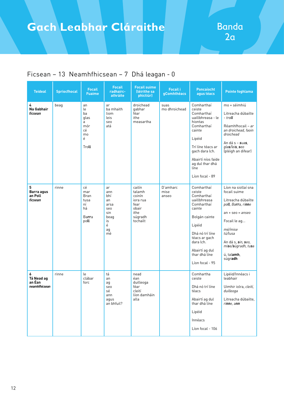## **Gach Leabhar Cláraithe | Banda**

| <b>Teideal</b>                             | <b>Spriocfhocal</b> | <b>Focail</b><br><b>Fuaime</b>                                | <b>Focail</b><br>radhairc-<br>athráite                                      | <b>Focail suime</b><br>(léirithe sa<br>phictiúr)                                       | <b>Focail i</b><br>gComhthéacs | Poncaíocht<br>agus téacs                                                                                                                                                                                        | <b>Pointe foghlama</b>                                                                                                                                                                                           |
|--------------------------------------------|---------------------|---------------------------------------------------------------|-----------------------------------------------------------------------------|----------------------------------------------------------------------------------------|--------------------------------|-----------------------------------------------------------------------------------------------------------------------------------------------------------------------------------------------------------------|------------------------------------------------------------------------------------------------------------------------------------------------------------------------------------------------------------------|
| 4<br>Na Gabhair<br>ficsean                 | beag                | an<br>le<br>ba<br>glas<br>a<br>mór<br>сé<br>mo<br>é<br>Troll  | ar<br>ba mhaith<br>liom<br>leis<br>seo<br>atá                               | droichead<br>qabhar<br>féar<br>ithe<br>measartha                                       | suas<br>mo dhroichead          | Comharthaí<br>ceiste<br>Comharthaí<br>uaillbhreasa - le<br>hiontas<br>Comharthaí<br>cainte<br>Lipéid<br>Trí líne téacs ar<br>gach dara lch.<br>Abairtí níos faide<br>ag dul thar dhá<br>líne<br>Líon focal - 89 | mo + séimhiú<br>Litreacha dúbailte<br>- troll<br>Réamhfhocail - ar<br>an droichead, faoin<br>droichead<br>An dá s – <b>s</b> ua <b>s</b> ,<br>glas/leis, seo<br>(pléigh an difear)                               |
| 5<br>Barra agus<br>an Poll<br>ficsean      | rinne               | cé<br>mar<br><b>Bran</b><br>tusa<br>ní<br>há<br>Barra<br>poll | ar<br>ann<br>bhí<br>an<br>arsa<br>seo<br>sin<br>beag<br>is<br>é<br>ag<br>mé | cailín<br>talamh<br>coinín<br>iora rua<br>fear<br>obair<br>ithe<br>súgradh<br>tochailt | D'amharc<br>mise<br>anseo      | Comharthaí<br>ceiste<br>Comharthaí<br>uaillbhreasa<br>Comharthaí<br>cainte<br>Bolgán cainte<br>Lipéid<br>Dhá nó trí líne<br>téacs ar gach<br>dara lch.<br>Abairtí ag dul<br>thar dhá líne<br>Líon focal - 95    | Líon na siollaí sna<br>focail suime<br>Litreacha dúbailte<br>poll, Barra, rinne<br>$an + seo = anseo$<br>Focail le ag<br>mé/mise<br>tú/tusa<br>An dá s, sin, seo,<br>mise/súgradh, tusa<br>ú, talamh,<br>súgradh |
| 6<br>Tá Nead ag<br>an Éan<br>neamhfhicsean | rinne               | le<br>clábar<br>forc                                          | tá<br>an<br>ag<br>seo<br>sé<br>ann<br>agus<br>an bhfuil?                    | nead<br>éan<br>duilleoga<br>féar<br>cleití<br>líon damháin<br>alla                     |                                | Comhartha<br>ceiste<br>Dhá nó trí líne<br>téacs<br>Abairtí ag dul<br>thar dhá líne<br>Lipéid<br>Innéacs<br>Líon focal - 106                                                                                     | Lipéid/Innéacs i<br>leabhair<br>Uimhir iolra, cleití,<br>duilleoga<br>Litreacha dúbailte.<br>ri <b>nn</b> e, a <b>nn</b>                                                                                         |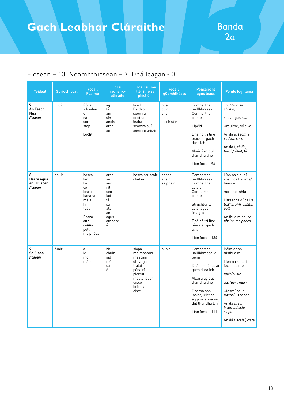| <b>Teideal</b>                           | <b>Spriocfhocal</b> | <b>Focail</b><br><b>Fuaime</b>                                                                                   | <b>Focail</b><br>radhairc-<br>athráite                                                 | <b>Focail suime</b><br>(léirithe sa<br>phictiúr)                                                                     | <b>Focail i</b><br>gComhthéacs              | <b>Poncaíocht</b><br>agus téacs                                                                                                                                                                              | Pointe foghlama                                                                                                                                                                                                             |
|------------------------------------------|---------------------|------------------------------------------------------------------------------------------------------------------|----------------------------------------------------------------------------------------|----------------------------------------------------------------------------------------------------------------------|---------------------------------------------|--------------------------------------------------------------------------------------------------------------------------------------------------------------------------------------------------------------|-----------------------------------------------------------------------------------------------------------------------------------------------------------------------------------------------------------------------------|
| 7<br>An Teach<br><b>Nua</b><br>ficsean   | chuir               | Róbat<br>folcadán<br>é<br>ná<br>sorn<br>stop<br>bocht                                                            | ag<br>tá<br>ann<br>sin<br>anois<br>arsa<br>sa                                          | teach<br>Daideo<br>seomra<br>folctha<br>leaba<br>seomra suí<br>seomra leapa                                          | nua<br>cuir<br>ansin<br>anseo<br>sa chistin | Comharthaí<br>uaillbhreasa<br>Comharthaí<br>cainte<br>Lipéid<br>Dhá nó trí líne<br>téacs ar gach<br>dara lch.<br>Abairtí ag dul<br>thar dhá líne<br>Líon focal - 96                                          | ch, chuir, sa<br>chistin.<br>chuir agus cuir<br>Orduithe, ná cuir<br>An dá s, <b>s</b> eomra,<br>sin/sa, sorn<br>An dá t, <i>cis<b>t</b>in</i> ,<br>teach/róbat, tá                                                         |
| 8<br>Barra agus<br>an Bruscar<br>ficsean | chuir               | bosca<br>lán<br>hé<br>сé<br>bruscar<br>banana<br>mála<br>hí<br>tusa<br>Barra<br>ann<br>canna<br>poll<br>mo phóca | arsa<br>sé<br>ann<br>níl<br>seo<br>iad<br>tá<br>sa<br>atá<br>an<br>aqus<br>amharc<br>é | bosca bruscair<br>claibín                                                                                            | anseo<br>ansin<br>sa pháirc                 | Comharthaí<br>uaillbhreasa<br>Comharthaí<br>ceiste<br>Comharthaí<br>cainte<br>Struchtúr le<br>ceist agus<br>freagra<br>Dhá nó trí líne<br>téacs ar gach<br>lch.<br>Líon focal - 134                          | Líon na siollaí<br>sna focail suime/<br>fuaime<br>mo + séimhiú<br>Litreacha dúbailte.<br>Barra, ann, canna,<br>poll<br>An fhuaim ph, sa<br>pháirc, mo phóca                                                                 |
| 9<br>Sa Siopa<br>ficsean                 | fuair               | a<br>le<br>mo<br>mála                                                                                            | bhí<br>chuir<br>iad<br>mé<br>sa<br>é                                                   | siopa<br>mo mhamaí<br>meacain<br>dhearga<br>tralaí<br>pónairí<br>piorraí<br>mealbhacán<br>uisce<br>brioscaí<br>císte | nuair                                       | Comhartha<br>uaillbhreasa le<br>héim<br>Dhá líne téacs ar<br>gach dara lch.<br>Abairtí ag dul<br>thar dhá líne<br>Bearna san<br>insint, léirithe<br>ag poncanna -ag<br>dul thar dhá lch.<br>Líon focal - 111 | Béim ar an<br>túsfhuaim<br>Líon na siollaí sna<br>focail suime<br>fuair/nuair<br>ua, fuair, nuair<br>Glasraí agus<br>torthaí - teanga<br>An dá s, <b>s</b> a,<br>brioscaí/císte,<br><b>s</b> iopa<br>An dá t, tralaí, císte |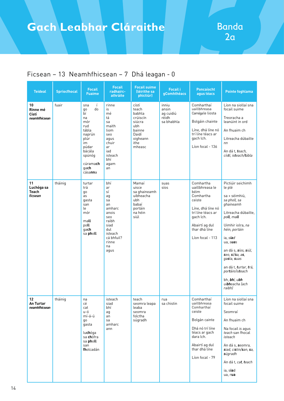## **Gach Leabhar Cláraithe | Banda**

| <b>Teideal</b>                              | <b>Spriocfhocal</b> | <b>Focail</b><br><b>Fuaime</b>                                                                                                                               | <b>Focail</b><br>radhairc-<br>athráite                                                                                              | <b>Focail suime</b><br>(léirithe sa<br>phictiúr)                                                       | <b>Focail i</b><br>gComhthéacs                     | <b>Poncaíocht</b><br>agus téacs                                                                                                                                            | <b>Pointe foghlama</b>                                                                                                                                                                                                                                                                                                           |
|---------------------------------------------|---------------------|--------------------------------------------------------------------------------------------------------------------------------------------------------------|-------------------------------------------------------------------------------------------------------------------------------------|--------------------------------------------------------------------------------------------------------|----------------------------------------------------|----------------------------------------------------------------------------------------------------------------------------------------------------------------------------|----------------------------------------------------------------------------------------------------------------------------------------------------------------------------------------------------------------------------------------------------------------------------------------------------------------------------------|
| 10<br>Rinne mé<br>Cístí<br>neamhfhicsean    | fuair               | í<br>sna<br>do<br>go<br>Ьí<br>na<br>mór<br>rud<br>tábla<br>naprún<br>plúr<br>im<br>púdar<br>bácála<br>spúnóg<br>cúrama <b>ch</b><br>qach<br>cása <b>nn</b> a | rinne<br>is<br>mé<br>tá<br>sa<br>maith<br>liom<br>seo<br>agus<br>chuir<br>ar<br>iad<br>isteach<br>bhí<br>agam<br>an                 | cístí<br>teach<br>babhla<br>crúiscín<br>siúcra<br>ubh<br>bainne<br>Daidí<br>oigheann<br>ithe<br>mheasc | inniu<br>ansin<br>ag cuidiú<br>réidh<br>sa bhabhla | Comharthaí<br>uaillbhreasa<br>Camógale liosta<br>Bolgáin chainte<br>Líne, dhá líne nó<br>trí líne téacs ar<br>gach lch.<br>Líon focal - 136                                | Líon na siollaí sna<br>focail suime<br>Treoracha a<br>leanúint in ord<br>An fhuaim ch<br>Litreacha dúbailte<br>n <sub>n</sub><br>An dá t, teach,<br>cístí, isteach/tábla                                                                                                                                                         |
| 11<br>Luchóga sa<br><b>Teach</b><br>ficsean | tháinig             | turtar<br>trá<br>go<br>as<br>gasta<br>san<br>le<br>mór<br>mall<br>poll<br>qach<br>sa pholl                                                                   | bhí<br>ar<br>sí<br>ag<br>sa<br>an<br>amharc<br>anois<br>seo<br>raibh<br>siad<br>dul<br>isteach<br>cá bhfuil?<br>rinne<br>na<br>agus | Mamaí<br>uisce<br>sa ghaineamh<br>uibheacha<br>ubh<br>babaí<br>portáin<br>na héin<br>siúl              | suas<br>síos                                       | Comhartha<br>uaillbhreasa le<br>héim<br>Comhartha<br>ceiste<br>Líne, dhá líne nó<br>trí líne téacs ar<br>gach lch.<br>Abairtí ag dul<br>thar dhá líne<br>Líon focal - 113  | Pictiúir seichimh<br>le plé<br>sa + séimhiú,<br>sa pholl, sa<br>ghaineamh<br>Litreacha dúbailte,<br>poll, mall<br>Uimhir iolra, na<br>héin, portáin<br>ia, siad<br>ua, suas<br>an dá s, síos, siúl,<br>seo, $s$ í/sa, as,<br>gasta, suas<br>an dá t, turtar, trá,<br>portáin/isteach<br>bh, bhí, ubh<br>uibheacha lach<br>raibh) |
| 12<br>An Turtar<br>neamhfhicsean            | tháinig             | na<br>cé<br>cat<br>u-ó<br>mí-á-ú<br>qo<br>gasta<br>luchóga<br>sa <b>ch</b> ófra<br>sa pholl<br>san<br>fholcadán                                              | isteach<br>siad<br>bhí<br>ag<br>an<br>sa<br>amharc<br>ann                                                                           | teach<br>seomra leapa<br>leaba<br>seomra<br>folctha<br>súgradh                                         | rua<br>sa chistin                                  | Comharthaí<br>uaillbhreasa<br>Comharthaí<br>ceiste<br>Bolgán cainte<br>Dhá nó trí líne<br>téacs ar gach<br>dara lch.<br>Abairtí ag dul<br>thar dhá líne<br>Líon focal - 79 | Líon na siollaí sna<br>focail suime<br>Seomraí<br>An fhuaim ch<br>Na focail is agus<br>teach san fhocal<br>isteach<br>An dá s, seomra,<br>siad, cistin/san, sa,<br><b>s</b> úgradh<br>An dá t, cat, teach<br>ia, siad<br>ua, rua                                                                                                 |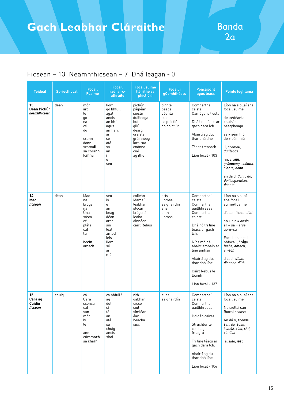| <b>Teideal</b>                      | <b>Spriocfhocal</b> | <b>Focail</b><br><b>Fuaime</b>                                                                      | <b>Focail</b><br>radhairc-<br>athráite                                                                            | <b>Focail suime</b><br>(léirithe sa<br>phictiúr)                                                                                  | <b>Focail i</b><br>gComhthéacs                                  | Poncaíocht<br>agus téacs                                                                                                                                                                                                                                  | Pointe foghlama                                                                                                                                                                                                                                                     |
|-------------------------------------|---------------------|-----------------------------------------------------------------------------------------------------|-------------------------------------------------------------------------------------------------------------------|-----------------------------------------------------------------------------------------------------------------------------------|-----------------------------------------------------------------|-----------------------------------------------------------------------------------------------------------------------------------------------------------------------------------------------------------------------------------------------------------|---------------------------------------------------------------------------------------------------------------------------------------------------------------------------------------------------------------------------------------------------------------------|
| 13<br>Déan Pictiúr<br>neamhfhicsean | déan                | mór<br>ard<br>le<br>go<br>na<br>cé<br>do<br>crann<br>donn<br>scamall<br>sa chra <b>nn</b><br>fómhar | liom<br>go bhfuil<br>agat<br>anois<br>an bhfuil<br>aqus<br>amharc<br>ar<br>sé<br>atá<br>sa<br>an<br>Ĺ<br>é<br>seo | pictiúr<br>páipéar<br>siosúr<br>duilleoga<br>buí<br>qliú<br>dearg<br>oráiste<br>gráinneog<br>iora rua<br>cnónna<br>cnó<br>ag ithe | cinnte<br>beaga<br>déanta<br>cuir<br>sa phictiúr<br>do phictiúr | Comhartha<br>ceiste<br>Camóga le liosta<br>Dhá líne téacs ar<br>gach dara lch.<br>Abairtí ag dul<br>thar dhá líne<br>Téacs treorach<br>Líon focal - 103                                                                                                   | Líon na siollaí sna<br>focail suime<br>déan/déanta<br>chuir/cuir<br>beag/beaga<br>sa + séimhiú<br>do + séimhiú<br>ll, scamall,<br>duilleoga<br>nn, crann,<br>gráinneog, cnónna,<br>ci <b>nn</b> te, do <b>nn</b><br>an dá d, donn, do,<br>duilleoga/déan,<br>déanta |
| 14<br>Mac<br>ficsean                | déan                | Mac<br>na<br>bróga<br>ná<br>Úna<br>sásta<br>сé<br>pláta<br>cat<br>tar<br>bocht<br>amach             | seo<br>is<br>é<br>an<br>beag<br>déan<br>arsa<br>sin<br>leat<br>amach<br>leis<br>liom<br>sé<br>ar<br>mé            | coileán<br>Mamaí<br>leabhar<br>stocaí<br>bróga tí<br>leaba<br>dinnéar<br>cairt Rebus                                              | arís<br>liomsa<br>sa ghairdín<br>ansin<br>d'ith<br>liomsa       | Comharthaí<br>ceiste<br>Comharthaí<br>uaillbhreasa<br>Comharthaí<br>cainte<br>Dhá nó trí líne<br>téacs ar gach<br>lch.<br>Níos mó ná<br>abairt amháin ar<br>líne amháin<br>Abairtí ag dul<br>thar dhá líne<br>Cairt Rebus le<br>léamh<br>Líon focal - 137 | Líon na siollaí<br>sna focail<br>suime/fuaime<br>d', san fhocal d'ith<br>$an + sin = ansin$<br>$ar + sa = arsa$<br>liom+sa<br>Focail bheaga i<br>bhfocail, bróga,<br>leaba, amach,<br>amach<br>d caol, déan,<br>dinnéar, d'ith                                      |
| 15<br>Cara ag<br>Cuidiú<br>ficsean  | chuig               | cá<br>Cara<br>sconsa<br>cat<br>san<br>mór<br>bí<br>le<br>ann<br>cúrama <b>ch</b><br>sa <b>charr</b> | cá bhfuil?<br>aq<br>dul<br>sí<br>tá<br>an<br>atá<br>sa<br>chuig<br>anois<br>siad                                  | rith<br>gabhar<br>uisce<br>siúl<br>simléar<br>éan<br>beacha<br>iasc                                                               | suas<br>sa ghairdín                                             | Comharthaí<br>ceiste<br>Comharthaí<br>uaillbhreasa<br>Bolgán cainte<br>Struchtúr le<br>ceist agus<br>freagra<br>Trí líne téacs ar<br>gach dara lch.<br>Abairtí ag dul<br>thar dhá líne<br>Líon focal - 106                                                | Líon na siollaí sna<br>focail suime<br>Na siollaí san<br>fhocal sconsa<br>An dá s, sconsa,<br>san, sa, suas,<br>iasc/sí, siad, siúl,<br>simléar<br>ia, siad, iasc                                                                                                   |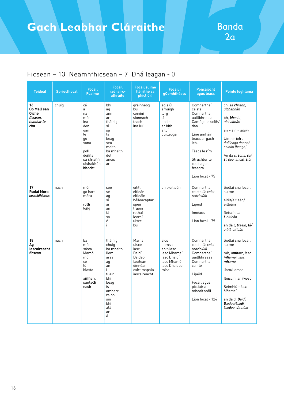## **Gach Leabhar Cláraithe | Banda**

| <b>Teideal</b>                                                            | <b>Spriocfhocal</b> | <b>Focail</b><br><b>Fuaime</b>                                                                                     | <b>Focail</b><br>radhairc-<br>athráite                                                                                                          | <b>Focail suime</b><br>(léirithe sa<br>phictiúr)                                                     | <b>Focail i</b><br>gComhthéacs                                                                  | <b>Poncaíocht</b><br>agus téacs                                                                                                                                                                   | Pointe foghlama                                                                                                                                                                                                     |
|---------------------------------------------------------------------------|---------------------|--------------------------------------------------------------------------------------------------------------------|-------------------------------------------------------------------------------------------------------------------------------------------------|------------------------------------------------------------------------------------------------------|-------------------------------------------------------------------------------------------------|---------------------------------------------------------------------------------------------------------------------------------------------------------------------------------------------------|---------------------------------------------------------------------------------------------------------------------------------------------------------------------------------------------------------------------|
| 16<br><b>Go Mall san</b><br><b>Oíche</b><br>ficsean,<br>leabhar le<br>rím | chuig               | cé<br>a<br>na<br>mór<br>ina<br>don<br>qan<br>le<br>qo<br>sona<br>poll<br>donna<br>sa chrann<br>ulchabhán<br>bhocht | bhí<br>aq<br>ann<br>ar<br>tháinig<br>sí<br>sa<br>tá<br>beag<br>seo<br>maith<br>ba mhaith<br>dul<br>anois<br>ar                                  | gráinneog<br>buí<br>coiníní<br>sionnach<br>teach<br>ina luí                                          | ag siúl<br>amuigh<br>lorg<br>tí<br>ansin<br>ar bith<br>a luí<br>duilleoga                       | Comharthaí<br>ceiste<br>Comharthaí<br>uaillbhreasa<br>Camóga le scíth/<br>dán<br>Líne amháin<br>téacs ar gach<br>lch.<br>Téacs le rím<br>Struchtúr le<br>ceist agus<br>freagra<br>Líon focal - 75 | ch, sa chrann,<br>ulchabhán<br>bh, bhocht,<br>ulcha <b>bh</b> án<br>$an + sin = ansin$<br>Uimhir iolra<br>duilleoga donna/<br>coiníní (beaga)<br>An dá s, sona, sa/<br>sí, seo, anois, siúl                         |
| 17<br>Rudaí Móra<br>neamhfhicsean                                         | nach                | mór<br>go hard<br>móra<br>roth<br>long                                                                             | seo<br>sé<br>ag<br>sí<br>ar<br>an<br>tá<br>sa<br>é<br>í                                                                                         | eitilt<br>eitleán<br>eitleáin<br>héileacaptar<br>spéir<br>traein<br>rothaí<br>leoraí<br>uisce<br>buí | an t-eitleán                                                                                    | Comharthaí<br>ceiste lle ceist<br>reitriciúill<br>Lipéid<br>Innéacs<br>Líon focal - 79                                                                                                            | Siollaí sna focail<br>suime<br>eitilt/eitleán/<br>eitleáin<br>fleiscín, an<br>t-eitleán<br>an dá t, traein, tá/<br>eitilt, eitleán                                                                                  |
| 18<br>Αg<br>lascaireacht<br>ficsean                                       | nach                | ba<br>mór<br>sásta<br>Mamó<br>mó<br>сé<br>lú<br>blasta<br>amharc<br>santach<br>nach                                | tháinig<br>chuia<br>ba mhaith<br>liom<br>arsa<br>aq<br>an<br>Ĺ<br>fuair<br>bhí<br>beag<br>is<br>amharc<br>raibh<br>sin<br>bhí<br>atá<br>ar<br>é | Mamaí<br>uisce<br>iasc<br>Daidí<br>Daideo<br>faoileán<br>dinnéar<br>cairt mapála<br>iascaireacht     | síos<br>liomsa<br>an t-iasc<br>jasc Mhamaí<br>iasc Dhaidí<br>iasc Mhamó<br>iasc Dhaideo<br>misc | Comharthaí<br>ceiste lle ceist<br><i>reitriciúill</i><br>Comharthaí<br>uaillbhreasa<br>Comharthaí<br>cainte<br>Lipéid<br>Focail agus<br>pictiúir a<br>mheaitseáil<br>Líon focal - 124             | Siollaí sna focail<br>suime<br>mh, a <b>mh</b> arc, iasc<br>mhamaí, iasc<br>mhamó<br>liom/liomsa<br>fleiscín, an t-iasc<br>Séimhiú - jasc<br>Mhamaí<br>an dá d, Daidí,<br>Daideo/Daidí,<br>Dai <b>d</b> eo, dinnéar |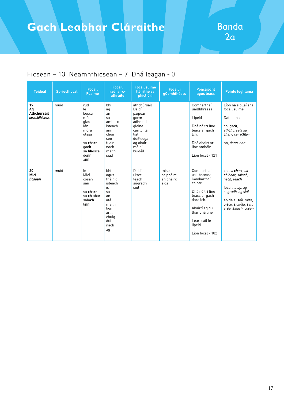| <b>Teideal</b>                           | <b>Spriocfhocal</b> | <b>Focail</b><br><b>Fuaime</b>                                                                                    | <b>Focail</b><br>radhairc-<br>athráite                                                                            | <b>Focail suime</b><br>(léirithe sa<br>phictiúr)                                                                                 | <b>Focail i</b><br><b>gComhthéacs</b>  | <b>Poncaíocht</b><br>aqus téacs                                                                                                                                                      | <b>Pointe foghlama</b>                                                                                                                                             |
|------------------------------------------|---------------------|-------------------------------------------------------------------------------------------------------------------|-------------------------------------------------------------------------------------------------------------------|----------------------------------------------------------------------------------------------------------------------------------|----------------------------------------|--------------------------------------------------------------------------------------------------------------------------------------------------------------------------------------|--------------------------------------------------------------------------------------------------------------------------------------------------------------------|
| 19<br>Ag<br>Athchúrsáil<br>neamhfhicsean | muid                | rud<br>le<br>bosca<br>mór<br>glas<br>lán<br>móra<br>glasa<br>sa charr<br>qach<br>sa <b>bh</b> osca<br>domn<br>ann | bhí<br>ag<br>an<br>sa<br>amharc<br>isteach<br>ann<br>chuir<br>seo<br>fuair<br>nach<br>maith<br>siad               | athchúrsáil<br>Daidí<br>páipéar<br>qorm<br>adhmad<br>aloine<br>cairtchláir<br>liath<br>duilleoga<br>ag obair<br>málaí<br>buidéil |                                        | Comharthaí<br>uaillbhreasa<br>Lipéid<br>Dhá nó trí líne<br>téacs ar gach<br>lch.<br>Dhá abairt ar<br>líne amháin<br>Líon focal - 121                                                 | Líon na siollaí sna<br>focail suime<br>Dathanna<br>ch, gach,<br>ath <b>ch</b> úrsála sa<br>charr, cairtchláir<br>nn, donn, ann                                     |
| 20<br>Micí<br>ficsean                    | muid                | le<br>Micí<br>cosán<br>san<br>sa charr<br>sa chlábar<br>salach<br><b>linn</b>                                     | bhí<br>agus<br>tháinig<br>isteach<br>is<br>sa<br>an<br>atá<br>maith<br>liom<br>arsa<br>chuig<br>dul<br>nach<br>ag | Daidí<br>uisce<br>teach<br>súgradh<br>siúl                                                                                       | mise<br>sa pháirc<br>an pháirc<br>síos | Comharthaí<br>uaillbhreasa<br>Comharthaí<br>cainte<br>Dhá nó trí líne<br>téacs ar gach<br>dara lch.<br>Abairtí ag dul<br>thar dhá líne<br>Léarscáil le<br>lipéid<br>Líon focal - 102 | ch, sa charr, sa<br>chlábar, salach,<br>nach, teach<br>focail le ag, ag<br>súgradh, ag siúl<br>an dá s, siúl, mise,<br>uisce, síos/sa, san,<br>arsa, salach, cosán |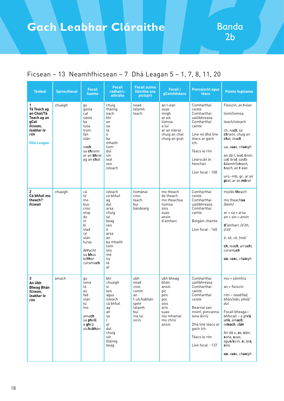| <b>Teideal</b>                                                                                              | <b>Spriocfhocal</b> | <b>Focail</b><br>fuaime                                                                                                                    | <b>Focail</b><br>radhairc-<br>athráite                                                                                                          | <b>Focail suime</b><br>(léirithe sna<br>pictiúir)                                                | <b>Focail i</b><br>gComhthéacs                                                                             | <b>Poncaíocht agus</b><br>téacs                                                                                                                                                                    | Pointe foghlama                                                                                                                                                                                                                                                                                                           |
|-------------------------------------------------------------------------------------------------------------|---------------------|--------------------------------------------------------------------------------------------------------------------------------------------|-------------------------------------------------------------------------------------------------------------------------------------------------|--------------------------------------------------------------------------------------------------|------------------------------------------------------------------------------------------------------------|----------------------------------------------------------------------------------------------------------------------------------------------------------------------------------------------------|---------------------------------------------------------------------------------------------------------------------------------------------------------------------------------------------------------------------------------------------------------------------------------------------------------------------------|
| 1<br>Tá Teach ag<br>an Chat/Tá<br>Teach ag an<br>gCat<br>ficsean,<br>leabhar le<br>rím<br><b>Dhá Leagan</b> | chuaigh             | go<br>qasta<br>cat<br>sásta<br>ba<br>tusa<br>trom<br>fan<br>slán<br>nach<br>sa chrann<br>ar an <b>bh</b> rat<br>ag an chat                 | chuig<br>tháinig<br>nach<br>bhí<br>an<br>sa<br>tá<br>é<br>ba<br>mhaith<br>liom<br>dul<br>sin<br>leat<br>seo<br>isteach                          | nead<br>talamh<br>teach                                                                          | an t-éan<br>suas<br>imigh<br>ar ais<br>liomsa<br>a luí<br>ar an mbrat<br>chuig an chat<br>chuig an gcat    | Comharthaí<br>ceiste<br>Comharthaí<br>uaillbhreasa<br>Comharthaí<br>cainte<br>Líne nó dhá líne<br>téacs ar gach<br>lch.<br>Téacs le rím<br>Léarscáil le<br>heochair<br>Líon focal - 108            | Fleiscín, an t-éan<br>liom/liomsa<br>teach/isteach<br>ch. nach. sa<br>chrann, chuig an<br>chat, teach<br>ua, s <b>ua</b> s, ch <b>ua</b> igh<br>an dá t, <i>lea<b>t</b>, <b>t</b>rom,</i><br>ca <b>t</b> , bra <b>t</b> , sás <b>t</b> a<br>talamh/isteach,<br>teach, an t-éan<br>urú -mb, gc, ar an<br>gcat, ar an mbrat |
| 2<br>Cá bhfuil mo<br>theach?<br>ficsean                                                                     | chuaigh             | cá<br>tú<br>mo<br>bus<br>cnoc<br>stop<br>do<br>ní<br>bí<br>stad<br>сé<br>slán<br>turas<br>Arracht<br>sa bhus<br>bóthar<br>cúrama <b>ch</b> | isteach<br>cá bhfuil<br>ag<br>dul<br>arsa<br>chuig<br>sé<br>beag<br>seo<br>é<br>arsa<br>an<br>ba mhaith<br>liom<br>leis<br>mé<br>sa<br>tá<br>ar | tiománaí<br>cnoc<br>teach<br>buí<br>bándearg                                                     | mo theach<br>do theach<br>mo theachsa<br>liomsa<br>síos<br>suas<br>ansin<br>d'amharc                       | Comharthaí<br>ceiste<br>Comharthaí<br>uaillbhreasa<br>Comharthaí<br>cainte<br>Bolgáin chainte<br>Líon focal - 160                                                                                  | mo/do theach<br>mo theachsa<br>(béim)<br>$ar + sa = arsa$<br>$an + sin = ansin$<br><b>d'</b> amharc (d'ith,<br>ďóll<br>é, sé, cé, (mé)<br>ch, teach, arracht,<br>cúrama <b>ch</b><br>ua, suas, chuaigh                                                                                                                    |
| 3<br>An Ubh<br><b>Bheag Bhán</b><br>ficsean.<br>leabhar le<br>rím                                           | amach               | go<br>sona<br>lá<br>as<br>fad<br>slán<br>tú<br>mo<br>amach<br>sa pholl<br>a <b>gh</b> rá<br>ulchabhán                                      | bhí<br>chuaigh<br>sí<br>leis<br>agus<br>isteach<br>cá bhfuil<br>ag<br>an<br>sa<br>Ĺ<br>ar<br>dul<br>chuig<br>sin<br>tháinig<br>beag             | ubh<br>nead<br>cnoc<br>coinín<br>an<br>t-ulchabhán<br>spéir<br>talamh<br>buí<br>ina luí<br>sicín | ubh bheag<br>bhán<br>ansin<br>pic<br>peic<br>poc<br>síos<br>arís<br>suas<br>mo mhamaí<br>mo chroí<br>ansin | Comharthaí<br>uaillbhreasa<br>Comharthaí<br>cainte<br>Comharthaí<br>ceiste<br>Bearnaí san<br>insint, poncanna<br>lena léiriú<br>Dhá líne téacs ar<br>gach lch.<br>Téacs le rím<br>Líon focal - 137 | mo + séimhiú<br>an + fleiscín<br>rím – nead/fad,<br>bhán/slán, pholl/<br>dul<br>Focail bheaga i<br>bhfocail – a gh <b>rá</b> ,<br>arís, amach,<br>is <b>teach</b> , slán<br>An dá s, sa, slán,<br>sona, suas,<br>agus/sicín, sí, leis,<br><i>síos</i><br>ua, suas, chuaigh                                                |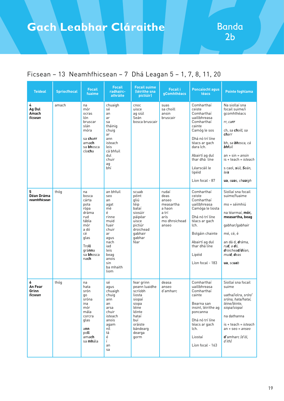| <b>Teideal</b>                   | <b>Spriocfhocal</b> | <b>Focail</b><br>fuaime                                                                                                            | <b>Focail</b><br>radhairc-<br>athráite                                                                                                                         | <b>Focail suime</b><br>(léirithe sna<br>pictiúir)                                                                                               | <b>Focail i</b><br>gComhthéacs                                                           | <b>Poncaíocht agus</b><br>téacs                                                                                                                                                                                             | <b>Pointe foghlama</b>                                                                                                                                                                                                                              |
|----------------------------------|---------------------|------------------------------------------------------------------------------------------------------------------------------------|----------------------------------------------------------------------------------------------------------------------------------------------------------------|-------------------------------------------------------------------------------------------------------------------------------------------------|------------------------------------------------------------------------------------------|-----------------------------------------------------------------------------------------------------------------------------------------------------------------------------------------------------------------------------|-----------------------------------------------------------------------------------------------------------------------------------------------------------------------------------------------------------------------------------------------------|
| 4<br>Ag Dul<br>Amach<br>ficsean  | amach               | na<br>mór<br>ocras<br>lón<br>bruscar<br>slán<br>móra<br>sa <b>charr</b><br>amach<br>sa bhosca<br>clocha                            | chuaigh<br>sé<br>an<br>ar<br>sa<br>tháinig<br>chuig<br>ar<br>ann<br>isteach<br>leis<br>cá bhfuil<br>dul<br>chuir<br>ag<br>bhí                                  | cnoc<br>uisce<br>ag siúl<br>Seán<br>bosca bruscair                                                                                              | suas<br>sa choill<br>ansin<br>bruscair                                                   | Comharthaí<br>ceiste<br>Comharthaí<br>uaillbhreasa<br>Comharthaí<br>cainte<br>Camóg le sos<br>Dhá nó trí líne<br>téacs ar gach<br>dara lch.<br>Abairtí ag dul<br>thar dhá líne<br>Léarscáil le<br>lipéid<br>Líon focal - 87 | Na siollaí sna<br>focail suime/i<br>gcomhthéacs<br>rr, carr<br>ch, sa <b>ch</b> oill, sa<br>charr<br>bh, sa <b>bh</b> osca, cá<br><b>bhfuil</b><br>$an + sin = ansin$<br>$is + teach = isteach$<br>s caol, siúl, Seán,<br>leis<br>ua, suas, chuaigh |
| 5<br>Déan Dráma<br>neamhfhicsean | thóg                | na<br>bosca<br>cárta<br>pota<br>rópa<br>dráma<br>rud<br>tábla<br>mór<br>a dó<br>сé<br>glas<br>Troll<br>gránna<br>sa bhosca<br>nach | an bhfuil<br>seo<br>an<br>agat<br>mé<br>é<br>rinne<br>muid<br>fuair<br>chuir<br>ar<br>aqus<br>nach<br>iad<br>leis<br>beag<br>anois<br>sin<br>ba mhaith<br>liom | scuab<br>péint<br>qliú<br>téip<br>bataí<br>siosúir<br>páipéar<br>uisce<br>pictiúr<br>droichead<br>gabhair<br>qabhar<br>féar                     | rudaí<br>deas<br>anseo<br>measartha<br>a haon<br>a trí<br>arís<br>mo dhroichead<br>anseo | Comharthaí<br>ceiste<br>Comharthaí<br>uaillbhreasa<br>Camóga le liosta<br>Dhá nó trí líne<br>téacs ar gach<br>lch.<br>Bolgáin chainte<br>Abairtí ag dul<br>thar dhá líne<br>Lipéid<br>Líon focal - 183                      | Siollaí sna focail<br>suime/fuaime<br>mo + séimhiú<br>na téarmaí, mór,<br>measartha, beag<br>gabhar/gabhair<br>mé, cé, é<br>an dá d, dráma,<br>ru <b>d</b> , a <b>d</b> ó,<br>droichead/déan,<br>muid, deas<br>ua, scuab                            |
| 6<br>An Fear<br>Grinn<br>ficsean | thóg                | na<br>hata<br>srón<br>go<br>sróna<br>ina<br>mór<br>mála<br>corcra<br>glas<br>ann<br>poll<br>amach<br>sa <b>mh</b> ála              | sé<br>agus<br>chuaigh<br>chuig<br>ann<br>an<br>arsa<br>chuir<br>isteach<br>anois<br>agam<br>níl<br>tá<br>é<br>Ĺ<br>an<br>sa                                    | fear grinn<br>peann luaidhe<br>scríobh<br>liosta<br>siopaí<br>siopa<br>léine<br>léinte<br>hataí<br>buí<br>oráiste<br>bándearg<br>dearga<br>gorm | deasa<br>anseo<br>d'amharc                                                               | Comharthaí<br>uaillbhreasa<br>Comharthaí<br>cainte<br>Bearna san<br>insint, léirithe ag<br>poncanna<br>Dhá nó trí líne<br>téacs ar gach<br>lch.<br>Liostaí<br>Líon focal - 163                                              | Siollaí sna focail<br>suime<br>uatha/iolra, <i>srón/</i><br>sróna, hata/hataí,<br>léine/léinte.<br>siopa/siopaí<br>na dathanna<br>$is + teach = isteach$<br>$an + seo = anseo$<br>d'amharc (d'ól,<br>d'ith)                                         |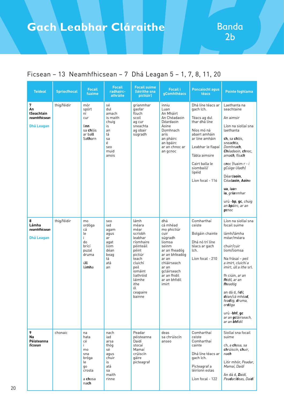| <b>Teideal</b>                                              | <b>Spriocfhocal</b> | <b>Focail</b><br>fuaime                                                                       | <b>Focail</b><br>radhairc-<br>athráite                                                       | <b>Focail suime</b><br>(léirithe sna<br>pictiúir)                                                                                                                                           | <b>Focail i</b><br>gComhthéacs                                                                                                                                                                    | <b>Poncaíocht agus</b><br>téacs                                                                                                                                                                                      | <b>Pointe foghlama</b>                                                                                                                                                                                                                                                                                                                                           |
|-------------------------------------------------------------|---------------------|-----------------------------------------------------------------------------------------------|----------------------------------------------------------------------------------------------|---------------------------------------------------------------------------------------------------------------------------------------------------------------------------------------------|---------------------------------------------------------------------------------------------------------------------------------------------------------------------------------------------------|----------------------------------------------------------------------------------------------------------------------------------------------------------------------------------------------------------------------|------------------------------------------------------------------------------------------------------------------------------------------------------------------------------------------------------------------------------------------------------------------------------------------------------------------------------------------------------------------|
| 7<br>An<br>tSeachtain<br>neamhfhicsean<br><b>Dhá Leagan</b> | thig/féidir         | mór<br>spórt<br>ní<br>cur<br>linn<br>sa <b>ch</b> lós<br>ar ball<br>Satharn                   | sé<br>dul<br>amach<br>is maith<br>chuig<br>is<br>an<br>tá<br>sa<br>é<br>seo<br>muid<br>anois | grianmhar<br>gaofar<br>fliuch<br>scoil<br>ag cur<br>sneachta<br>ag obair<br>súgradh                                                                                                         | inniu<br>Luan<br>An Mháirt<br>An Chéadaoin<br>Déardaoin<br>Aoine<br>Domhnach<br>arís<br>an pháirc<br>an bpáirc<br>ar an chnoc ar<br>an gcnoc                                                      | Dhá líne téacs ar<br>gach lch.<br>Téacs ag dul<br>thar dhá líne<br>Níos mó ná<br>abairt amháin<br>ar líne amháin<br>Leabhar le flapaí<br>Tábla aimsire<br>Cairt balla le<br>siombailí/<br>lipéid<br>Líon focal - 116 | Laethanta na<br>seachtaine<br>An aimsir<br>Líon na siollaí sna<br>laethanta<br>ch, sa chlós,<br>sneachta,<br>Domhnach,<br>Chéadaoin, chnoc,<br>amach, fliuch<br>cnoc Ifuaim r - i<br>gCúige Uladh)<br>Déardaoin,<br>Céadaoin. Aoine<br>$\mathsf{u}\mathsf{a}$ , luan<br>ia, grianmhar<br>urú -bp, gc, chuig<br>an <b>bp</b> áirc, ar an<br>$g$ cnoc              |
| 8<br>Lámha<br>neamhfhicsean<br>Dhá Leagan                   | thig/féidir         | mo<br>ordóga<br>cá<br>le<br>i.<br>do<br>brící<br>puzal<br>druma<br>úll<br>lámha               | seo<br>iad<br>agam<br>agus<br>ar<br>agat<br>liom<br>déan<br>beag<br>tá<br>atá<br>an          | lámh<br>méara<br>méar<br>scríobh<br>leabhar<br>ríomhaire<br>péinteáil<br>péint<br>pictiúr<br>teach<br>cluichí<br>peil<br>iomáint<br>liathróid<br>láimhe<br>ithe<br>ól<br>ceapaire<br>bainne | dhá<br>cá mhéad<br>mo phictiúr<br>cuir<br>súgradh<br>liomsa<br>seinm<br>ar an fheadóg<br>ar an bhfeadóg<br>ar an<br>chláirseach<br>ar an<br>gcláirseach<br>ar an fhidil<br>ar an bhfidil<br>imirt | Comharthaí<br>ceiste<br>Bolgáin chainte<br>Dhá nó trí líne<br>téacs ar gach<br>lch.<br>Líon focal - 210                                                                                                              | Líon na siollaí sna<br>focail suime<br>lámh/lámha<br>méar/méara<br>chuir/cuir<br>liom/liomsa<br>Na frásaí – peil<br>a imirt, cluichí a<br>imirt, úll a ithe srl.<br>fh ciúin, ar an<br>fhidil, ar an<br>fheadóg<br>an dá d, fidil,<br><b>d</b> éan/cá mhéa <b>d</b> ,<br>feadóg, druma,<br>ordóga<br>urú -bhf, gc<br>ar an gcláirseach,<br>ar an <b>bhf</b> idil |
| 9<br><b>Na</b><br>Péisteanna<br>ficsean                     | chonaic             | na<br>hata<br>сé<br>i.<br>mo<br>sna<br>bróga<br>le<br>qo<br>crosta<br>a <b>ch</b> osa<br>nach | nach<br>iad<br>arsa<br>thóg<br>sé<br>agus<br>chuir<br>is<br>atá<br>sa<br>maith<br>rinne      | Peadar<br>péisteanna<br>Daidí<br>stocaí<br>Mamaí<br>crúiscín<br>gáire<br>picteagraf                                                                                                         | deas<br>sa chrúiscín<br>anseo                                                                                                                                                                     | Comharthaí<br>ceiste<br>Comharthaí<br>cainte<br>Dhá líne téacs ar<br>gach lch.<br>Picteagraf a<br>léiríonn eolas<br>Líon focal - 122                                                                                 | Siollaí sna focail<br>suime<br>ch, a <b>ch</b> osa, sa<br>chrúiscín, chuir,<br>nach<br>Litir mhór, Peadar,<br>Mamaí, Daidí<br>An dá d, Daidí,<br>Peadar/deas, Daidí                                                                                                                                                                                              |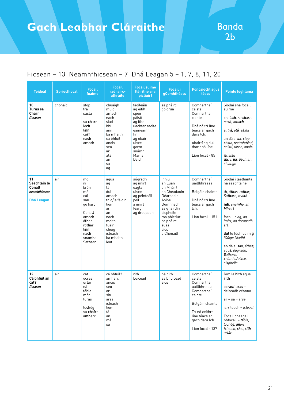| <b>Teideal</b>                                                     | <b>Spriocfhocal</b> | <b>Focail</b><br>fuaime                                                                                                             | <b>Focail</b><br>radhairc-<br>athráite                                                                                                    | <b>Focail suime</b><br>(léirithe sna<br>pictiúir)                                                                                                 | <b>Focail i</b><br>gComhthéacs                                                                                                                                        | <b>Poncaíocht agus</b><br>téacs                                                                                                                                        | <b>Pointe foghlama</b>                                                                                                                                                                                                                                                                                                       |
|--------------------------------------------------------------------|---------------------|-------------------------------------------------------------------------------------------------------------------------------------|-------------------------------------------------------------------------------------------------------------------------------------------|---------------------------------------------------------------------------------------------------------------------------------------------------|-----------------------------------------------------------------------------------------------------------------------------------------------------------------------|------------------------------------------------------------------------------------------------------------------------------------------------------------------------|------------------------------------------------------------------------------------------------------------------------------------------------------------------------------------------------------------------------------------------------------------------------------------------------------------------------------|
| 10<br>Turas sa<br><b>Charr</b><br>ficsean                          | chonaic             | stop<br>trá<br>sásta<br>sa charr<br>lo <b>ch</b><br>linn<br>carr<br>nach<br>amach                                                   | chuaigh<br>muid<br>amach<br>nach<br>siad<br>bhí<br>ann<br>ba mhaith<br>cá bhfuil<br>anois<br>seo<br>ar<br>atá<br>an<br>sa<br>ag           | faoileáin<br>ag eitilt<br>spéir<br>páistí<br>ag ithe<br>uachtar reoite<br>qaineamh<br>fir<br>ag obair<br>uisce<br>qorm<br>snámh<br>Mamaí<br>Daidí | sa pháirc<br>go crua                                                                                                                                                  | Comharthaí<br>ceiste<br>Comharthaí<br>cainte<br>Dhá nó trí líne<br>téacs ar gach<br>dara lch.<br>Abairtí ag dul<br>thar dhá líne<br>Líon focal - 85                    | Siollaí sna focail<br>suime<br>ch, lo <b>ch</b> , sa <b>ch</b> arr,<br>nach, amach<br>á, tr <b>á</b> , at <b>á</b> , s <b>á</b> sta<br>an dá s, sa, stop,<br>sásta, snámh/siad,<br>pái <b>s</b> tí, ui <b>s</b> ce, anoi <b>s</b><br>ia, siad<br>ua, crua, uachtar,<br>chuaigh                                               |
| 11<br>Seachtain le<br>Conall<br>neamhfhicsean<br><b>Dhá Leagan</b> | air                 | mo<br>ní<br>brón<br>mé<br>cúl<br>san<br>go hard<br>Conall<br>amach<br>áthas<br>rothar<br>linn<br>nach<br>sná <b>mh</b> a<br>Satharn | agus<br>ag<br>tá<br>dul<br>amach<br>thig/is féidir<br>liom<br>ar<br>an<br>nach<br>maith<br>fuair<br>chuig<br>isteach<br>ba mhaith<br>leat | súgradh<br>ag imirt<br>eagla<br>uisce<br>ag péinteáil<br>peil<br>a imirt<br>fearg<br>ag dreapadh                                                  | inniu<br>an Luan<br>an Mháirt<br>an Chéadaoin<br>Déardaoin<br>Aoine<br>Domhnach<br>sa ghairdín<br>cispheile<br>mo phictiúr<br>sa pháirc<br>suas<br>síos<br>a Chonaill | Comharthaí<br>uaillbhreasa<br>Bolgáin chainte<br>Dhá nó trí líne<br>téacs ar gach<br>lch.<br>Líon focal - 151                                                          | Siollaí i laethanta<br>na seachtaine<br>th, áthas, rothar,<br>Satharn, maith<br>mh, snámha, an<br><b>Mh</b> áirt<br>focail le ag, ag<br>imirt, ag dreapadh<br>srl.<br><b>dul</b> le túsfhuaim <b>g</b><br>(Cúige Uladh)<br>an dá s, <b>s</b> an, átha <b>s</b> ,<br>agus, súgradh,<br>Satharn,<br>snámha/uisce,<br>cispheile |
| 12<br>Cá bhfuil an<br>cat?<br>ficsean                              | air                 | cat<br>ocras<br>urlár<br>ná<br>tábla<br>mór<br>turas<br>luchóg<br>sa <b>ch</b> ófra<br>amharc                                       | cá bhfuil?<br>amharc<br>anois<br>seo<br>ar<br>sin<br>arsa<br>isteach<br>liom<br>tá<br>an<br>mé<br>sa                                      | rith<br>buicéad                                                                                                                                   | ná hith<br>sa bhuicéad<br>síos                                                                                                                                        | Comharthaí<br>ceiste<br>Comharthaí<br>uaillbhreasa<br>Comharthaí<br>cainte<br>Bolgáin chainte<br>Trí nó ceithre<br>líne téacs ar<br>gach dara lch.<br>Líon focal - 137 | Rím le hith agus<br>rith<br>ocras/turas-<br>deireadh céanna<br>$ar + sa = arsa$<br>$is + teach = isteach$<br>Focail bheaga i<br>bhfocail - tábla,<br>luchóg, anois,<br>isteach, síos, rith,<br>urlár                                                                                                                         |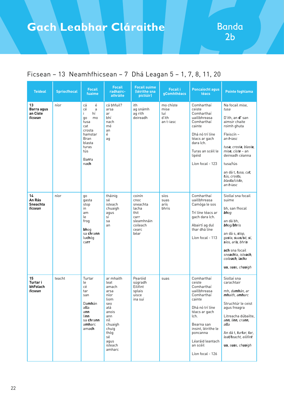| <b>Teideal</b>                             | <b>Spriocfhocal</b> | <b>Focail</b><br>fuaime                                                                                                                     | <b>Focail</b><br>radhairc-<br>athráite                                                                                                                 | <b>Focail suime</b><br>(léirithe sna<br>pictiúir)                                              | <b>Focail i</b><br>gComhthéacs                 | <b>Poncaíocht agus</b><br>téacs                                                                                                                                                                                             | <b>Pointe foghlama</b>                                                                                                                                                                                                                                                  |
|--------------------------------------------|---------------------|---------------------------------------------------------------------------------------------------------------------------------------------|--------------------------------------------------------------------------------------------------------------------------------------------------------|------------------------------------------------------------------------------------------------|------------------------------------------------|-----------------------------------------------------------------------------------------------------------------------------------------------------------------------------------------------------------------------------|-------------------------------------------------------------------------------------------------------------------------------------------------------------------------------------------------------------------------------------------------------------------------|
| 13<br>Barra agus<br>an Císte<br>ficsean    | níor                | é<br>cá<br>сé<br>a<br>hí<br>i.<br>qo<br>mo<br>tusa<br>cat<br>crosta<br>hamstar<br>Bran<br>blasta<br>turas<br>tús<br>Barra<br>nach           | cá bhfuil?<br>arsa<br>ar<br>bhí<br>nach<br>mé<br>an<br>é<br>ag                                                                                         | ith<br>ag snámh<br>ag rith<br>deireadh                                                         | mo chíste<br>mise<br>luí<br>d'ith<br>an t-iasc | Comharthaí<br>ceiste<br>Comharthaí<br>uaillbhreasa<br>Comharthaí<br>cainte<br>Dhá nó trí líne<br>téacs ar gach<br>dara lch.<br>Turas an scéil le<br>lipéid<br>Líon focal - 123                                              | Na focail mise,<br>tusa<br>D'ith, an d' san<br>aimsir chaite<br>roimh ghuta<br>Fleiscín -<br>an <b>t-</b> iasc<br>tusa, crosta, blasta,<br>mise, císte – an<br>deireadh céanna<br>tusa/tús<br>an dá t, tusa, cat,<br>tús, crosta,<br>blasta/císte.<br>an <b>t-</b> iasc |
| 14<br>An Rás<br><b>Sneachta</b><br>ficsean | níor                | go<br>gasta<br>stop<br>in<br>am<br>le<br>frog<br>bhog<br>sa chrann<br>luchóg<br>carr                                                        | tháinig<br>sé<br>isteach<br>chuaigh<br>agus<br>sí<br>sa<br>an                                                                                          | coinín<br>cnoc<br>sneachta<br>lacha<br>thit<br>carr<br>sleamhnáin<br>coileach<br>cearc<br>béar | síos<br>suas<br>arís<br>bhris                  | Comharthaí<br>uaillbhreasa<br>Camóga le sos<br>Trí líne téacs ar<br>gach dara lch.<br>Abairtí ag dul<br>thar dhá líne<br>Líon focal - 113                                                                                   | Siollaí sna focail<br>suime<br>bh, san fhocal<br>bhog<br>an dá bh,<br>bhog/bhris<br>an dá s, stop,<br>gasta, suas/sé, sí,<br>síos, arís, bhris<br>ach sna focail<br>sneachta, isteach,<br>coile <b>ach</b> , l <b>ach</b> a<br>ua, suas, chuaigh                        |
| 15<br>Turtar i<br>bhFolach<br>ficsean      | teacht              | Turtar<br>le<br>сé<br>tar<br>san<br>Da <b>mh</b> án<br>alla<br>ann<br>linn<br>sa <b>ch</b> ra <b>nn</b><br>a <b>mh</b> arc<br>ama <b>ch</b> | ar mhaith<br>leat<br>amach<br>arsa<br>níor<br>liom<br>seo<br>atá<br>anois<br>ann<br>níl<br>chuaigh<br>chuig<br>thóg<br>sé<br>agus<br>isteach<br>amharc | Pearóid<br>súgradh<br>Eilifint<br>splais<br>uisce<br>ina suí                                   | suas                                           | Comharthaí<br>ceiste<br>Comharthaí<br>uaillbhreasa<br>Comharthaí<br>cainte<br>Dhá nó trí líne<br>téacs ar gach<br>lch.<br>Bearna san<br>insint, léirithe le<br>poncanna<br>Léaráid leantach<br>an scéil<br>Líon focal - 126 | Siollaí sna<br>carachtair<br>mh, da <b>mh</b> án, ar<br>mhaith, amharc<br>Struchtúr le ceist<br>agus freagra<br>Litreacha dúbailte,<br>ann, linn, crann,<br>alla<br>An dá t, turtar, tar,<br>leat/teacht, eilifint<br>ua, suas, chuaigh                                 |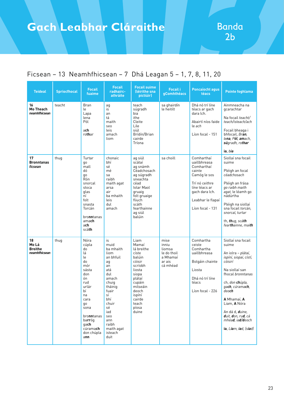| <b>Teideal</b>                                 | <b>Spriocfhocal</b> | <b>Focail</b><br>fuaime                                                                                                                                                                        | <b>Focail</b><br>radhairc-<br>athráite                                                                                                                                                                  | <b>Focail suime</b><br>(léirithe sna<br>pictiúir)                                                                                                                                    | <b>Focail i</b><br>gComhthéacs                                           | <b>Poncaíocht agus</b><br>téacs                                                                                                                                  | <b>Pointe foghlama</b>                                                                                                                                                                                                                                                                                                                                                              |
|------------------------------------------------|---------------------|------------------------------------------------------------------------------------------------------------------------------------------------------------------------------------------------|---------------------------------------------------------------------------------------------------------------------------------------------------------------------------------------------------------|--------------------------------------------------------------------------------------------------------------------------------------------------------------------------------------|--------------------------------------------------------------------------|------------------------------------------------------------------------------------------------------------------------------------------------------------------|-------------------------------------------------------------------------------------------------------------------------------------------------------------------------------------------------------------------------------------------------------------------------------------------------------------------------------------------------------------------------------------|
| 16<br><b>Mo Theach</b><br>neamhfhicsean        | teacht              | <b>Bran</b><br>le<br>Lapa<br>lena<br>Pól<br>ach<br>rothar                                                                                                                                      | ag<br>is<br>an<br>tá<br>maith<br>seo<br>leis<br>amach<br>liom                                                                                                                                           | teach<br>súgradh<br>bia<br>ithe<br>Cleite<br>Lile<br>siúl<br>Brídín/Brian<br>cairde<br>Tríona                                                                                        | sa ghairdín<br>le heitilt                                                | Dhá nó trí líne<br>téacs ar gach<br>dara lch.<br>Abairtí níos faide<br>le ach<br>Líon focal - 151                                                                | Ainmneacha na<br>gcarachtar<br>Na focail teacht/<br>teach/isteach/ach<br>Focail bheaga i<br>bhfocail, Bran,<br>lena, Pól, amach,<br>súgradh, rothar<br>ia. bia                                                                                                                                                                                                                      |
| 17<br><b>Bronntanas</b><br>ficsean             | thug                | Turtar<br>qo<br>mall<br>dó<br>go<br>Rón<br>snorcal<br>stoca<br>glas<br>ní<br>folt<br>snasta<br>Torcán<br>bronntanas<br>amach<br>ach<br>scáth                                                   | chonaic<br>bhí<br>sé<br>mé<br>sa<br>raibh<br>maith agat<br>arsa<br>air<br>ba mhaith<br>leis<br>dul<br>amach                                                                                             | ag siúl<br>scátaí<br>ag snámh<br>Céadchosach<br>ag súgradh<br>sneachta<br>céad<br><b>Iolar Maol</b><br>gruaig<br>folt gruaige<br>fliuch<br>scáth<br>fearthainne<br>ag siúl<br>balúin | sa choill                                                                | Comharthaí<br>uaillbhreasa<br>Comharthaí<br>cainte<br>Camóg le sos<br>Trí nó ceithre<br>líne téacs ar<br>gach dara lch.<br>Leabhar le flapaí<br>Líon focal - 131 | Siollaí sna focail<br>suime<br>Pléigh an focal<br>céadchosach<br>Pléigh an frása<br>go raibh maith<br>agat, le léamh go<br>nádúrtha<br>Pléigh na siollaí<br>sna focail torcán,<br>snorcal, turtar<br>th, thug, scáth<br>fearthainne, maith                                                                                                                                          |
| 18<br>Mo Lá<br><b>Breithe</b><br>neamhfhicsean | thug                | Nóra<br>cúpla<br>do<br>lá<br>le<br>do<br>mór<br>sásta<br>don<br>ón<br>rud<br>urlár<br>bí<br>na<br>cara<br>go<br>sona<br>bronntanas<br>ba <b>rr</b> óg<br>gach<br>cúramach<br>don chúpla<br>ann | is<br>muid<br>ba mhaith<br>liom<br>an bhfuil<br>ag<br>an<br>atá<br>dul<br>amach<br>chuig<br>tháinig<br>fuair<br>sí<br>bhí<br>chuir<br>sé<br>iad<br>seo<br>ann<br>raibh<br>maith agat<br>isteach<br>duit | Liam<br>Mamaí<br>lá breithe<br>císte<br>balúin<br>cóisir<br>scríobh<br>liosta<br>siopa<br>plátaí<br>cupáin<br>milseáin<br>deoch<br>ispíní<br>cairde<br>teach<br>píosa<br>duine       | mise<br>inniu<br>liomsa<br>le do thoil<br>a Mhamaí<br>ar ais<br>cá mhéad | Comhartha<br>ceiste<br>Comhartha<br>uaillbhreasa<br>Bolgáin chainte<br>Liosta<br>Dhá nó trí líne<br>téacs<br>Líon focal - 226                                    | Siollaí sna focail<br>suime<br>An iolra – <i>plátaí</i> ,<br>ispíní, siopaí, cístí,<br>cóisirí<br>Na siollaí san<br>fhocal <i>bronntanas</i><br>ch, don <b>ch</b> úpla,<br>ga <b>ch</b> , cúrama <b>ch</b> ,<br>deo <b>ch</b><br>A Mhamaí, A<br>Liam, <b>A</b> Nóra<br>An dá d, <i>duine</i> ,<br>duit, don, rud, cá<br>mhéa <b>d</b> , ia <b>d/d</b> eoch<br>ia, Liam, iad, (siad) |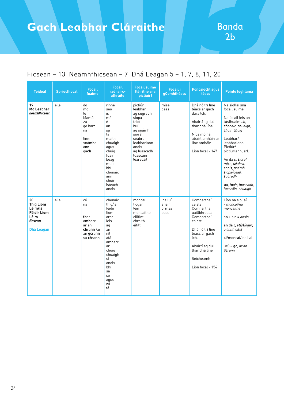| <b>Teideal</b>                                                                                  | <b>Spriocfhocal</b> | <b>Focail</b><br>fuaime                                                                | <b>Focail</b><br>radhairc-<br>athráite                                                                                                                                    | <b>Focail suime</b><br>(léirithe sna<br>pictiúir)                                                                                                         | <b>Focail i</b><br>gComhthéacs    | <b>Poncaíocht agus</b><br>téacs                                                                                                                                                            | <b>Pointe foghlama</b>                                                                                                                                                                                                                                                                             |
|-------------------------------------------------------------------------------------------------|---------------------|----------------------------------------------------------------------------------------|---------------------------------------------------------------------------------------------------------------------------------------------------------------------------|-----------------------------------------------------------------------------------------------------------------------------------------------------------|-----------------------------------|--------------------------------------------------------------------------------------------------------------------------------------------------------------------------------------------|----------------------------------------------------------------------------------------------------------------------------------------------------------------------------------------------------------------------------------------------------------------------------------------------------|
| 19<br>Mo Leabhar<br>neamhfhicsean                                                               | eile                | do<br>mo<br>le<br>Mamó<br>zú<br>go hard<br>na<br>li <b>nn</b><br>snámha<br>ann<br>qach | rinne<br>seo<br>is<br>mé<br>é<br>an<br>sa<br>tá<br>maith<br>chuaigh<br>aqus<br>chuig<br>fuair<br>beag<br>muid<br>bhí<br>chonaic<br>ann<br>chuir<br>isteach<br>anois       | pictiúr<br>leabhar<br>ag súgradh<br>siopa<br>teidí<br>buí<br>ag snámh<br>sioráf<br>séabra<br>leabharlann<br>anois<br>ag luascadh<br>luascáin<br>léarscáil | mise<br>deas                      | Dhá nó trí líne<br>téacs ar gach<br>dara lch.<br>Abairtí ag dul<br>thar dhá líne<br>Níos mó ná<br>abairt amháin ar<br>líne amháin<br>Líon focal - 147                                      | Na siollaí sna<br>focail suime<br>Na focail leis an<br>túsfhuaim ch.<br>chonaic, chuaigh,<br>chuir, chuig<br>Leabhar/<br>leabharlann<br>Pictiúr/<br>pictiúrlann, srl.<br>An dá s, sioráf,<br>mise, séabra,<br>anois, snámh,<br>siopa/deas,<br>súgradh<br>ua, fuair, luascadh,<br>luascáin, chuaigh |
| 20<br><b>Thig Liom</b><br>Léim/Is<br><b>Féidir Liom</b><br>Léim<br>ficsean<br><b>Dhá Leagan</b> | eile                | cé<br>na<br>thar<br>amharc<br>ar an<br>chrann/ar<br>an gcrann<br>sa chrann             | chonaic<br>thia/is<br>féidir<br>liom<br>arsa<br>leis<br>aq<br>an<br>níl<br>atá<br>amharc<br>ar<br>chuig<br>chuaigh<br>sí<br>anois<br>bhí<br>sa<br>sé<br>agus<br>níl<br>tá | moncaí<br>tíogar<br>léim<br>moncaithe<br>eilifint<br>chroith<br>eitilt                                                                                    | ina luí<br>ansin<br>ormsa<br>suas | Comharthaí<br>ceiste<br>Comharthaí<br>uaillbhreasa<br>Comharthaí<br>cainte<br>Dhá nó trí líne<br>téacs ar gach<br>lch.<br>Abairtí ag dul<br>thar dhá líne<br>Seicheamh<br>Líon focal - 154 | Líon na siollaí<br>- moncaí/na<br>moncaithe<br>$an + sin = ansin$<br>an dá t, atá/tíogar,<br>eilifint, eitilt<br>sí/moncaí/ina luí<br>$ur$ ú – gc, ar an<br>gcrann                                                                                                                                 |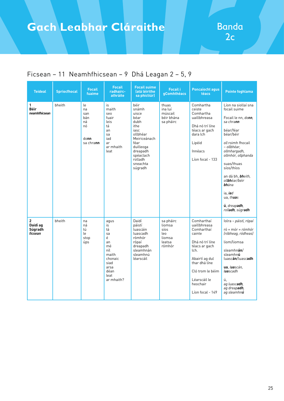| <b>Teideal</b>                        | <b>Spriocfhocal</b> | <b>Focail</b><br>fuaime                                 | <b>Focail</b><br>radhairc-<br>athráite                                                                           | <b>Focail suime</b><br>latá léirithe<br>sa phictiúr)                                                                                                               | <b>Focail i</b><br>gComhthéacs                                   | <b>Poncaíocht agus</b><br>téacs                                                                                                                                                                       | <b>Pointe foghlama</b>                                                                                                                                                                                                                                                                                                             |
|---------------------------------------|---------------------|---------------------------------------------------------|------------------------------------------------------------------------------------------------------------------|--------------------------------------------------------------------------------------------------------------------------------------------------------------------|------------------------------------------------------------------|-------------------------------------------------------------------------------------------------------------------------------------------------------------------------------------------------------|------------------------------------------------------------------------------------------------------------------------------------------------------------------------------------------------------------------------------------------------------------------------------------------------------------------------------------|
| $\mathbf{1}$<br>Béir<br>neamhfhicsean | bheith              | le<br>na<br>san<br>bán<br>ná<br>nó<br>donn<br>sa chrann | is<br>maith<br>seo<br>fuair<br>leis<br>tá<br>an<br>sa<br>iad<br>ar<br>ar mhaith<br>leat                          | béir<br>snámh<br>uisce<br>béar<br>dubh<br>ithe<br>iasc<br>ollbhéar<br>Meiriceánach<br>féar<br>duilleoga<br>dreapadh<br>spéaclach<br>rolladh<br>sneachta<br>súgradh | thuas<br>ina luí<br>múscail<br>béir bhána<br>sa pháirc           | Comhartha<br>ceiste<br>Comhartha<br>uaillbhreasa<br>Dhá nó trí líne<br>téacs ar gach<br>dara lch<br>Lipéid<br>Innéacs<br>Líon focal - 133                                                             | Líon na siollaí sna<br>focail suime<br>Focail le nn, donn,<br>sa chra <b>nn</b><br>béar/féar<br>béar/béir<br>oll roimh fhocail<br>- ollbhéar.<br>ollmhargadh,<br>ollmhór, ollphanda<br>suas/thuas<br>síos/thíos<br>an dá bh, bheith,<br>ollbhéar/béir<br><b>bh</b> ána<br>ia, iad<br>ua, thuas<br>ú, dreapadh,<br>rolladh, súgradh |
| 2<br>Daidí ag<br>Súgradh<br>ficsean   | bheith              | na<br>ná<br>tú<br>le<br>stop<br>úps                     | agus<br>is<br>tá<br>sa<br>é<br>an<br>mé<br>níl<br>maith<br>chonaic<br>siad<br>arsa<br>déan<br>leat<br>ar mhaith? | Daidí<br>páistí<br>luascáin<br>luascadh<br>rómhór<br>rópaí<br>dreapadh<br>sleamhnán<br>sleamhnú<br>léarscáil                                                       | sa pháirc<br>liomsa<br>síos<br>leo<br>liomsa<br>leatsa<br>rómhór | Comharthaí<br>uaillbhreasa<br>Comharthaí<br>cainte<br>Dhá nó trí líne<br>téacs ar gach<br>lch.<br>Abairtí ag dul<br>thar dhá líne<br>Cló trom le béim<br>Léarscáil le<br>heochair<br>Líon focal - 149 | Iolra - páistí, rópaí<br>$r$ ó + mór = rómhór<br>(róbheag, ródheas)<br>liom/liomsa<br>sleamhn <b>án</b> /<br>sleamhnú<br>luascán/luascadh<br>ua, luascán,<br>luascadh<br>ú.<br>ag luascadh,<br>ag dreapadh,<br>ag sleamhn <b>ú</b>                                                                                                 |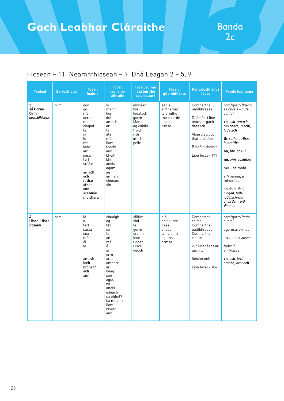| <b>Teideal</b>                        | <b>Spriocfhocal</b> | <b>Focail</b><br><b>fuaime</b>                                                                                                                                                       | <b>Focail</b><br>radhairc-<br>athráite                                                                                                                                                       | <b>Focail suime</b><br>latá léirithe<br>sa phictiúr)                                        | <b>Focail i</b><br>gComhthéacs                                         | <b>Poncaíocht agus</b><br><b>téacs</b>                                                                                                               | <b>Pointe foghlama</b>                                                                                                                                                                                                                                                                                                                     |
|---------------------------------------|---------------------|--------------------------------------------------------------------------------------------------------------------------------------------------------------------------------------|----------------------------------------------------------------------------------------------------------------------------------------------------------------------------------------------|---------------------------------------------------------------------------------------------|------------------------------------------------------------------------|------------------------------------------------------------------------------------------------------------------------------------------------------|--------------------------------------------------------------------------------------------------------------------------------------------------------------------------------------------------------------------------------------------------------------------------------------------------------------------------------------------|
| 3<br>Tá Ocras<br>0rm<br>neamhfhicsean | orm                 | don<br>go<br>mór<br>ocras<br>mo<br>clogad<br>lá<br>ní<br>le<br>rás<br>fada<br>am<br>sosa<br>tart<br>scáfar<br>amach<br>ach<br>rothar<br>áthas<br>ann<br>sca <b>nn</b> án<br>mo chara | is<br>maith<br>liom<br>dul<br>amach<br>ar<br>tá<br>atá<br>mé<br>liom<br>teacht<br>ann<br>bheith<br>bhí<br>anois<br>agam<br>aq<br>amharc<br>chonaic<br>sin                                    | dinnéar<br>bia<br>lodálach<br>qorm<br>Mamaí<br>ag cuidiú<br>troid<br>rith<br>imirt<br>peile | eagla<br>a Mhamaí<br>lá breithe<br>mo chairde<br>inniu<br>tuirse       | Comhartha<br>uaillbhreasa<br>Dhá nó trí líne<br>téacs ar gach<br>dara lch.<br>Abairtí ag dul<br>thar dhá líne<br>Bolgáin chainte<br>Líon focal - 171 | orm/gorm (fuaim<br>sa bhreis - guta<br>cúnta)<br>ch, ach, amach,<br>mo chara, teacht,<br>lodála <b>ch</b><br>th, rothar, áthas,<br>lá brei <b>th</b> e<br>bh, bhí, bheith<br>nn, ann, scannán<br>mo + séimhiú<br>a Mhamaí, a<br>mhúinteoir<br>an dá d, don,<br>clogad, fada,<br>io <b>d</b> álach/mo<br>chairde, troid,<br><b>d</b> innéar |
| 4<br><b>Uisce, Uisce</b><br>ficsean   | orm                 | lá<br>a<br>tart<br>sásta<br>sna<br>mór<br>ól<br>le<br>amach<br>lo <b>ch</b><br>brónach<br>ach<br>ann                                                                                 | chuaigh<br>ag<br>bhí<br>sé<br>tá<br>an<br>mé<br>é<br>sí<br>orm<br>arsa<br>amharc<br>ar<br>beag<br>seo<br>aqus<br>níl<br>anois<br>isteach<br>cá bhfuil?<br>ba mhaith<br>liom<br>bheith<br>ann | eilifint<br>siúl<br>te<br>qorm<br>crainn<br>leon<br>tíogar<br>uisce<br>deoch                | d'ól<br>an t-uisce<br>deas<br>anseo<br>le heilifint<br>agamsa<br>ormsa | Comharthaí<br>ceiste<br>Comharthaí<br>uaillbhreasa<br>Comharthaí<br>cainte<br>2-5 líne téacs ar<br>gach lch.<br>Seicheamh<br>Líon focal - 184        | orm/gorm (guta<br>cúnta)<br>agamsa, ormsa<br>$an + seo = anseo$<br>fleiscín.<br>an <b>t-</b> uisce<br>ch, ach, loch,<br>ama <b>ch</b> , bróna <b>ch</b>                                                                                                                                                                                    |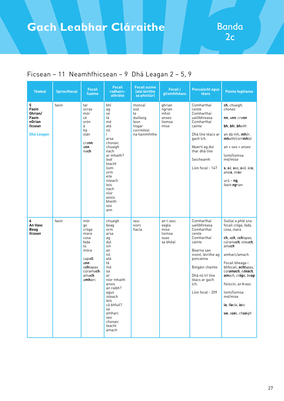| <b>Teideal</b>                                                           | <b>Spriocfhocal</b> | <b>Focail</b><br>fuaime                                                                                                      | <b>Focail</b><br>radhairc-<br>athráite                                                                                                                                                                                            | <b>Focail suime</b><br>latá léirithe<br>sa phictiúr)                             | <b>Focail i</b><br>gComhthéacs                           | <b>Poncaíocht agus</b><br>téacs                                                                                                                                                                                | <b>Pointe foghlama</b>                                                                                                                                                                                                                                                                                               |
|--------------------------------------------------------------------------|---------------------|------------------------------------------------------------------------------------------------------------------------------|-----------------------------------------------------------------------------------------------------------------------------------------------------------------------------------------------------------------------------------|----------------------------------------------------------------------------------|----------------------------------------------------------|----------------------------------------------------------------------------------------------------------------------------------------------------------------------------------------------------------------|----------------------------------------------------------------------------------------------------------------------------------------------------------------------------------------------------------------------------------------------------------------------------------------------------------------------|
| 5<br>Faoin<br>Ghrian/<br>Faoin<br>nGrian<br>ficsean<br><b>Dhá Leagan</b> | faoin               | tar<br>ocras<br>mór<br>cé<br>srón<br>á<br>há<br>slán<br>crann<br>ann<br>nach                                                 | bhí<br>ag<br>sé<br>tá<br>mé<br>atá<br>níl<br>Ĺ<br>arsa<br>chonaic<br>chuaigh<br>nach<br>ar mhaith?<br>leat<br>teacht<br>liom<br>orm<br>eile<br>isteach<br>leis<br>nach<br>níor<br>anois<br>bheith<br>seo<br>ann                   | moncaí<br>siúl<br>te<br>duilleog<br>leon<br>tíogar<br>corrmhíol<br>na hainmhithe | ghrian<br>ngrian<br>mhór<br>anseo<br>liomsa<br>mise      | Comharthaí<br>ceiste<br>Comharthaí<br>uaillbhreasa<br>Comharthaí<br>cainte<br>Dhá líne téacs ar<br>gach lch.<br>Abairtí ag dul<br>thar dhá líne<br>Seicheamh<br>Líon focal - 147                               | ch, chuaigh,<br>chonaic<br>nn, ann, crann<br>bh, bhí, bheith<br>an dá mh, <i>mhór</i> ,<br>mhaith/corrmhíol<br>$an + seo = anseo$<br>liom/liomsa<br>mé/mise<br>s, sé, seo, siúl, leis,<br>anois, mise<br>$ur\acute{u}$ – ng,<br>faoin ngrian                                                                         |
| 6<br>An tlasc<br><b>Beag</b><br>ficsean                                  | faoin               | mór<br>go<br>cróga<br>mara<br>cosa<br>fada<br>tú<br>móra<br>capall<br>ann<br>ochtapas<br>cúrama <b>ch</b><br>amach<br>amharc | chuaigh<br>beag<br>orm<br>arsa<br>ag<br>dul<br>sin<br>an<br>níl<br>atá<br>tá<br>mé<br>sa<br>ar<br>níor mhaith<br>anois<br>an raibh?<br>agus<br>isteach<br>leis<br>cá bhfuil?<br>sé<br>amharc<br>seo<br>chonaic<br>teacht<br>amach | iasc<br>siorc<br>fiacla                                                          | an t-iasc<br>eagla<br>mise<br>liomsa<br>suas<br>sa bhéal | Comharthaí<br>uaillbhreasa<br>Comharthaí<br>ceiste<br>Comharthaí<br>cainte<br>Bearna san<br>insint, léirithe ag<br>poncanna<br>Bolgáin chainte<br>Dhá nó trí líne<br>téacs ar gach<br>lch.<br>Líon focal - 209 | Siollaí a phlé sna<br>focail cróga, fada,<br>cosa, mara<br>ch, ach, ochtapas,<br>cúramach, isteach,<br>amach<br>amharc/amach<br>Focail bheaga i<br>bhfocail, <i>ochtapas</i> ,<br>cúramach, isteach,<br>amach, cróga, beag<br>fleiscín, an t-iasc<br>liom/liomsa<br>mé/mise<br>ia, fiacla, iasc<br>ua, suas, chuaigh |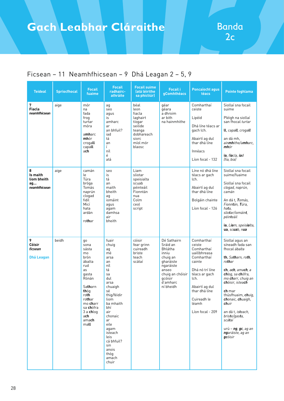| <b>Teideal</b>                                      | <b>Spriocfhocal</b> | <b>Focail</b><br>fuaime                                                                                                                                                                        | <b>Focail</b><br>radhairc-<br>athráite                                                                                                                                                                                                                    | <b>Focail suime</b><br>latá léirithe<br>sa phictiúr)                                                           | <b>Focail i</b><br>gComhthéacs                                                                                                                     | <b>Poncaíocht agus</b><br>téacs                                                                                                                                                                       | <b>Pointe foghlama</b>                                                                                                                                                                                                                                                                                                                             |
|-----------------------------------------------------|---------------------|------------------------------------------------------------------------------------------------------------------------------------------------------------------------------------------------|-----------------------------------------------------------------------------------------------------------------------------------------------------------------------------------------------------------------------------------------------------------|----------------------------------------------------------------------------------------------------------------|----------------------------------------------------------------------------------------------------------------------------------------------------|-------------------------------------------------------------------------------------------------------------------------------------------------------------------------------------------------------|----------------------------------------------------------------------------------------------------------------------------------------------------------------------------------------------------------------------------------------------------------------------------------------------------------------------------------------------------|
| 7<br><b>Fiacla</b><br>neamhfhicsean                 | aige                | mór<br>na<br>fada<br>frog<br>turtar<br>móra<br>amharc<br>mhór<br>crogall<br>capall<br>ach                                                                                                      | ag<br>seo<br>aqus<br>is<br>amharc<br>ar<br>an bhfuil?<br>iad<br>tá<br>an<br>Ĺ<br>níl<br>é<br>atá                                                                                                                                                          | béal<br>leon<br>fiacla<br>laghairt<br>tíogar<br>seilide<br>teanga<br>dobhareach<br>siorc<br>míol mór<br>blaosc | géar<br>qéara<br>a dhroim<br>ar bith<br>na hainmhithe                                                                                              | Comharthaí<br>ceiste<br>Lipéid<br>Dhá líne téacs ar<br>gach lch.<br>Abairtí ag dul<br>thar dhá líne<br>Innéacs<br>Líon focal - 132                                                                    | Siollaí sna focail<br>suime<br>Pléigh na siollaí<br>san fhocal turtar<br>II, capall, crogall<br>an dá mh,<br>ain <b>mh</b> ithe/amharc,<br>mhór<br>ia, fiacla, iad<br>(fia, bia)                                                                                                                                                                   |
| 8<br>Is maith<br>liom bheith<br>ag<br>neamhfhicsean | aige                | camán<br>le<br>Túra<br>bróga<br>Tomás<br>naprún<br>clogad<br>fidil<br>Micí<br>hata<br>ardán<br>rothar                                                                                          | seo<br>is<br>tá<br>an<br>maith<br>bheith<br>ag<br>iomáint<br>agus<br>aqam<br>damhsa<br>air<br>bheith                                                                                                                                                      | Liam<br>sliotar<br>speisialta<br>scuab<br>péinteáil<br>Fionntán<br>nua<br>Colm<br>ceol<br>script               |                                                                                                                                                    | Líne nó dhá líne<br>téacs ar gach<br>lch.<br>Abairtí ag dul<br>thar dhá líne<br>Bolgáin chainte<br>Líon focal - 126                                                                                   | Siollaí sna focail<br>suime/fuaime<br>Siollaí sna focail<br>clogad, naprún,<br>camán<br>An dá t, Tomás,<br>Fionntán, Túra,<br>hata.<br>sliotar/iomáint,<br>péin <b>t</b> eáil<br>ia, Liam, speisialta,<br>ua, scuab, nua                                                                                                                           |
| 9<br>Cóisir<br>ficsean<br><b>Dhá Leagan</b>         | beidh               | go<br>sona<br>sásta<br>mo<br>brón<br>ábalta<br>rud<br>as<br>qasta<br>Rónán<br>Satharn<br>thóg<br>roth<br>rothar<br>mo charr<br>sa <b>ch</b> ófra<br>$3a$ chlog<br>a <b>ch</b><br>amach<br>mall | fuair<br>chuig<br>ag<br>mé<br>arsa<br>an<br>níl<br>tá<br>sa<br>dul<br>arsa<br>chuaigh<br>sé<br>thig/féidir<br>liom<br>ba mhaith<br>bhí<br>air<br>chonaic<br>ar<br>eile<br>agam<br>isteach<br>leis<br>cá bhfuil?<br>sin<br>anois<br>thóg<br>amach<br>chuir | cóisir<br>fear grinn<br>cuireadh<br>briste<br>teach<br>scátaí                                                  | Dé Sathairn<br>Sráid an<br>Bhlátha<br>inniu<br>chuig an<br>gharáiste<br>ngaráiste<br>anseo<br>chuig an chóisir<br>qcóisir<br>d'amharc<br>ní bheidh | Comharthaí<br>ceiste<br>Comharthaí<br>uaillbhreasa<br>Comharthaí<br>cainte<br>Dhá nó trí líne<br>téacs ar gach<br>lch.<br>Abairtí ag dul<br>thar dhá líne<br>Cuireadh le<br>léamh<br>Líon focal - 209 | Siollaí agus an<br>síneadh fada san<br>fhocal ábalta<br>th, Satharn, roth,<br>rothar<br>ch, ach, amach, a<br>chlog, sa chófra,<br>mo charr, chuig an<br>chóisir, isteach<br>ch mar<br>thúsfhuaim, chuig,<br>chonaic, chuaigh,<br>chuir<br>an dá t, isteach,<br>briste/gasta,<br>scátaí<br>urú – $ng$ , $gc$ , ag an<br>ngaráiste, ag an<br>gcóisir |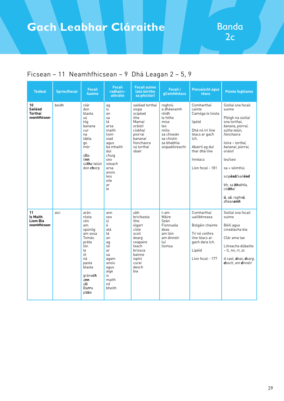| <b>Teideal</b>                                            | <b>Spriocfhocal</b> | <b>Focail</b><br>fuaime                                                                                                                                          | <b>Focail</b><br>radhairc-<br>athráite                                                                                                                          | <b>Focail suime</b><br>latá léirithe<br>sa phictiúr)                                                                                        | <b>Focail i</b><br>gComhthéacs                                                                                                | <b>Poncaíocht agus</b><br>téacs                                                                                                                                  | <b>Pointe foghlama</b>                                                                                                                                                                                                                                                                            |
|-----------------------------------------------------------|---------------------|------------------------------------------------------------------------------------------------------------------------------------------------------------------|-----------------------------------------------------------------------------------------------------------------------------------------------------------------|---------------------------------------------------------------------------------------------------------------------------------------------|-------------------------------------------------------------------------------------------------------------------------------|------------------------------------------------------------------------------------------------------------------------------------------------------------------|---------------------------------------------------------------------------------------------------------------------------------------------------------------------------------------------------------------------------------------------------------------------------------------------------|
| 10<br>Sailéad<br><b>Torthaí</b><br>neamhfhicsean          | beidh               | clár<br>don<br>blasta<br>sú<br>tóg<br>banana<br>cur<br>na<br>tábla<br>qo<br>mór<br>úlla<br>linn<br>sú <b>th</b> a talún<br>don chorp                             | ag<br>is<br>an<br>sa<br>tá<br>arsa<br>maith<br>liom<br>siad<br>aqus<br>ba mhaith<br>dul<br>chuig<br>seo<br>isteach<br>arsa<br>anois<br>leis<br>eile<br>ar<br>le | sailéad torthaí<br>siopa<br>scipéad<br>ithe<br>Mamaí<br>oráistí<br>cíobhaí<br>piorraí<br>bananaí<br>fíonchaora<br>sú torthaí<br>obair       | roghnú<br>a dhéanamh<br>réidh<br>le hithe<br>mise<br>leo<br>milis<br>sa chiseán<br>sa chistin<br>sa bhabhla<br>siopadóireacht | Comharthaí<br>cainte<br>Camóga le liosta<br>lipéid<br>Dhá nó trí líne<br>téacs ar gach<br>lch.<br>Abairtí ag dul<br>thar dhá líne<br>Innéacs<br>Líon focal - 181 | Siollaí sna focail<br>suime<br>Pléigh na siollaí<br>sna torthaí,<br>banana, piorraí,<br>sútha talún,<br>fíonchaora<br>lolra - torthaí,<br>bananaí, piorraí,<br>oráistí<br>leo/seo<br>sa + séimhiú<br>scipéad/sailéad<br>bh, sa <b>bh</b> abhla,<br>cío <b>bh</b> aí<br>ú, sú, roghnú,<br>dhéanamh |
| 11<br><b>Is Maith</b><br><b>Liom Bia</b><br>neamhfhicsean | aici                | arán<br>rósta<br>cén<br>am<br>spúnóg<br>am sosa<br>Tomás<br>práta<br>lón<br>le<br>ól<br>ná<br>pasta<br>blasta<br>grána <b>ch</b><br>ann<br>úll<br>Barra<br>pizza | ann<br>seo<br>sí<br>é<br>atá<br>tá<br>an<br>ag<br>sé<br>ar<br>sa<br>aqam<br>anois<br>aqus<br>aige<br>is<br>maith<br>níl<br>bheith                               | ubh<br>bricfeasta<br>ithe<br>iógart<br>císte<br>scoil<br>dearg<br>ceapaire<br>teach<br>briosca<br>bainne<br>ispíní<br>curaí<br>deoch<br>bia | t-am<br>Máire<br>Seán<br>Fionnuala<br>deas<br>am lóin<br>am dinnéir<br>luí<br>liomsa                                          | Comharthaí<br>uaillbhreasa<br>Bolgáin chainte<br>Trí nó ceithre<br>líne téacs ar<br>gach dara lch.<br>Lipéid<br>Líon focal - 177                                 | Siollaí sna focail<br>suime<br>Béilí agus<br>cineálacha bia<br>Clár ama lae<br>Litreacha dúbailte<br>– ll, nn, rr, <i>zz</i><br>d caol, deas, dearg,<br>deoch, am dinnéir                                                                                                                         |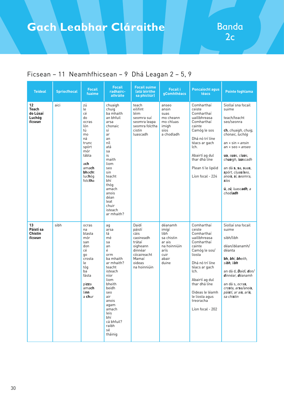| <b>Teideal</b>                               | <b>Spriocfhocal</b> | <b>Focail</b><br>fuaime                                                                                                                        | <b>Focail</b><br>radhairc-<br>athráite                                                                                                                                                                                                | <b>Focail suime</b><br>latá léirithe<br>sa phictiúr)                                                                    | <b>Focail i</b><br>gComhthéacs                                                                     | <b>Poncaíocht agus</b><br>téacs                                                                                                                                                                                                                            | <b>Pointe foghlama</b>                                                                                                                                                                                                                                                                                      |
|----------------------------------------------|---------------------|------------------------------------------------------------------------------------------------------------------------------------------------|---------------------------------------------------------------------------------------------------------------------------------------------------------------------------------------------------------------------------------------|-------------------------------------------------------------------------------------------------------------------------|----------------------------------------------------------------------------------------------------|------------------------------------------------------------------------------------------------------------------------------------------------------------------------------------------------------------------------------------------------------------|-------------------------------------------------------------------------------------------------------------------------------------------------------------------------------------------------------------------------------------------------------------------------------------------------------------|
| 12<br>Teach<br>do Lúsaí<br>Luchóg<br>ficsean | aici                | zú<br>le<br>cé<br>do<br>ocras<br>lón<br>tú<br>mo<br>ná<br>trunc<br>spórt<br>mór<br>tábla<br>ach<br>amach<br><b>bhocht</b><br>luchóg<br>folctha | chuaigh<br>chuig<br>ba mhaith<br>an bhfuil<br>arsa<br>chonaic<br>sí<br>ar<br>an<br>níl<br>atá<br>sa<br>is<br>maith<br>liom<br>seo<br>sin<br>teacht<br>bhí<br>thóg<br>amach<br>anois<br>déan<br>leat<br>chuir<br>isteach<br>ar mhaith? | teach<br>eilifint<br>léim<br>seomra suí<br>seomra leapa<br>seomra folctha<br>cistin<br>luascadh                         | anseo<br>ansin<br>suas<br>mo cheann<br>mo chluas<br>imigh<br>síos<br>a chodladh                    | Comharthaí<br>ceiste<br>Comharthaí<br>uaillbhreasa<br>Comharthaí<br>cainte<br>Camóg le sos<br>Dhá nó trí líne<br>téacs ar gach<br>lch.<br>Abairtí ag dul<br>thar dhá líne<br>Plean tí le lipéid<br>Líon focal - 224                                        | Siollaí sna focail<br>suime<br>teach/teacht<br>seo/seonra<br>ch, chuaigh, chuig,<br>chonaic, luchóg<br>$an + sin = ansin$<br>$an + seo = anseo$<br>ua, suas, cluas,<br>chuaigh, luascadh<br>an dá s, sa, suas,<br>spórt, cluas/seo,<br>anois, sí, seomra,<br><b>s</b> íos<br>ú, zú, luascadh, a<br>chodladh |
| 13<br>Páistí sa<br>Chistin<br>ficsean        | sibh                | ocras<br>na<br>blasta<br>mór<br>san<br>don<br>сé<br>qo<br>crosta<br>le<br>tóq<br>ba<br>fásta<br>pizza<br>amach<br>linn<br>a <b>ch</b> ur       | ag<br>arsa<br>tá<br>mé<br>sa<br>an<br>é<br>orm<br>ba mhaith<br>ar mhaith?<br>teacht<br>isteach<br>níor<br>liom<br>bheith<br>beidh<br>seo<br>air<br>anois<br>agam<br>amach<br>leis<br>bhí<br>cá bhfuil?<br>raibh<br>sé<br>tháinig      | Daidí<br>páistí<br>cáis<br>caoineadh<br>trátaí<br>oigheann<br>dinnéar<br>cócaireacht<br>Mamaí<br>oideas<br>na hoinniúin | déanamh<br>imígí<br>libh<br>sa chistin<br>ar ais<br>na hoinniúin<br>arís<br>cuir<br>abair<br>duine | Comharthaí<br>ceiste<br>Comharthaí<br>uaillbhreasa<br>Comharthaí<br>cainte<br>Camóg le sos/<br>liosta<br>Dhá nó trí líne<br>téacs ar gach<br>lch.<br>Abairtí ag dul<br>thar dhá líne<br>Oideas le léamh<br>le liosta agus<br>treoracha<br>Líon focal - 202 | Siollaí sna focail<br>suime<br>sibh/libh<br>déan/déanamh/<br>déanta<br>bh, bhí, bheith,<br>sibh, libh<br>an dá d. Daidí, don/<br>dinnéar, déanamh<br>an dá s, <i>ocra<b>s</b></i> ,<br>crosta, arsa/anois,<br>páistí, ar ais, arís,<br>sa chi <b>s</b> tin                                                  |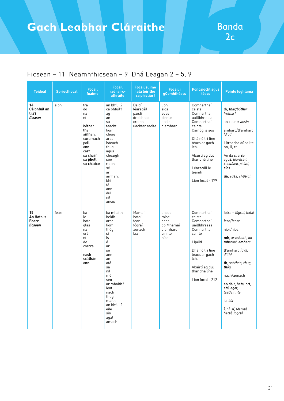| <b>Teideal</b>                        | <b>Spriocfhocal</b> | <b>Focail</b><br>fuaime                                                                                                    | <b>Focail</b><br>radhairc-<br>athráite                                                                                                                                                                             | <b>Focail suime</b><br>latá léirithe<br>sa phictiúr)                  | <b>Focail i</b><br>gComhthéacs                                   | <b>Poncaíocht agus</b><br>téacs                                                                                                                                                                                        | <b>Pointe foghlama</b>                                                                                                                                                                                                                                                                                   |
|---------------------------------------|---------------------|----------------------------------------------------------------------------------------------------------------------------|--------------------------------------------------------------------------------------------------------------------------------------------------------------------------------------------------------------------|-----------------------------------------------------------------------|------------------------------------------------------------------|------------------------------------------------------------------------------------------------------------------------------------------------------------------------------------------------------------------------|----------------------------------------------------------------------------------------------------------------------------------------------------------------------------------------------------------------------------------------------------------------------------------------------------------|
| 14<br>Cá bhfuil an<br>trá?<br>ficsean | sibh                | trá<br>do<br>na<br>ní<br>bóthar<br>thar<br>amharc<br>cúramach<br>poll<br>ann<br>carr<br>sa charr<br>sa pholl<br>sa chlábar | an bhfuil?<br>cá bhfuil?<br>ag<br>an<br>sa<br>teacht<br>liom<br>chuig<br>arsa<br>isteach<br>thug<br>agus<br>chuaigh<br>seo<br>raibh<br>sé<br>ar<br>amharc<br>bhí<br>tá<br>ann<br>dul<br>níl<br>anois               | Daidí<br>léarscáil<br>páistí<br>droichead<br>crainn<br>uachtar reoite | libh<br>síos<br>suas<br>cinnte<br>ansin<br>d'amharc              | Comharthaí<br>ceiste<br>Comharthaí<br>uaillbhreasa<br>Comharthaí<br>cainte<br>Camóg le sos<br>Dhá nó trí líne<br>téacs ar gach<br>lch.<br>Abairtí ag dul<br>thar dhá líne<br>Léarscáil le<br>léamh<br>Líon focal - 179 | th, <b>th</b> ar/bó <b>th</b> ar<br>(rothar)<br>$an + sin = ansin$<br>amharc/d'amharc<br>(d'ól)<br>Litreacha dúbailte,<br>nn, ll, rr<br>An dá s, <i>ar<b>s</b>a</i> ,<br>agu <b>s</b> , léar <b>s</b> cáil,<br>suas/seo, páistí,<br>síos<br>ua, suas, chuaigh                                            |
| 15<br>An Hata is<br>Fearr<br>ficsean  | fearr               | ba<br>le<br>hata<br>glas<br>na<br>ort<br>ní<br>do<br>corcra<br>nach<br>scá <b>th</b> án<br>ann                             | ba mhaith<br>beidh<br>arsa<br>liom<br>thóg<br>sí<br>is<br>é<br>ar<br>sé<br>ann<br>an<br>atá<br>sa<br>níl<br>mé<br>seo<br>ar mhaith?<br>leat<br>nach<br>thug<br>maith<br>an bhfuil?<br>eile<br>sin<br>agat<br>amach | Mamaí<br>hataí<br>fear<br>fógraí<br>aonach<br>bia                     | anseo<br>mise<br>deas<br>do Mhamaí<br>d'amharc<br>cinnte<br>níos | Comharthaí<br>ceiste<br>Comharthaí<br>uaillbhreasa<br>Comharthaí<br>cainte<br>Lipéid<br>Dhá nó trí líne<br>téacs ar gach<br>lch.<br>Abairtí ag dul<br>thar dhá líne<br>Líon focal - 212                                | Iolra - fógraí, hataí<br>fear/fearr<br>níor/níos<br>mh, ar mhaith, do<br>mhamaí, amharc<br><b>d'</b> amharc (d'ól,<br>d'ith)<br>th, scáthán, thug,<br>thóa<br>nach/aonach<br>an dá t, hata, ort,<br>atá, agat,<br>leat/cinnte<br>ia, bia<br>í, ní, sí, Mam <b>a</b> í,<br>hat <b>aí</b> , fógr <b>aí</b> |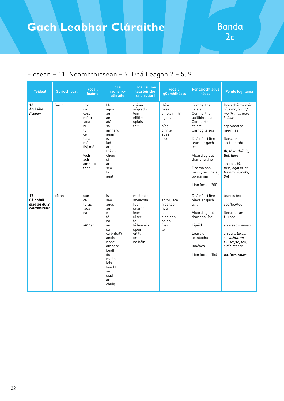| <b>Teideal</b>                                   | <b>Spriocfhocal</b> | <b>Focail</b><br>fuaime                                                                                         | <b>Focail</b><br>radhairc-<br>athráite                                                                                                                                 | <b>Focail suime</b><br>latá léirithe<br>sa phictiúr)                                                               | <b>Focail i</b><br><b>gComhthéacs</b>                                              | <b>Poncaíocht agus</b><br>téacs                                                                                                                                                                                                                | <b>Pointe foghlama</b>                                                                                                                                                                                                                           |
|--------------------------------------------------|---------------------|-----------------------------------------------------------------------------------------------------------------|------------------------------------------------------------------------------------------------------------------------------------------------------------------------|--------------------------------------------------------------------------------------------------------------------|------------------------------------------------------------------------------------|------------------------------------------------------------------------------------------------------------------------------------------------------------------------------------------------------------------------------------------------|--------------------------------------------------------------------------------------------------------------------------------------------------------------------------------------------------------------------------------------------------|
| 16<br>Ag Léim<br>ficsean                         | fearr               | froq<br>na<br>cosa<br>móra<br>fada<br>ní<br>tú<br>сé<br>tusa<br>mór<br>lis) mó<br>loch<br>ach<br>amharc<br>thar | bhí<br>aqus<br>aq<br>an<br>atá<br>sa<br>amharc<br>agam<br>is<br>iad<br>arsa<br>tháinig<br>chuig<br>sí<br>ar<br>seo<br>tá<br>agat                                       | coinín<br>súgradh<br>léim<br>eilifint<br>splais<br>thit                                                            | thíos<br>mise<br>an t-ainmhí<br>agatsa<br>leo<br>níos<br>cinnte<br>suas<br>síos    | Comharthaí<br>ceiste<br>Comharthaí<br>uaillbhreasa<br>Comharthaí<br>cainte<br>Camóg le sos<br>Dhá nó trí líne<br>téacs ar gach<br>lch.<br>Abairtí ag dul<br>thar dhá líne<br>Bearna san<br>insint, léirithe ag<br>poncanna<br>Líon focal - 200 | Breischéim- mór,<br>níos mó, is mó/<br>maith, níos fearr,<br>is fearr<br>agat/agatsa<br>mé/mise<br>fleiscín-<br>an <b>t</b> -ainmhí<br>th, thar, tháinig,<br>thit, thios<br>an dá t, <i>tú</i> ,<br>tusa, agatsa, an<br>t-ainmhí/cinnte,<br>thit |
| 17<br>Cá bhfuil<br>siad ag dul?<br>neamhfhicsean | bíonn               | san<br>cá<br>turas<br>fada<br>na<br>amharc                                                                      | is<br>seo<br>aqus<br>ag<br>é<br>tá<br>na<br>an<br>sa<br>cá bhfuil?<br>anois<br>rinne<br>amharc<br>beidh<br>dul<br>maith<br>leis<br>teacht<br>sé<br>siad<br>ar<br>chuig | míol mór<br>sneachta<br>fuar<br>snámh<br>léim<br>uisce<br>te<br>féileacáin<br>spéir<br>eitilt<br>crainn<br>na héin | anseo<br>an t-uisce<br>níos teo<br>nuair<br>leo<br>a bhíonn<br>beidh<br>fuar<br>te | Dhá nó trí líne<br>téacs ar gach<br>lch.<br>Abairtí ag dul<br>thar dhá líne<br>Lipéid<br>Léaráidí<br>leantacha<br>Innéacs<br>Líon focal - 154                                                                                                  | te/níos teo<br>seo/leo/teo<br>fleiscín - an<br>t-uisce<br>$an + seo = anseo$<br>an dá t, turas,<br>sneach <b>t</b> a, an<br>t-uisce/te, teo,<br>eitilt, teacht<br>ua, fuar, nuair                                                                |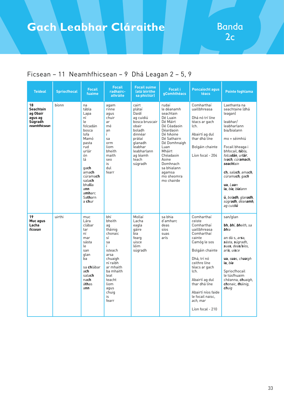| <b>Teideal</b>                                                            | <b>Spriocfhocal</b> | <b>Focail</b><br>fuaime                                                                                                                                                                                          | <b>Focail</b><br>radhairc-<br>athráite                                                                                                                                                   | <b>Focail suime</b><br>latá léirithe<br>sa phictiúr)                                                                                                                 | <b>Focail i</b><br>gComhthéacs                                                                                                                                                                                                            | <b>Poncaíocht agus</b><br>téacs                                                                                                                                                                                                                                                    | <b>Pointe foghlama</b>                                                                                                                                                                                                                                                                                                                                     |
|---------------------------------------------------------------------------|---------------------|------------------------------------------------------------------------------------------------------------------------------------------------------------------------------------------------------------------|------------------------------------------------------------------------------------------------------------------------------------------------------------------------------------------|----------------------------------------------------------------------------------------------------------------------------------------------------------------------|-------------------------------------------------------------------------------------------------------------------------------------------------------------------------------------------------------------------------------------------|------------------------------------------------------------------------------------------------------------------------------------------------------------------------------------------------------------------------------------------------------------------------------------|------------------------------------------------------------------------------------------------------------------------------------------------------------------------------------------------------------------------------------------------------------------------------------------------------------------------------------------------------------|
| 18<br><b>Seachtain</b><br>ag Obair<br>agus ag<br>Súgradh<br>neamhfhicsean | bíonn               | na<br>tábla<br>Lapa<br>ní<br>le<br>folcadán<br>bosca<br>lofa<br>Mamó<br>pasta<br>rud<br>urlár<br>ón<br>lá<br>qa <b>ch</b><br>amach<br>cúramach<br>salach<br>bhalla<br>ann<br>amharc<br>Satharn<br>a <b>ch</b> ur | agam<br>rinne<br>aqus<br>chuir<br>ar<br>mé<br>an<br>Ĺ<br>sa<br>orm<br>liom<br>bheith<br>maith<br>seo<br>is<br>dul<br>fearr                                                               | cairt<br>plátaí<br>Daidí<br>ag cuidiú<br>bosca bruscair<br>obair<br>boladh<br>dinnéar<br>prátaí<br>glanadh<br>leabhar<br>leabharlann<br>ag léamh<br>teach<br>súgradh | rudaí<br>le déanamh<br>seachtain<br>Dé Luain<br>Dé Máirt<br>Dé Céadaoin<br>Déardaoin<br>Dé hAoine<br>Dé Sathairn<br>Dé Domhnaigh<br>Luan<br>Mháirt<br>Chéadaoin<br>Aoine<br>Domhnach<br>sa bhialann<br>agamsa<br>mo sheomra<br>mo chairde | Comharthaí<br>uaillbhreasa<br>Dhá nó trí líne<br>téacs ar gach<br>lch.<br>Abairtí ag dul<br>thar dhá líne<br>Bolgáin chainte<br>Líon focal - 204                                                                                                                                   | Laethanta na<br>seachtaine Idhá<br>leagan)<br>leabhar/<br>leabharlann<br>bia/bialann<br>mo + séimhiú<br>Focail bheaga i<br>bhfocail, tábla,<br>folcadán, urlár,<br>teach, cúramach,<br>seachtain<br>ch, salach, amach,<br>cúrama <b>ch</b> , ga <b>ch</b><br>ua, Luan<br>ia, bia, bialann<br>ú, boladh, glanadh,<br>súgradh, déanamh,<br>ag cuid <b>iú</b> |
| 19<br>Muc agus<br>Lacha<br>ficsean                                        | uirthi              | muc.<br>Lára<br>clábar<br>tar<br>ní<br>mar<br>sásta<br>le<br>san<br>glan<br>ba<br>sa chlábar<br>ach<br>salach<br>nach<br>áthas<br>ann                                                                            | bhí<br>bheith<br>aq<br>tháinig<br>chonaic<br>sí<br>sa<br>Ĺ<br>isteach<br>arsa<br>chuaigh<br>ní raibh<br>ar mhaith<br>ba mhaith<br>leat<br>teacht<br>liom<br>aqus<br>chuig<br>is<br>fearr | Mollaí<br>Lacha<br>eagla<br>gáire<br>bia<br>fearg<br>uisce<br>léim<br>súgradh                                                                                        | sa bhia<br>d'amharc<br>deas<br>síos<br>suas<br>arís                                                                                                                                                                                       | Comharthaí<br>ceiste<br>Comharthaí<br>uaillbhreasa<br>Comharthaí<br>cainte<br>Camóg le sos<br>Bolgáin chainte<br>Dhá, trí nó<br>ceithre líne<br>téacs ar gach<br>lch.<br>Abairtí ag dul<br>thar dhá líne<br>Abairtí níos faide<br>le focail naisc.<br>ach, mar<br>Líon focal - 210 | san/glan<br>bh, bhí, bheith, sa<br>bhia<br>an dá s, <i>ar<b>s</b>a</i> ,<br>sásta, súgradh,<br>suas, deas/síos,<br>arís, uisce<br>ua, suas, chuaigh<br>ia. bia<br>Spriocfhocail<br>le túsfhuaim<br>chéanna, chuaigh,<br>chonaic, tháinig,<br>chuig                                                                                                         |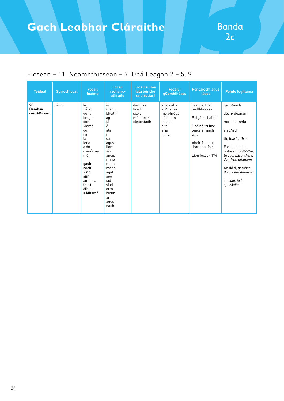| <b>Teideal</b>                       | <b>Spriocfhocal</b> | <b>Focail</b><br>fuaime                                                                                                                                               | <b>Focail</b><br>radhairc-<br>athráite                                                                                                                                             | <b>Focail suime</b><br>latá léirithe<br>sa phictiúr) | <b>Focail i</b><br>gComhthéacs                                                    | <b>Poncaíocht agus</b><br>téacs                                                                                                                  | <b>Pointe foghlama</b>                                                                                                                                                                                                                         |
|--------------------------------------|---------------------|-----------------------------------------------------------------------------------------------------------------------------------------------------------------------|------------------------------------------------------------------------------------------------------------------------------------------------------------------------------------|------------------------------------------------------|-----------------------------------------------------------------------------------|--------------------------------------------------------------------------------------------------------------------------------------------------|------------------------------------------------------------------------------------------------------------------------------------------------------------------------------------------------------------------------------------------------|
| 20<br><b>Damhsa</b><br>neamhfhicsean | uirthi              | le<br>Lára<br>qúna<br>bróga<br>don<br>Mamó<br>go<br>na<br>lá<br>lena<br>a dó<br>comórtas<br>mór<br>qach<br>nach<br>fonn<br>ann<br>amharc<br>thart<br>áthas<br>a Mhamó | is<br>maith<br>bheith<br>ag<br>tá<br>é<br>atá<br>sa<br>agus<br>liom<br>sin<br>anois<br>rinne<br>raibh<br>maith<br>agat<br>seo<br>iad<br>siad<br>orm<br>bíonn<br>ar<br>aqus<br>nach | damhsa<br>teach<br>scoil<br>múinteoir<br>cleachtadh  | speisialta<br>a Mhamó<br>mo bhróga<br>déanann<br>a haon<br>a trí<br>arís<br>inniu | Comharthaí<br>uaillbhreasa<br>Bolgáin chainte<br>Dhá nó trí líne<br>téacs ar gach<br>lch.<br>Abairtí ag dul<br>thar dhá líne<br>Líon focal - 174 | gach/nach<br>déan/déanann<br>mo + séimhiú<br>siad/iad<br>th, thart, áthas<br>Focail bheag i<br>bhfocail, comórtas,<br>Bróga, Lára, thart,<br>damhsa, déanann<br>An dá d, <b>d</b> amhsa,<br>don, a dó/ déanann<br>ia, siad, iad,<br>speisialta |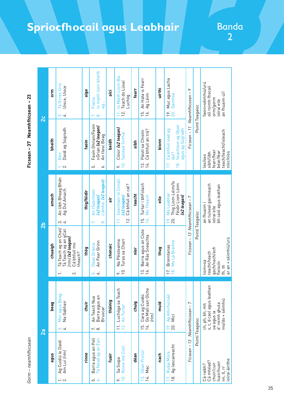| Ficsean - 37 Neamhfhicsean - 23 | $\mathbf{z}$  | orm<br>bheith<br>amach | Tá Ocras Orm<br>Uisce, Uisce<br>$\frac{1}{2}$<br>Daidí ag Súgradh<br>Béil<br>$\div \infty$<br>An Ubh Bheag Bhán<br>Ag Dul Amach   | aige<br>faoin<br>thig/féidir | Is maith liom bheith<br>Fiacla<br>ag<br>ri si<br>Faoin Ghrian/Faoin<br>nGrian (x2 leagan)<br>An tlasc Beag<br>.<br>دی<br>ò.<br>Lámha (x2 leagan) | ici<br>beidh<br>air | Is Maith Liom Bia<br>Teach do Lúsaí<br>Luchóg<br>$\frac{1}{1}$ $\frac{1}{2}$<br>Cóisir (x2 leagan)<br>Sailéad Torthaí<br>$\Xi$<br>$\sim$<br>Conall<br>Cá bhfuil an cat? | fearr<br>sibh<br>teacht | An Hata is Fearr<br>Ag Léim<br>$\frac{15}{16}$<br>Cá bhfuil an trá?<br>Páistí sa Chistin<br>14.<br>$\overline{3}$ .<br>Turtar i bhFolach | uirthi<br>bíonn<br>ي<br>آه | Mucagus Lacha<br><b>Damhsa</b><br>19.<br>20.<br>Seachtain ag Obair<br>agus ag Súgradh<br>Cá bhfuil siad ag<br>dul?<br>17.<br>$\frac{\infty}{2}$<br>Thig Liom Léim/Is<br>Féidir Liom Léim | $\sim$<br>Ficsean - 11 Neamhthicsean - | Pointí Teagaisc | faoin+séimhiú/urú<br>oll roimh fhocail<br>an fhuaim ú/í<br>orm/gorm<br>iolraí eile<br>teach/teacht/isteach<br>fearr/fear<br>béar/féar<br>sibh/libh<br>leo/seo |
|---------------------------------|---------------|------------------------|-----------------------------------------------------------------------------------------------------------------------------------|------------------------------|--------------------------------------------------------------------------------------------------------------------------------------------------|---------------------|-------------------------------------------------------------------------------------------------------------------------------------------------------------------------|-------------------------|------------------------------------------------------------------------------------------------------------------------------------------|----------------------------|------------------------------------------------------------------------------------------------------------------------------------------------------------------------------------------|----------------------------------------|-----------------|---------------------------------------------------------------------------------------------------------------------------------------------------------------|
|                                 | $\frac{1}{2}$ | chuaigh                | $\omega$ 4<br>Tá Teach ag an Chat/<br>Tá Teach ag an gCat<br><i>(rím) <b>(x2 leagan)</b></i><br>Cá bhfuil mo<br>theach?<br>$\sim$ | thóg                         | An tSeachtain<br>(x2 leagan)<br>$\infty$<br>An Fear Grinn<br>Déan Dráma<br>ن<br>ف                                                                | chonaic             | Seachtain le<br>(x2 leagan)<br>12.<br>Turas sa Charr<br>Na Péisteanna<br>$\overline{0}$<br>o.                                                                           | níor                    | 16. Mo Theach<br>15.<br>Barra agus an Císte<br>An Rás Sneachta<br>14.<br>്                                                               | thug                       | Mo Leabhar<br>(x2 leagan)<br>20.<br>19.<br>Mo Lá Breithe<br><b>Bronntanas</b><br>$\frac{8}{10}$<br>17.                                                                                   | Ficsean - 13 Neamhthicsean - 7         | Pointí Teagaisc | an tuiseal gairmeach<br>bh caol agus leathan<br>an fhuaim<br>iolraí eile<br>gach/nach/ach<br>teacht/teach<br>liom+sa<br>fleiscín<br>fh, th                    |
|                                 | 2a            | beag                   | Mór agus Beag<br>Na Gabhair<br>$\vec{c}$                                                                                          | chuir                        | Barra agus an<br>Bruscar<br>An Teach Nua<br>$\vec{r}$ $\vec{\omega}$                                                                             | tháinig             | Luchóga sa Teach<br>An Turtar<br>$\overline{12}$<br>$\overline{11}$                                                                                                     | chuig                   | Cara ag Cuidiú<br>Go Mall san Oíche<br><i>(rim)</i><br>$\frac{15}{16}$                                                                   | muid                       | Ag Athchúrsáil<br>Micí<br>20.<br>19.                                                                                                                                                     | $\overline{ }$                         | Pointí Teagaisc | ch, ph, bh, mh<br>s, t, d caol agus leathan<br>mo/do + séimhiú<br>d'roimh ghuta<br>ua agus ia                                                                 |
| Gorm – neamhfhicsean            |               | agus                   | Ag Cuidiú le Daidí<br>Am Luí <i>(rím)</i><br>$\div \infty$                                                                        | rinne                        | Barra agus an Poll<br>Tá Nead ag an Éan<br>io io                                                                                                 | fuair               | Rinne mé Cístí<br>Sa Siopa<br>$\ddot{a}$<br>$\alpha$                                                                                                                    | déan                    | Déan Pictiúr<br>Mac<br>$\frac{1}{2}$                                                                                                     | nach                       | Ag lascaireacht<br>Rudaí Móra<br>$\frac{8}{18}$<br>17.                                                                                                                                   | Ficsean - 13 Neamhfhicsean -           |                 | Cá mhéad?<br>fuair/nuair<br>chuir/cuir<br>Cá raibh?<br>nn, ll, rr                                                                                             |

## **Spriocfhocail agus Leabhair**

# Banda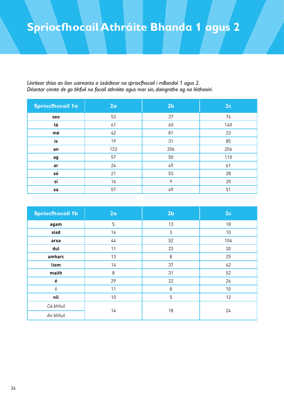## **Spriocfhocail Athráite Bhanda 1 agus 2**

*Léirítear thíos an líon uaireanta a úsáidtear na spriocfhocail i mBandaí 1 agus 2. Déantar cinnte de go bhfuil na focail athráite agus mar sin, daingnithe ag na léitheoirí.*

| <b>Spriocfhocail 1a</b> | 2a  | 2 <sub>b</sub> | 2 <sub>c</sub> |
|-------------------------|-----|----------------|----------------|
| seo                     | 53  | 37             | 76             |
| tá                      | 61  | 60             | 140            |
| mé                      | 42  | 81             | 23             |
| is                      | 19  | 31             | 85             |
| an                      | 123 | 206            | 206            |
| ag                      | 57  | 50             | 110            |
| ar                      | 24  | 49             | 61             |
| sé                      | 21  | 53             | 28             |
| sí                      | 16  | 9              | 20             |
| sa                      | 57  | 49             | 51             |

| <b>Spriocfhocail 1b</b> | 2a | 2 <sub>b</sub> | 2c  |  |
|-------------------------|----|----------------|-----|--|
| agam                    | 5  | 13             | 18  |  |
| siad                    | 14 | 3              | 10  |  |
| arsa                    | 44 | 52             | 104 |  |
| dul                     | 11 | 23             | 20  |  |
| amharc                  | 13 | 8              | 25  |  |
| liom                    | 14 | 37             | 42  |  |
| maith                   | 8  | 31             | 52  |  |
| $\acute{\text e}$       | 29 | 22             | 26  |  |
|                         | 11 | 8              | 10  |  |
| níl                     | 10 | 5              | 12  |  |
| Cá bhfuil               | 14 | 18             |     |  |
| An bhfuil               |    |                | 24  |  |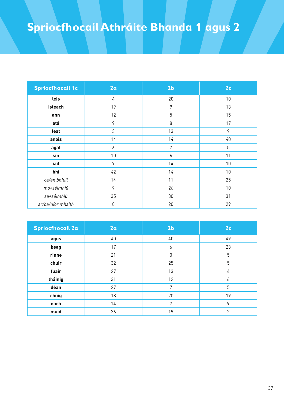## **Spriocfhocail Athráite Bhanda 1 agus 2**

| <b>Spriocfhocail 1c</b> | 2a | 2 <sub>b</sub> | 2 <sub>c</sub>  |
|-------------------------|----|----------------|-----------------|
| leis                    | 4  | 20             | 10 <sup>°</sup> |
| isteach                 | 19 | 9              | 13              |
| ann                     | 12 | 5              | 15              |
| atá                     | 9  | 8              | 17              |
| leat                    | 3  | 13             | 9               |
| anois                   | 14 | 14             | 40              |
| agat                    | 6  | 7              | 5               |
| sin                     | 10 | 6              | 11              |
| iad                     | 9  | 14             | 10 <sup>°</sup> |
| bhí                     | 42 | 14             | 10              |
| cá/an bhfuil            | 14 | 11             | 25              |
| mo+séimhiú              | 9  | 26             | 10 <sup>°</sup> |
| sa+séimhiú              | 35 | 30             | 31              |
| ar/ba/níor mhaith       | 8  | 20             | 29              |

| <b>Spriocfhocail 2a</b> | 2a | 2 <sub>b</sub> | 2 <sub>c</sub> |
|-------------------------|----|----------------|----------------|
| agus                    | 40 | 40             | 49             |
| beag                    | 17 | 6              | 23             |
| rinne                   | 21 | 0              | 5              |
| chuir                   | 32 | 25             | 5              |
| fuair                   | 27 | 13             | 4              |
| tháinig                 | 31 | 12             | 6              |
| déan                    | 27 | 7              | 5              |
| chuig                   | 18 | 20             | 19             |
| nach                    | 14 | 7              | 9              |
| muid                    | 26 | 19             | $\overline{2}$ |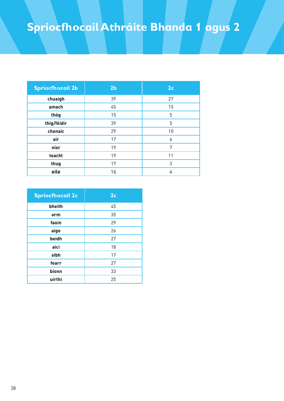## **Spriocfhocail Athráite Bhanda 1 agus 2**

| <b>Spriocfhocail 2b</b> | 2 <sub>b</sub> | 2 <sub>c</sub> |
|-------------------------|----------------|----------------|
| chuaigh                 | 39             | 27             |
| amach                   | 45             | 15             |
| thóg                    | 15             | 5              |
| thig/féidir             | 39             | 5              |
| chonaic                 | 29             | 10             |
| air                     | 17             | 6              |
| níor                    | 19             | 7              |
| teacht                  | 19             | 11             |
| thug                    | 17             | 3              |
| eile                    | 16             | 4              |

| <b>Spriocfhocail 2c</b> | 2 <sub>c</sub> |
|-------------------------|----------------|
| bheith                  | 45             |
| orm                     | 35             |
| faoin                   | 29             |
| aige                    | 26             |
| beidh                   | 27             |
| aici                    | 18             |
| sibh                    | 17             |
| fearr                   | 27             |
| bíonn                   | 33             |
| uirthi                  | 25             |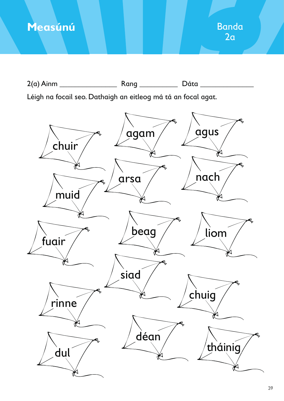

2(a) Ainm \_\_\_\_\_\_\_\_\_\_\_\_\_\_\_ Rang \_\_\_\_\_\_\_\_\_\_ Dáta \_\_\_\_\_\_\_\_\_\_\_\_\_\_ Léigh na focail seo. Dathaigh an eitleog má tá an focal agat. agus agam chuir ₩ nach arsa muid beag liom fuair siad chuig rinne déan tháinigdul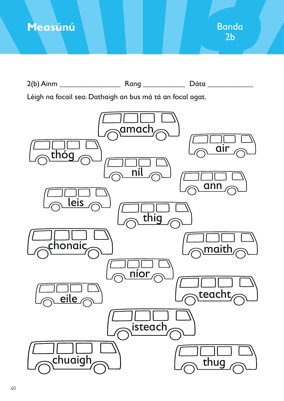

2(b) Ainm \_\_\_\_\_\_\_\_\_\_\_\_\_\_\_\_ Rang \_\_\_\_\_\_\_\_\_\_\_ Dáta \_\_\_\_\_\_\_\_\_\_\_\_ Léigh na focail seo. Dathaigh an bus má tá an focal agat. thóg leis chonaic  $\overline{e}$ ile chuaial amach níl thig níor, isteach air  $\overline{a}$ nn maith teacht thug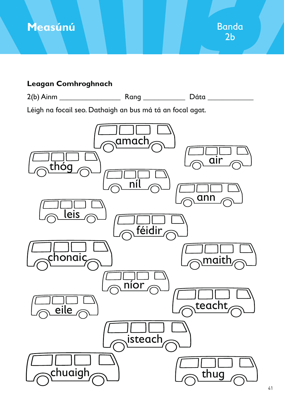

### **Leagan Comhroghnach**

2(b) Ainm \_\_\_\_\_\_\_\_\_\_\_\_\_\_\_\_ Rang \_\_\_\_\_\_\_\_\_\_\_ Dáta \_\_\_\_\_\_\_\_\_\_\_\_

Léigh na focail seo. Dathaigh an bus má tá an focal agat.

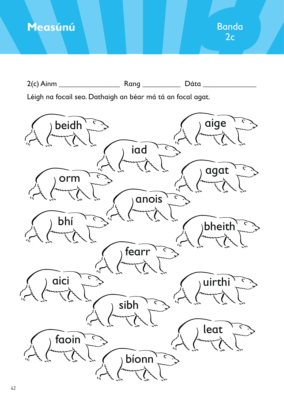2(c) Ainm \_\_\_\_\_\_\_\_\_\_\_\_\_\_\_\_ Rang \_\_\_\_\_\_\_\_\_\_ Dáta \_\_\_\_\_\_\_\_\_\_\_\_\_\_

Léigh na focail seo. Dathaigh an béar má tá an focal agat.

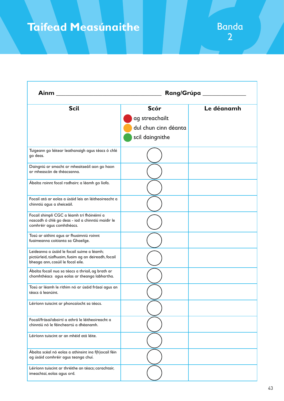## **Taifead Measúnaithe**

| <b>Ainm</b>                                                                                                                             |                                                                          | Rang/Grúpa _____ |
|-----------------------------------------------------------------------------------------------------------------------------------------|--------------------------------------------------------------------------|------------------|
| <b>Scil</b>                                                                                                                             | <b>Scór</b><br>ag streachailt<br>dul chun cinn déanta<br>scil daingnithe | Le déanamh       |
| Tuigeann go léitear leathanaigh agus téacs ó chlé<br>go deas.                                                                           |                                                                          |                  |
| Daingniú ar smacht ar mheaitseáil aon go haon<br>ar mheascán de théacsanna.                                                             |                                                                          |                  |
| Ábalta roinnt focal radhairc a léamh go líofa.                                                                                          |                                                                          |                  |
| Focail atá ar eolas a úsáid leis an léitheoireacht a<br>chinntiú agus a sheiceáil.                                                      |                                                                          |                  |
| Focail shimplí CGC a léamh trí fhóinéimí a<br>nascadh ó chlé go deas - iad a chinntiú maidir le<br>comhréir agus comhthéacs.            |                                                                          |                  |
| Tosú ar aithint agus ar fhuaimniú roinnt<br>fuaimeanna coitianta sa Ghaeilge.                                                           |                                                                          |                  |
| Leideanna a úsáid le focail suime a léamh;<br>pictiúrleid, túsfhuaim, fuaim ag an deireadh, focail<br>bheaga ann, cosúil le focal eile. |                                                                          |                  |
| Ábalta focail nua sa téacs a thriail, ag brath ar<br>chomhthéacs agus eolas ar theanga labhartha.                                       |                                                                          |                  |
| Tosú ar léamh le rithim nó ar úsáid frásaí agus an<br>téacs á leanúint.                                                                 |                                                                          |                  |
| Léiríonn tuiscint ar phoncaíocht sa téacs.                                                                                              |                                                                          |                  |
| Focail/frásaí/abairtí a athrá le léitheoireacht a<br>chinntiú nó le féincheartú a dhéanamh.                                             |                                                                          |                  |
| Léiríonn tuiscint ar an mhéid atá léite.                                                                                                |                                                                          |                  |
| Ábalta scéal nó eolas a athinsint ina f(h)ocail féin<br>ag úsáid comhréir agus teanga chuí.                                             |                                                                          |                  |
| Léiríonn tuiscint ar thréithe an téacs; carachtair,<br>imeachtaí, eolas agus ord.                                                       |                                                                          |                  |

Banda<br>2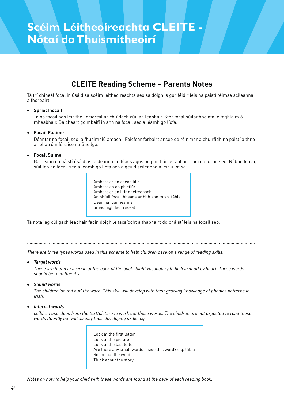### **CLEITE Reading Scheme – Parents Notes**

Tá trí chineál focal in úsáid sa scéim léitheoireachta seo sa dóigh is gur féidir leis na páistí réimse scileanna a fhorbairt.

#### **•** Spriocfhocail

 Tá na focail seo léirithe i gciorcal ar chlúdach cúil an leabhair. Stór focal súilaithne atá le foghlaim ó mheabhair. Ba cheart go mbeifí in ann na focail seo a léamh go líofa.

#### x **Focail Fuaime**

Déantar na focail seo 'a fhuaimniú amach'. Feicfear forbairt anseo de réir mar a chuirfidh na páistí aithne ar phatrúin fónaice na Gaeilge.

#### x **Focail Suime**

Baineann na páistí úsáid as leideanna ón téacs agus ón phictiúr le tabhairt faoi na focail seo. Ní bheifeá ag súil leo na focail seo a léamh go líofa ach a gcuid scileanna a léiriú. *m.sh.*

> Amharc ar an chéad litir Amharc an an phictiúr Amharc ar an litir dheireanach An bhfuil focail bheaga ar bith ann m.sh. tábla Déan na fuaimeanna Smaoinigh faoin scéal

Tá nótaí ag cúl gach leabhair faoin dóigh le tacaíocht a thabhairt do pháistí leis na focail seo.

.................................................................................................................................................................................

*There are three types words used in this scheme to help children develop a range of reading skills.*

#### x *Target words*

*These are found in a circle at the back of the book. Sight vocabulary to be learnt off by heart. These words should be read fluently.*

#### x *Sound words*

*The children 'sound out' the word. This skill will develop with their growing knowledge of phonics patterns in Irish.*

#### x *Interest words*

*children use clues from the text/picture to work out these words. The children are not expected to read these words fluently but will display their developing skills. eg.*

> Look at the first letter Look at the picture Look at the last letter Are there any small words inside this word? e.g. tábla Sound out the word Think about the story

*Notes on how to help your child with these words are found at the back of each reading book.*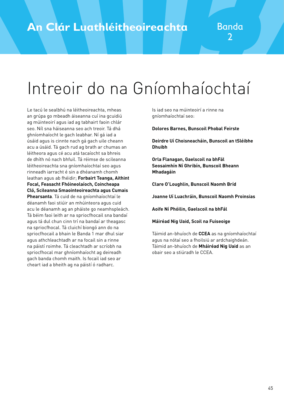# Intreoir do na Gníomhaíochtaí

Le tacú le sealbhú na léitheoireachta, mheas an grúpa go mbeadh áiseanna cuí ina gcuidiú ag múinteoirí agus iad ag tabhairt faoin chlár seo. Níl sna háiseanna seo ach treoir. Tá dhá ghníomhaíocht le gach leabhar. Ní gá iad a úsáid agus is cinnte nach gá gach uile cheann acu a úsáid. Tá gach rud ag brath ar chumas an léitheora agus cé acu atá tacaíocht sa bhreis de dhíth nó nach bhfuil. Tá réimse de scileanna léitheoireachta sna gníomhaíochtaí seo agus rinneadh iarracht é sin a dhéanamh chomh leathan agus ab fhéidir; **Forbairt Teanga, Aithint Focal, Feasacht Fhóineolaíoch, Coincheapa Cló, Scileanna Smaointeoireachta agus Cumais Phearsanta**. Tá cuid de na gníomhaíochtaí le déanamh faoi stiúir an mhúinteora agus cuid acu le déanamh ag an pháiste go neamhspleách. Tá béim faoi leith ar na spriocfhocail sna bandaí agus tá dul chun cinn trí na bandaí ar theagasc na spriocfhocal. Tá cluichí biongó ann do na spriocfhocail a bhain le Banda 1 mar dhul siar agus athchleachtadh ar na focail sin a rinne na páistí roimhe. Tá cleachtadh ar scríobh na spriocfhocal mar ghníomhaíocht ag deireadh gach banda chomh maith. Is focail iad seo ar cheart iad a bheith ag na páistí ó radharc.

Is iad seo na múinteoirí a rinne na gníomhaíochtaí seo:

**Dolores Barnes, Bunscoil Phobal Feirste**

**Deirdre Uí Choisneacháin, Bunscoil an tSléibhe Dhuibh**

**Orla Flanagan, Gaelscoil na bhFál Seosaimhín Ní Ghribín, Bunscoil Bheann Mhadagáin**

**Clare O'Loughlin, Bunscoil Naomh Bríd**

**Joanne Uí Luachráin, Bunscoil Naomh Proinsias**

**Aoife Ní Phóilin, Gaelscoil na bhFál**

**Máiréad Nig Uaid, Scoil na Fuiseoige**

Táimid an-bhuíoch de **CCEA** as na gníomhaíochtaí agus na nótaí seo a fhoilsiú ar ardchaighdeán. Táimid an-bhuíoch de **Mháiréad Nig Uaid** as an obair seo a stiúradh le CCEA.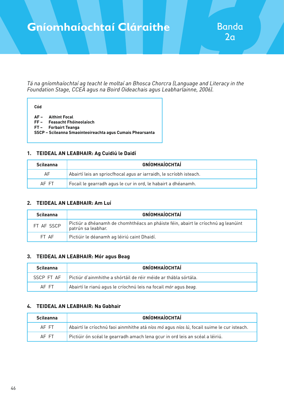### **Gníomhaíochtaí Cláraithe Handa**

*Tá na gníomhaíochtaí ag teacht le moltaí an Bhosca Chorcra (Language and Literacy in the Foundation Stage, CCEA agus na Boird Oideachais agus Leabharlainne, 2006).*

| ٠<br>I<br>$\sim$ |
|------------------|
|------------------|

- **AF Aithint Focal**
- **FF Feasacht Fhóineolaíoch**
- **FT Forbairt Teanga**
- **SSCP Scileanna Smaointeoireachta agus Cumais Phearsanta**

#### **1. TEIDEAL AN LEABHAIR: Ag Cuidiú le Daidí**

| <b>Scileanna</b> | <b>GNÍOMHAÍOCHTAÍ</b>                                              |
|------------------|--------------------------------------------------------------------|
| AF               | Abairtí leis an spriocfhocal agus ar iarraidh, le scríobh isteach. |
| AF FT            | Focail le gearradh agus le cur in ord, le habairt a dhéanamh.      |

#### **2. TEIDEAL AN LEABHAIR: Am Luí**

| <b>Scileanna</b> | <b>GNÍOMHAÍOCHTAÍ</b>                                                                                   |
|------------------|---------------------------------------------------------------------------------------------------------|
| FT AF SSCP       | Pictiúr a dhéanamh de chomhthéacs an pháiste féin, abairt le críochnú ag leanúint<br>patrún sa leabhar. |
| FT AF            | Pictiúir le déanamh ag léiriú caint Dhaidí.                                                             |

#### **3. TEIDEAL AN LEABHAIR: Mór agus Beag**

| <b>Scileanna</b> | <b>GNÍOMHAÍOCHTAÍ</b>                                           |
|------------------|-----------------------------------------------------------------|
| SSCP FT AF       | Pictiúr d'ainmhithe a shórtáil de réir méide ar thábla sórtála. |
| AF FT            | Abairtí le rianú agus le críochnú leis na focail mór agus beag. |

#### **4. TEIDEAL AN LEABHAIR: Na Gabhair**

| <b>Scileanna</b> | <b>GNÍOMHAÍOCHTAÍ</b>                                                                     |
|------------------|-------------------------------------------------------------------------------------------|
| AF FT            | Abairtí le críochnú faoi ainmhithe atá níos mó agus níos lú, focail suime le cur isteach. |
| AF FT            | Pictiúir ón scéal le gearradh amach lena gcur in ord leis an scéal a léiriú.              |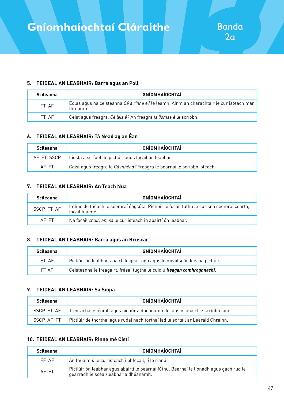#### **5. TEIDEAL AN LEABHAIR: Barra agus an Poll**

| <b>Scileanna</b> | <b>GNÍOMHAÍOCHTAÍ</b>                                                                                |
|------------------|------------------------------------------------------------------------------------------------------|
| FT AF            | Eolas agus na ceisteanna Cé a rinne é? le léamh. Ainm an charachtair le cur isteach mar<br>fhreagra. |
| FT AF            | Ceist agus freagra, Cé leis é? An freagra Is liomsa é le scríobh.                                    |

#### **6. TEIDEAL AN LEABHAIR: Tá Nead ag an Éan**

| <b>Scileanna</b> | <b>GNÍOMHAÍOCHTAÍ</b>                                                  |
|------------------|------------------------------------------------------------------------|
| AF FT SSCP       | Liosta a scríobh le pictiúir agus focail ón leabhar.                   |
| AF FT            | Ceist agus freagra le Cá mhéad? Freagra le bearnaí le scríobh isteach. |

#### **7. TEIDEAL AN LEABHAIR: An Teach Nua**

| <b>Scileanna</b> | <b>GNÍOMHAÍOCHTAÍ</b>                                                                                      |
|------------------|------------------------------------------------------------------------------------------------------------|
| SSCP FT AF       | Imlíne de theach le seomraí éagsúla. Pictiúir le focail fúthu le cur sna seomraí cearta,<br>focail fuaime. |
| AF FT            | Na focail chuir, an, sa le cur isteach in abairtí ón leabhar.                                              |

#### **8. TEIDEAL AN LEABHAIR: Barra agus an Bruscar**

| <b>Scileanna</b> | <b>GNÍOMHAÍOCHTAÍ</b>                                                           |
|------------------|---------------------------------------------------------------------------------|
| FT AF            | Pictiúir ón leabhar, abairtí le gearradh agus le meaitseáil leis na pictiúir.   |
| FT AF            | Ceisteanna le freagairt, frásaí tugtha le cuidiú <i>(leagan comhroghnach)</i> . |

#### **9. TEIDEAL AN LEABHAIR: Sa Siopa**

| <b>Scileanna</b> | <b>GNÍOMHAÍOCHTAÍ</b>                                                           |
|------------------|---------------------------------------------------------------------------------|
| SSCP FT AF       | Treoracha le léamh agus pictiúr a dhéanamh de, ansin, abairt le scríobh faoi.   |
| SSCP AF FT       | Pictiúir de thorthaí agus rudaí nach torthaí iad le sórtáil ar Léaráid Chrainn. |

#### **10. TEIDEAL AN LEABHAIR: Rinne mé Cístí**

| <b>Scileanna</b> | <b>GNÍOMHAÍOCHTAÍ</b>                                                                                                                  |
|------------------|----------------------------------------------------------------------------------------------------------------------------------------|
| FF AF            | An fhuaim ú le cur isteach i bhfocail, ú le rianú.                                                                                     |
| AF FT            | $\mid$ Pictiúir ón leabhar agus abairtí le bearnaí fúthu. Bearnaí le líonadh agus gach rud le<br>gearradh le scéal/leabhar a dhéanamh. |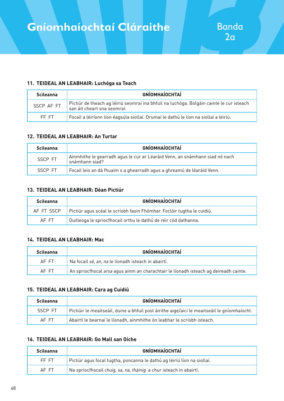#### **11. TEIDEAL AN LEABHAIR: Luchóga sa Teach**

| <b>Scileanna</b> | <b>GNÍOMHAÍOCHTAÍ</b>                                                                                                   |
|------------------|-------------------------------------------------------------------------------------------------------------------------|
| SSCP AF FT       | Pictiúr de theach ag léiriú seomraí ina bhfuil na luchóga. Bolgáin cainte le cur isteach<br>san áit cheart sna seomraí. |
| FF FT            | $\mid$ Focail a léiríonn líon éagsúla siollaí. Drumaí le dathú le líon na siollaí a léiriú.                             |

#### **12. TEIDEAL AN LEABHAIR: An Turtar**

| <b>Scileanna</b> | <b>GNÍOMHAÍOCHTAÍ</b>                                                                         |
|------------------|-----------------------------------------------------------------------------------------------|
| SSCP FT          | Ainmhithe le gearradh agus le cur ar Léaráid Venn, an snámhann siad nó nach<br>snámhann siad? |
| SSCP FT          | Focail leis an dá fhuaim s a ghearradh agus a ghreamú de léaráid Venn.                        |

#### **13. TEIDEAL AN LEABHAIR: Déan Pictiúr**

| <b>Scileanna</b> | <b>GNÍOMHAÍOCHTAÍ</b>                                                  |
|------------------|------------------------------------------------------------------------|
| AF FT SSCP       | Pictiúr agus scéal le scríobh faoin Fhómhar. Foclóir tugtha le cuidiú. |
| AF FT            | Duilleoga le spriocfhocail orthu le dathú de réir cód dathanna.        |

#### **14. TEIDEAL AN LEABHAIR: Mac**

| <b>Scileanna</b> | <b>GNÍOMHAÍOCHTAÍ</b>                                                                |
|------------------|--------------------------------------------------------------------------------------|
| AF FT            | Na focail sé, an, na le líonadh isteach in abairtí.                                  |
| AF FT            | An spriocfhocal arsa agus ainm an charachtair le líonadh isteach ag deireadh cainte. |

#### **15. TEIDEAL AN LEABHAIR: Cara ag Cuidiú**

| <b>Scileanna</b> | <b>GNÍOMHAÍOCHTAÍ</b>                                                                        |
|------------------|----------------------------------------------------------------------------------------------|
| SSCP FT          | Pictiúir le meaitseáil, duine a bhfuil post áirithe aige/aici le meaitseáil le gníomhaíocht. |
| AF FT            | Abairtí le bearnaí le líonadh, ainmhithe ón leabhar le scríobh isteach.                      |

#### **16. TEIDEAL AN LEABHAIR: Go Mall san Oíche**

| <b>Scileanna</b> | <b>GNÍOMHAÍOCHTAÍ</b>                                                   |
|------------------|-------------------------------------------------------------------------|
| FF FT            | Pictiúr aqus focal tugtha, poncanna le dathú ag léiriú líon na siollaí. |
| AF FT            | Na spriocfhocail chuig, sa, na, tháinig a chur isteach in abairtí.      |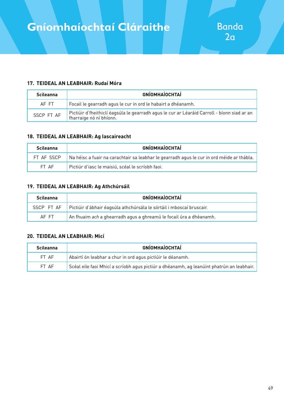#### **17. TEIDEAL AN LEABHAIR: Rudaí Móra**

| <b>Scileanna</b> | <b>GNÍOMHAÍOCHTAÍ</b>                                                                                                  |
|------------------|------------------------------------------------------------------------------------------------------------------------|
| AF FT            | Focail le gearradh agus le cur in ord le habairt a dhéanamh.                                                           |
| SSCP FT AF       | Pictiúir d'fheithiclí éagsúla le gearradh agus le cur ar Léaráid Carroll - bíonn siad ar an<br>fharraige nó ní bhíonn. |

#### **18. TEIDEAL AN LEABHAIR: Ag Iascaireacht**

| <b>Scileanna</b> | <b>GNÍOMHAÍOCHTAÍ</b>                                                                            |
|------------------|--------------------------------------------------------------------------------------------------|
| FT AF SSCP       | $\mid$ Na héisc a fuair na carachtair sa leabhar le gearradh agus le cur in ord méide ar thábla. |
| FT AF            | Pictiúr d'iasc le maisiú, scéal le scríobh faoi.                                                 |

#### **19. TEIDEAL AN LEABHAIR: Ag Athchúrsáil**

| <b>Scileanna</b> | <b>GNÍOMHAÍOCHTAÍ</b>                                                     |
|------------------|---------------------------------------------------------------------------|
| SSCP FT AF       | Pictiúir d'ábhair éagsúla athchúrsála le sórtáil i mboscaí bruscair.      |
| AF FT            | An fhuaim <i>ach</i> a ghearradh agus a ghreamú le focail úra a dhéanamh. |

#### **20. TEIDEAL AN LEABHAIR: Micí**

| <b>Scileanna</b> | <b>GNÍOMHAÍOCHTAÍ</b>                                                                     |
|------------------|-------------------------------------------------------------------------------------------|
| FT AF            | Abairtí ón leabhar a chur in ord agus pictiúir le déanamh.                                |
| FT AF            | Scéal eile faoi Mhicí a scríobh agus pictiúr a dhéanamh, ag leanúint phatrún an leabhair. |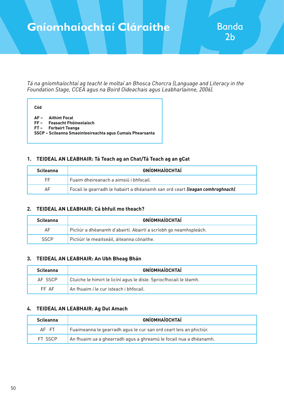### **Gníomhaíochtaí Cláraithe**

*Tá na gníomhaíochtaí ag teacht le moltaí an Bhosca Chorcra (Language and Literacy in the Foundation Stage, CCEA agus na Boird Oideachais agus Leabharlainne, 2006).*

| ٧<br>-<br>×<br>۰.<br>×<br>٧<br>$\sim$ |  |
|---------------------------------------|--|
|                                       |  |

- **AF Aithint Focal**
- **FF Feasacht Fhóineolaíoch**
- **FT Forbairt Teanga**
- **SSCP Scileanna Smaointeoireachta agus Cumais Phearsanta**

#### **1. TEIDEAL AN LEABHAIR: Tá Teach ag an Chat/Tá Teach ag an gCat**

| <b>Scileanna</b> | <b>GNÍOMHAÍOCHTAÍ</b>                                                                 |
|------------------|---------------------------------------------------------------------------------------|
| FF.              | Fuaim dheireanach a aimsiú i bhfocail.                                                |
| AF.              | Focail le gearradh le habairt a dhéanamh san ord ceart <i>(leagan comhroghnach)</i> . |

#### **2. TEIDEAL AN LEABHAIR: Cá bhfuil mo theach?**

| <b>Scileanna</b> | <b>GNÍOMHAÍOCHTAÍ</b>                                            |
|------------------|------------------------------------------------------------------|
| AF               | Pictiúr a dhéanamh d'abairtí. Abairtí a scríobh go neamhspleách. |
| <b>SSCP</b>      | Pictiúir le meaitseáil, áiteanna cónaithe.                       |

#### **3. TEIDEAL AN LEABHAIR: An Ubh Bheag Bhán**

| Scileanna | <b>GNÍOMHAÍOCHTAÍ</b>                                              |
|-----------|--------------------------------------------------------------------|
| AF SSCP   | Cluiche le himirt le licíní agus le dísle. Spriocfhocail le léamh. |
| FF AF     | An fhuaim í le cur isteach i bhfocail.                             |

#### **4. TEIDEAL AN LEABHAIR: Ag Dul Amach**

| <b>Scileanna</b> | <b>GNÍOMHAÍOCHTAÍ</b>                                              |
|------------------|--------------------------------------------------------------------|
| AF FT            | Fuaimeanna le gearradh agus le cur san ord ceart leis an phictiúr. |
| FT SSCP          | An fhuaim ua a ghearradh agus a ghreamú le focail nua a dhéanamh.  |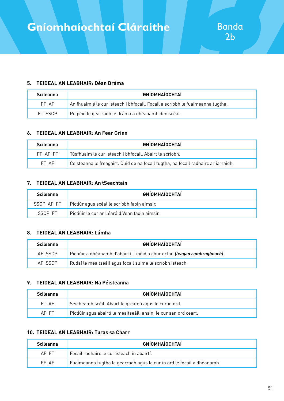#### **5. TEIDEAL AN LEABHAIR: Déan Dráma**

| <b>Scileanna</b> | <b>GNÍOMHAÍOCHTAÍ</b>                                                         |
|------------------|-------------------------------------------------------------------------------|
| FF AF            | An fhuaim á le cur isteach i bhfocail. Focail a scríobh le fuaimeanna tugtha. |
| FT SSCP          | Puipéid le gearradh le dráma a dhéanamh den scéal.                            |

#### **6. TEIDEAL AN LEABHAIR: An Fear Grinn**

| <b>Scileanna</b> | <b>GNÍOMHAÍOCHTAÍ</b>                                                                |
|------------------|--------------------------------------------------------------------------------------|
| FF AF FT         | Túsfhuaim le cur isteach i bhfocail. Abairt le scríobh.                              |
| FT AF            | l Ceisteanna le freagairt. Cuid de na focail tugtha, na focail radhairc ar iarraidh. |

#### **7. TEIDEAL AN LEABHAIR: An tSeachtain**

| <b>Scileanna</b> | <b>GNÍOMHAÍOCHTAÍ</b>                                    |
|------------------|----------------------------------------------------------|
|                  | SSCP AF FT   Pictiúr agus scéal le scríobh faoin aimsir. |
| SSCP FT          | l Pictiúir le cur ar Léaráid Venn faoin aimsir.          |

#### **8. TEIDEAL AN LEABHAIR: Lámha**

| <b>Scileanna</b> | <b>GNÍOMHAÍOCHTAÍ</b>                                                             |
|------------------|-----------------------------------------------------------------------------------|
| AF SSCP          | Pictiúir a dhéanamh d'abairtí. Lipéid a chur orthu <i>(leagan comhroghnach)</i> . |
| AF SSCP          | Rudaí le meaitseáil agus focail suime le scríobh isteach.                         |

#### **9. TEIDEAL AN LEABHAIR: Na Péisteanna**

| <b>Scileanna</b> | <b>GNÍOMHAÍOCHTAÍ</b>                                             |
|------------------|-------------------------------------------------------------------|
| FT AF            | Seicheamh scéil. Abairt le greamú agus le cur in ord.             |
| AF FT            | Pictiúir agus abairtí le meaitseáil, ansin, le cur san ord ceart. |

#### **10. TEIDEAL AN LEABHAIR: Turas sa Charr**

| <b>Scileanna</b> | GNÍOMHAÍOCHTAÍ                                                         |
|------------------|------------------------------------------------------------------------|
| AF FT            | Focail radhairc le cur isteach in abairtí.                             |
| FF AF            | Fuaimeanna tugtha le gearradh agus le cur in ord le focail a dhéanamh. |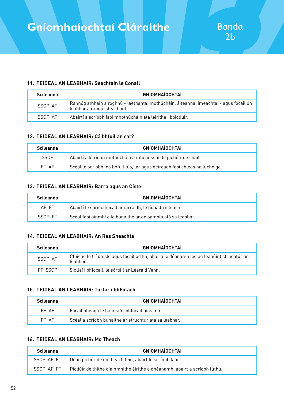#### **11. TEIDEAL AN LEABHAIR: Seachtain le Conall**

| <b>Scileanna</b> | <b>GNÍOMHAÍOCHTAÍ</b>                                                                                                 |
|------------------|-----------------------------------------------------------------------------------------------------------------------|
| SSCP AF          | Rannóg amháin a roghnú - laethanta, mothúcháin, áiteanna, imeachtaí - agus focail ón<br>Leabhar a rangú isteach inti. |
| SSCP AF          | Abairtí a scríobh faoi mhothúcháin atá léirithe i bpictiúir.                                                          |

#### **12. TEIDEAL AN LEABHAIR: Cá bhfuil an cat?**

| <b>Scileanna</b> | <b>GNÍOMHAÍOCHTAÍ</b>                                                       |
|------------------|-----------------------------------------------------------------------------|
| <b>SSCP</b>      | Abairtí a léiríonn mothúcháin a mheaitseáil le pictiúir de chait.           |
| FT AF            | Scéal le scríobh ina bhfuil tús, lár agus deireadh faoi chleas na luchóige. |

#### **13. TEIDEAL AN LEABHAIR: Barra agus an Císte**

| <b>Scileanna</b> | <b>GNÍOMHAÍOCHTAÍ</b>                                        |
|------------------|--------------------------------------------------------------|
| AF FT            | Abairtí le spriocfhocail ar iarraidh, le líonadh isteach.    |
| SSCP FT          | Scéal faoi ainmhí eile bunaithe ar an sampla atá sa leabhar. |

#### **14. TEIDEAL AN LEABHAIR: An Rás Sneachta**

| <b>Scileanna</b> | <b>GNÍOMHAÍOCHTAÍ</b>                                                                                 |
|------------------|-------------------------------------------------------------------------------------------------------|
| SSCP AF          | Cluiche le trí dhísle agus focail orthu, abairtí le déanamh leo ag leanúint struchtúr an<br>leabhair. |
| FF SSCP          | Siollaí i bhfocail, le sórtáil ar Léaráid Venn.                                                       |

#### **15. TEIDEAL AN LEABHAIR: Turtar i bhFolach**

| <b>Scileanna</b> | <b>GNÍOMHAÍOCHTAÍ</b>                                 |
|------------------|-------------------------------------------------------|
| FF AF            | Focail bheaga le haimsiú i bhfocail níos mó.          |
| FT AF            | Scéal a scríobh bunaithe ar struchtúr atá sa leabhar. |

#### **16. TEIDEAL AN LEABHAIR: Mo Theach**

| <b>Scileanna</b> | <b>GNÍOMHAÍOCHTAÍ</b>                                                      |
|------------------|----------------------------------------------------------------------------|
| SSCP AF FT       | Déan pictiúr de do theach féin, abairt le scríobh faoi.                    |
| SSCP AF FT       | Pictiúir de thithe d'ainmhithe áirithe a dhéanamh, abairt a scríobh fúthu. |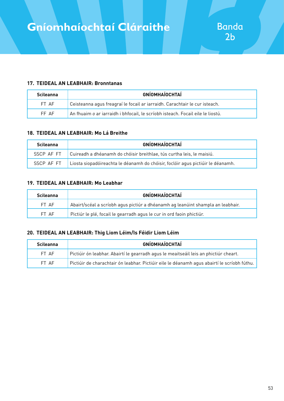#### **17. TEIDEAL AN LEABHAIR: Bronntanas**

| <b>Scileanna</b> | <b>GNÍOMHAÍOCHTAÍ</b>                                                          |
|------------------|--------------------------------------------------------------------------------|
| FT AF            | Ceisteanna agus freagraí le focail ar iarraidh. Carachtair le cur isteach.     |
| FF AF            | An fhuaim o ar iarraidh i bhfocail, le scríobh isteach. Focail eile le liostú. |

#### **18. TEIDEAL AN LEABHAIR: Mo Lá Breithe**

| <b>Scileanna</b> | <b>GNÍOMHAÍOCHTAÍ</b>                                                           |
|------------------|---------------------------------------------------------------------------------|
| SSCP AF FT       | Cuireadh a dhéanamh do chóisir breithlae, tús curtha leis, le maisiú.           |
| SSCP AF FT       | Liosta siopadóireachta le déanamh do chóisir, foclóir agus pictiúir le déanamh. |

#### **19. TEIDEAL AN LEABHAIR: Mo Leabhar**

| <b>Scileanna</b> | <b>GNÍOMHAÍOCHTAÍ</b>                                                           |
|------------------|---------------------------------------------------------------------------------|
| FT AF            | Abairt/scéal a scríobh agus pictiúr a dhéanamh ag leanúint shampla an leabhair. |
| FT AF            | Pictiúr le plé, focail le gearradh agus le cur in ord faoin phictiúr.           |

#### **20. TEIDEAL AN LEABHAIR: Thig Liom Léim/Is Féidir Liom Léim**

| <b>Scileanna</b> | <b>GNÍOMHAÍOCHTAÍ</b>                                                                       |
|------------------|---------------------------------------------------------------------------------------------|
| FT AF            | Pictiúir ón leabhar. Abairtí le gearradh agus le meaitseáil leis an phictiúr cheart.        |
| FT AF            | Pictiúir de charachtair ón leabhar. Pictiúir eile le déanamh agus abairtí le scríobh fúthu. |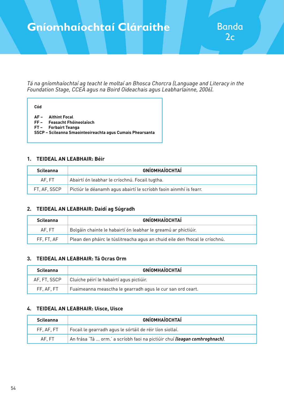### **Gníomhaíochtaí Cláraithe**

*Tá na gníomhaíochtaí ag teacht le moltaí an Bhosca Chorcra (Language and Literacy in the Foundation Stage, CCEA agus na Boird Oideachais agus Leabharlainne, 2006).*

| Cód |                                                                                                                                     |
|-----|-------------------------------------------------------------------------------------------------------------------------------------|
|     | AF- Aithint Focal<br>FF- Feasacht Fhóineolaíoch<br>FT- Forbairt Teanga<br>SSCP - Scileanna Smaointeoireachta agus Cumais Phearsanta |

#### **1. TEIDEAL AN LEABHAIR: Béir**

| <b>Scileanna</b> | <b>GNÍOMHAÍOCHTAÍ</b>                                             |
|------------------|-------------------------------------------------------------------|
| AF. FT           | Abairtí ón leabhar le críochnú. Focail tugtha.                    |
| FT. AF. SSCP     | Pictiúr le déanamh agus abairtí le scríobh faoin ainmhí is fearr. |

#### **2. TEIDEAL AN LEABHAIR: Daidí ag Súgradh**

| <b>Scileanna</b> | <b>GNÍOMHAÍOCHTAÍ</b>                                                       |
|------------------|-----------------------------------------------------------------------------|
| AF. FT           | Bolgáin chainte le habairtí ón leabhar le greamú ar phictiúir.              |
| FF. FT. AF       | Plean den pháirc le túslitreacha agus an chuid eile den fhocal le críochnú. |

#### **3. TEIDEAL AN LEABHAIR: Tá Ocras Orm**

| <b>Scileanna</b> | <b>GNÍOMHAÍOCHTAÍ</b>                                           |
|------------------|-----------------------------------------------------------------|
|                  | $AF$ , FT, SSCP $\Box$ Cluiche péirí le habairtí agus pictiúir. |
| FF. AF. FT       | Fuaimeanna measctha le gearradh agus le cur san ord ceart.      |

#### **4. TEIDEAL AN LEABHAIR: Uisce, Uisce**

| <b>Scileanna</b> | <b>GNÍOMHAÍOCHTAÍ</b>                                                              |
|------------------|------------------------------------------------------------------------------------|
| FF. AF. FT       | Focail le gearradh agus le sórtáil de réir líon siollaí.                           |
| AF. FT           | An frása 'Tá  orm.' a scríobh faoi na pictiúir chuí <b>(leagan comhroghnach)</b> . |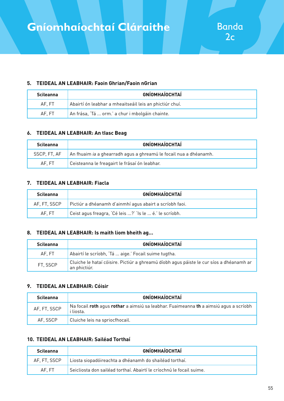#### **5. TEIDEAL AN LEABHAIR: Faoin Ghrian/Faoin nGrian**

| <b>Scileanna</b> | <b>GNÍOMHAÍOCHTAÍ</b>                                   |
|------------------|---------------------------------------------------------|
| AF. FT           | Abairtí ón leabhar a mheaitseáil leis an phictiúr chuí. |
| AF. FT           | An frása, 'Tá  orm.' a chur i mbolgáin chainte.         |

#### **6. TEIDEAL AN LEABHAIR: An tIasc Beag**

| <b>Scileanna</b> | <b>GNÍOMHAÍOCHTAÍ</b>                                             |
|------------------|-------------------------------------------------------------------|
| SSCP. FT. AF     | An fhuaim ia a ghearradh agus a ghreamú le focail nua a dhéanamh. |
| AF. FT           | Ceisteanna le freagairt le frásaí ón leabhar.                     |

#### **7. TEIDEAL AN LEABHAIR: Fiacla**

| <b>Scileanna</b> | <b>GNÍOMHAÍOCHTAÍ</b>                                   |
|------------------|---------------------------------------------------------|
| AF. FT. SSCP     | Pictiúr a dhéanamh d'ainmhí agus abairt a scríobh faoi. |
| AF. FT           | Ceist agus freagra, 'Cé leis ?' 'Is le  é.' le scríobh. |

#### **8. TEIDEAL AN LEABHAIR: Is maith liom bheith ag...**

| <b>Scileanna</b> | <b>GNÍOMHAÍOCHTAÍ</b>                                                                                   |
|------------------|---------------------------------------------------------------------------------------------------------|
| AF. FT           | Abairtí le scríobh, 'Tá  aige.' Focail suime tugtha.                                                    |
| FT, SSCP         | Cluiche le hataí cóisire. Pictiúr a ghreamú díobh agus páiste le cur síos a dhéanamh ar<br>an phictiúr. |

#### **9. TEIDEAL AN LEABHAIR: Cóisir**

| <b>Scileanna</b> | <b>GNÍOMHAÍOCHTAÍ</b>                                                                              |
|------------------|----------------------------------------------------------------------------------------------------|
| AF, FT, SSCP     | Na focail roth agus rothar a aimsiú sa leabhar. Fuaimeanna th a aimsiú agus a scríobh<br>i liosta. |
| AF. SSCP         | Cluiche leis na spriocfhocail.                                                                     |

#### **10. TEIDEAL AN LEABHAIR: Sailéad Torthaí**

| <b>Scileanna</b> | <b>GNÍOMHAÍOCHTAÍ</b>                                                |
|------------------|----------------------------------------------------------------------|
| AF. FT. SSCP     | Liosta siopadóireachta a dhéanamh do shailéad torthaí.               |
| AF.FT            | Seicliosta don sailéad torthaí. Abairtí le críochnú le focail suime. |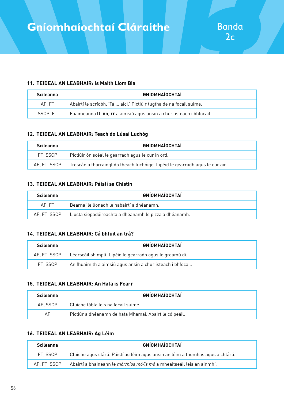#### **11. TEIDEAL AN LEABHAIR: Is Maith Liom Bia**

| <b>Scileanna</b> | <b>GNÍOMHAÍOCHTAÍ</b>                                                |
|------------------|----------------------------------------------------------------------|
| AF. FT           | Abairtí le scríobh, 'Tá  aici.' Pictiúir tugtha de na focail suime.  |
| SSCP. FT         | Fuaimeanna II, nn, rr a aimsiú agus ansin a chur isteach i bhfocail. |

#### **12. TEIDEAL AN LEABHAIR: Teach do Lúsaí Luchóg**

| <b>Scileanna</b> | <b>GNÍOMHAÍOCHTAÍ</b>                                                        |
|------------------|------------------------------------------------------------------------------|
| FT. SSCP         | Pictiúir ón scéal le gearradh agus le cur in ord.                            |
| AF. FT. SSCP     | Troscán a tharraingt do theach luchóige. Lipéid le gearradh agus le cur air. |

#### **13. TEIDEAL AN LEABHAIR: Páistí sa Chistin**

| <b>Scileanna</b> | <b>GNÍOMHAÍOCHTAÍ</b>                                  |
|------------------|--------------------------------------------------------|
| AF.FT            | Bearnaí le líonadh le habairtí a dhéanamh.             |
| AF. FT. SSCP     | Liosta siopadóireachta a dhéanamh le pizza a dhéanamh. |

#### **14. TEIDEAL AN LEABHAIR: Cá bhfuil an trá?**

| <b>Scileanna</b> | <b>GNÍOMHAÍOCHTAÍ</b>                                       |
|------------------|-------------------------------------------------------------|
| AF. FT. SSCP     | Léarscáil shimplí. Lipéid le gearradh agus le greamú di.    |
| FT. SSCP         | An fhuaim th a aimsiú agus ansin a chur isteach i bhfocail. |

#### **15. TEIDEAL AN LEABHAIR: An Hata is Fearr**

| <b>Scileanna</b> | <b>GNÍOMHAÍOCHTAÍ</b>                                  |
|------------------|--------------------------------------------------------|
| AF. SSCP         | Cluiche tábla leis na focail suime.                    |
| AF               | Pictiúr a dhéanamh de hata Mhamaí. Abairt le cóipeáil. |

#### **16. TEIDEAL AN LEABHAIR: Ag Léim**

| <b>Scileanna</b> | <b>GNÍOMHAÍOCHTAÍ</b>                                                          |
|------------------|--------------------------------------------------------------------------------|
| FT. SSCP         | Cluiche agus clárú. Páistí ag léim agus ansin an léim a thomhas agus a chlárú. |
| AF. FT. SSCP     | Abairtí a bhaineann le mór/níos mó/is mó a mheaitseáil leis an ainmhí.         |